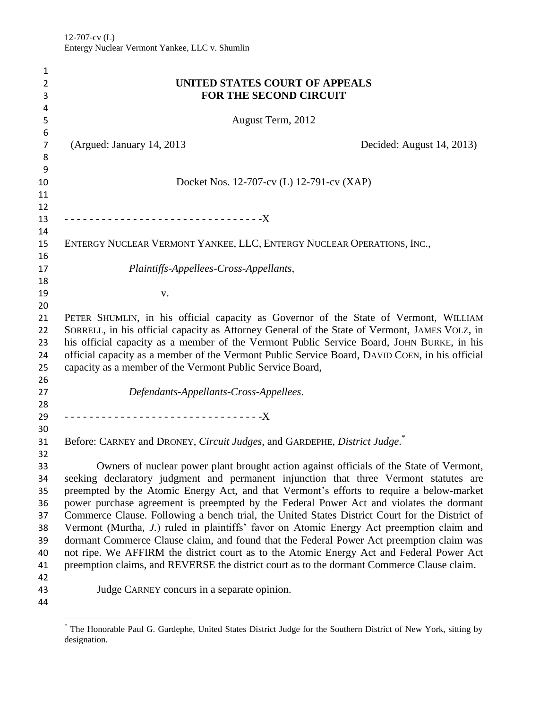| 1                   |                                                                                                                                                                                        |  |  |  |
|---------------------|----------------------------------------------------------------------------------------------------------------------------------------------------------------------------------------|--|--|--|
| 2                   | UNITED STATES COURT OF APPEALS                                                                                                                                                         |  |  |  |
| 3                   | <b>FOR THE SECOND CIRCUIT</b>                                                                                                                                                          |  |  |  |
| 4                   |                                                                                                                                                                                        |  |  |  |
| 5                   | August Term, 2012                                                                                                                                                                      |  |  |  |
| 6                   |                                                                                                                                                                                        |  |  |  |
| $\overline{7}$<br>8 | (Argued: January 14, 2013)<br>Decided: August 14, 2013)                                                                                                                                |  |  |  |
| 9                   |                                                                                                                                                                                        |  |  |  |
| 10                  | Docket Nos. 12-707-cv (L) 12-791-cv (XAP)                                                                                                                                              |  |  |  |
| 11                  |                                                                                                                                                                                        |  |  |  |
| 12                  |                                                                                                                                                                                        |  |  |  |
| 13                  |                                                                                                                                                                                        |  |  |  |
| 14                  |                                                                                                                                                                                        |  |  |  |
| 15                  | ENTERGY NUCLEAR VERMONT YANKEE, LLC, ENTERGY NUCLEAR OPERATIONS, INC.,                                                                                                                 |  |  |  |
| 16                  |                                                                                                                                                                                        |  |  |  |
| 17                  | Plaintiffs-Appellees-Cross-Appellants,                                                                                                                                                 |  |  |  |
| 18                  |                                                                                                                                                                                        |  |  |  |
| 19<br>20            | V.                                                                                                                                                                                     |  |  |  |
| 21                  | PETER SHUMLIN, in his official capacity as Governor of the State of Vermont, WILLIAM                                                                                                   |  |  |  |
| 22                  | SORRELL, in his official capacity as Attorney General of the State of Vermont, JAMES VOLZ, in                                                                                          |  |  |  |
| 23                  | his official capacity as a member of the Vermont Public Service Board, JOHN BURKE, in his                                                                                              |  |  |  |
| 24                  | official capacity as a member of the Vermont Public Service Board, DAVID COEN, in his official                                                                                         |  |  |  |
| 25                  | capacity as a member of the Vermont Public Service Board,                                                                                                                              |  |  |  |
| 26                  |                                                                                                                                                                                        |  |  |  |
| 27                  | Defendants-Appellants-Cross-Appellees.                                                                                                                                                 |  |  |  |
| 28                  |                                                                                                                                                                                        |  |  |  |
| 29                  | ---------------------------------X                                                                                                                                                     |  |  |  |
| 30                  |                                                                                                                                                                                        |  |  |  |
| 31                  | Before: CARNEY and DRONEY, Circuit Judges, and GARDEPHE, District Judge.                                                                                                               |  |  |  |
| 32                  |                                                                                                                                                                                        |  |  |  |
| 33                  | Owners of nuclear power plant brought action against officials of the State of Vermont,                                                                                                |  |  |  |
| 34                  | seeking declaratory judgment and permanent injunction that three Vermont statutes are                                                                                                  |  |  |  |
| 35                  | preempted by the Atomic Energy Act, and that Vermont's efforts to require a below-market                                                                                               |  |  |  |
| 36                  | power purchase agreement is preempted by the Federal Power Act and violates the dormant                                                                                                |  |  |  |
| 37                  | Commerce Clause. Following a bench trial, the United States District Court for the District of                                                                                         |  |  |  |
| 38                  | Vermont (Murtha, J.) ruled in plaintiffs' favor on Atomic Energy Act preemption claim and                                                                                              |  |  |  |
| 39                  | dormant Commerce Clause claim, and found that the Federal Power Act preemption claim was                                                                                               |  |  |  |
| 40<br>41            | not ripe. We AFFIRM the district court as to the Atomic Energy Act and Federal Power Act<br>preemption claims, and REVERSE the district court as to the dormant Commerce Clause claim. |  |  |  |
| 42                  |                                                                                                                                                                                        |  |  |  |
| 43                  | Judge CARNEY concurs in a separate opinion.                                                                                                                                            |  |  |  |
| 44                  |                                                                                                                                                                                        |  |  |  |
|                     |                                                                                                                                                                                        |  |  |  |

 $\overline{\phantom{a}}$ \* The Honorable Paul G. Gardephe, United States District Judge for the Southern District of New York, sitting by designation.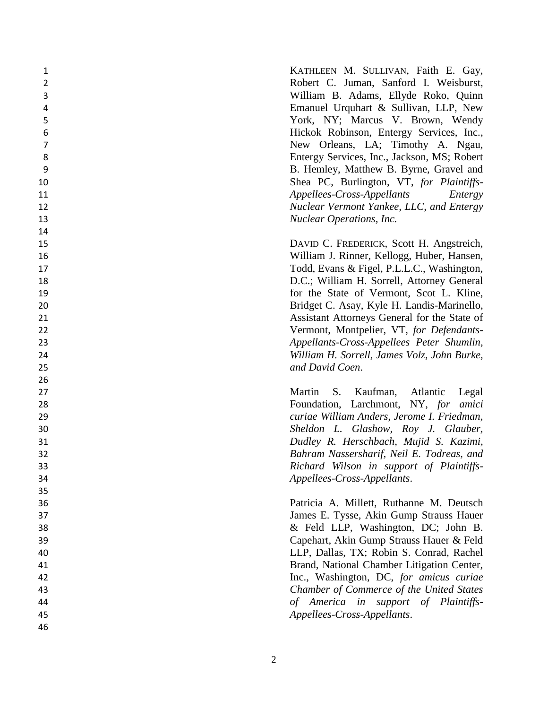KATHLEEN M. SULLIVAN, Faith E. Gay, Robert C. Juman, Sanford I. Weisbur st, William B. Adams, Ellyde Roko, Quinn Emanuel Urquhart & Sullivan, LLP, New York, NY; Marcus V. Brown, Wendy Hickok Robinson, Entergy Services, Inc., New Orleans, LA; Timothy A. Ngau, Entergy Services, Inc., Jackson, MS; Robert B. Hemley, Matthew B. Byrne, Gravel and Shea PC, Burlington, VT, *for Plaintiffs - Appellees -Cross -Appellants Entergy Nuclear Vermont Yankee, LLC, and Entergy Nuclear Operations, Inc.*

DAVID C. FREDERICK, Scott H. Angstreich, William J. Rinner, Kellogg, Huber, Hansen, 17 Todd, Evans & Figel, P.L.L.C., Washington, D.C.; William H. Sorrell, Attorney General for the State of Vermont, Scot L. Kline, Bridget C. Asay, Kyle H. Landis -Marinello, Assistant Attorneys General for the State of Vermont, Montpelier, VT , *for Defendants - Appellants -Cross -Appellees Peter Shumlin, William H. Sorrell, James Volz, John Burke, and David Coen* .

 Martin S. Kaufman, Atlantic Legal Foundation, Larchmont, NY, *for amici curiae William Anders, Jerome I. Friedman, Sheldon L. Glashow, Roy J. Glauber, Dudley R. Herschbach, Mujid S. Kazimi, Bahram Nassersharif, Neil E. Todreas, and Richard Wilson in support of Plaintiffs - Appellees -Cross -Appellants* .

 Patricia A. Millett, Ruthanne M. Deutsch James E. Tysse, Akin Gump Strauss Hauer & Feld LLP, Washington, DC; John B. Capehart, Akin Gump Strauss Hauer & Feld LLP, Dallas, TX; Robin S. Conrad, Rachel Brand, National Chamber Litigation Center, Inc., Washington, DC, *for amicus curiae Chamber of Commerce of the United States of America in support of Plaintiffs - Appellees -Cross -Appellants* .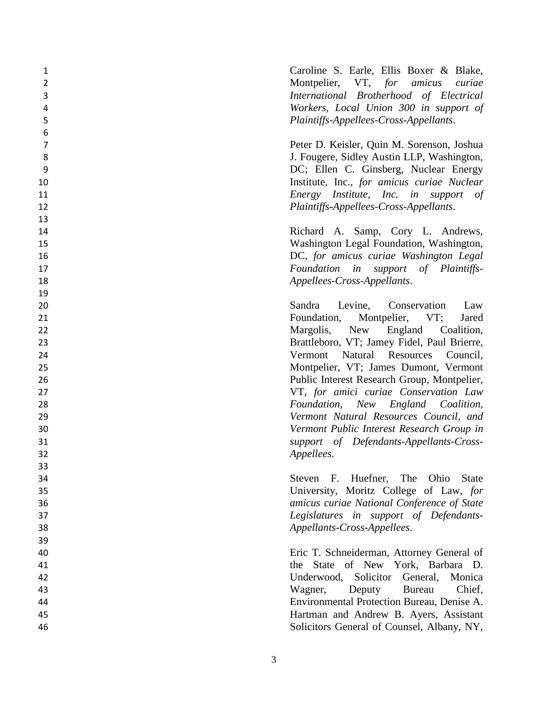Caroline S. Earle, Ellis Boxer & Blake, Montpelier, VT, *for amicus curiae International Brotherhood of Electrical Workers, Local Union 300 in support of Plaintiffs-Appellees-Cross-Appellants*.

 Peter D. Keisler, Quin M. Sorenson, Joshua 8 J. Fougere, Sidley Austin LLP, Washington, DC; Ellen C. Ginsberg, Nuclear Energy Institute, Inc. , *for amicus curiae Nuclear Energy Institute, Inc. in support of Plaintiffs -Appellees -Cross -Appellants* .

 Richard A. Samp, Cory L. Andrews, Washington Legal Foundation, Washington, DC, *for amicus curiae Washington Legal Foundation in support of Plaintiffs - Appellees -Cross -Appellants* .

 Sandra Levine, Conservation Law **Foundation, Montpelier, VT;** ; Jared Margolis, New England Coalition, Brattleboro, VT ; Jamey Fidel , Paul Brierre, Vermont Natural Resources Council, Montpelier, VT ; James Dumont, Vermont Public Interest Research Group, Montpelier, VT, *for amici curiae Conservation Law Foundation, New England Coalition, Vermont Natural Resources Council, and Vermont Public Interest Research Group in support of Defendants-Appellants-Cross-Appellees* .

 Steven F. Huefner, The Ohio State University, Moritz College of Law, *for amicus curiae National Conference of State Legislatures in support of Defendants - Appellants -Cross -Appellees* .

 Eric T. Schneiderman, Attorney General of the State of New York, Barbara D. Underwood, Solicitor General, Monica Wagner, Deputy Bureau Chief Chief. Environmental Protection Bureau, Denise A. Hartman and Andrew B. Ayers, Assistant Solicitors General of Counsel, Albany, NY,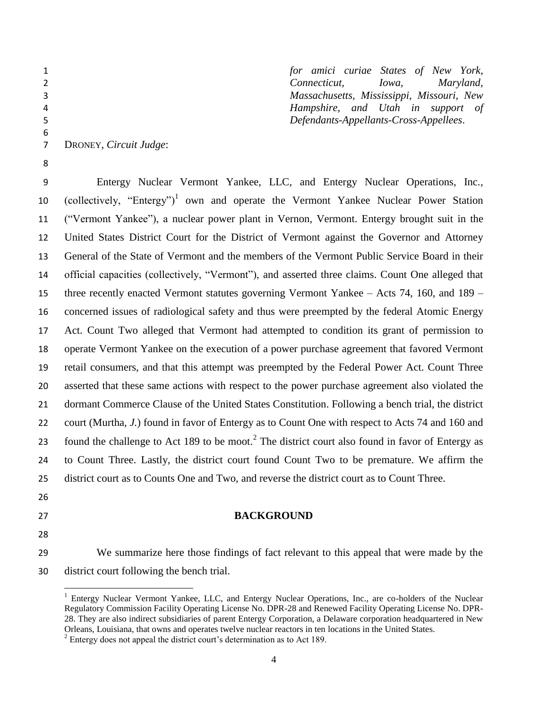| $\mathbf{1}$ |                        | for amici curiae States of New York,      |
|--------------|------------------------|-------------------------------------------|
|              |                        |                                           |
|              |                        | Maryland,<br>Connecticut, Iowa,           |
| 3            |                        | Massachusetts, Mississippi, Missouri, New |
| 4            |                        | Hampshire, and Utah in support of         |
| 5            |                        | Defendants-Appellants-Cross-Appellees.    |
| 6            |                        |                                           |
|              | DRONEY, Circuit Judge: |                                           |

 Entergy Nuclear Vermont Yankee, LLC, and Entergy Nuclear Operations, Inc., 10 (collectively, "Entergy")<sup>1</sup> own and operate the Vermont Yankee Nuclear Power Station ("Vermont Yankee"), a nuclear power plant in Vernon, Vermont. Entergy brought suit in the United States District Court for the District of Vermont against the Governor and Attorney General of the State of Vermont and the members of the Vermont Public Service Board in their official capacities (collectively, "Vermont"), and asserted three claims. Count One alleged that three recently enacted Vermont statutes governing Vermont Yankee – Acts 74, 160, and 189 – concerned issues of radiological safety and thus were preempted by the federal Atomic Energy Act. Count Two alleged that Vermont had attempted to condition its grant of permission to operate Vermont Yankee on the execution of a power purchase agreement that favored Vermont retail consumers, and that this attempt was preempted by the Federal Power Act. Count Three asserted that these same actions with respect to the power purchase agreement also violated the dormant Commerce Clause of the United States Constitution. Following a bench trial, the district court (Murtha, *J.*) found in favor of Entergy as to Count One with respect to Acts 74 and 160 and 23 found the challenge to Act 189 to be moot.<sup>2</sup> The district court also found in favor of Entergy as to Count Three. Lastly, the district court found Count Two to be premature. We affirm the district court as to Counts One and Two, and reverse the district court as to Count Three.

- 
- 

 $\overline{a}$ 

#### **BACKGROUND**

 We summarize here those findings of fact relevant to this appeal that were made by the district court following the bench trial.

<sup>&</sup>lt;sup>1</sup> Entergy Nuclear Vermont Yankee, LLC, and Entergy Nuclear Operations, Inc., are co-holders of the Nuclear Regulatory Commission Facility Operating License No. DPR-28 and Renewed Facility Operating License No. DPR-28. They are also indirect subsidiaries of parent Entergy Corporation, a Delaware corporation headquartered in New Orleans, Louisiana, that owns and operates twelve nuclear reactors in ten locations in the United States.

 $2^2$  Entergy does not appeal the district court's determination as to Act 189.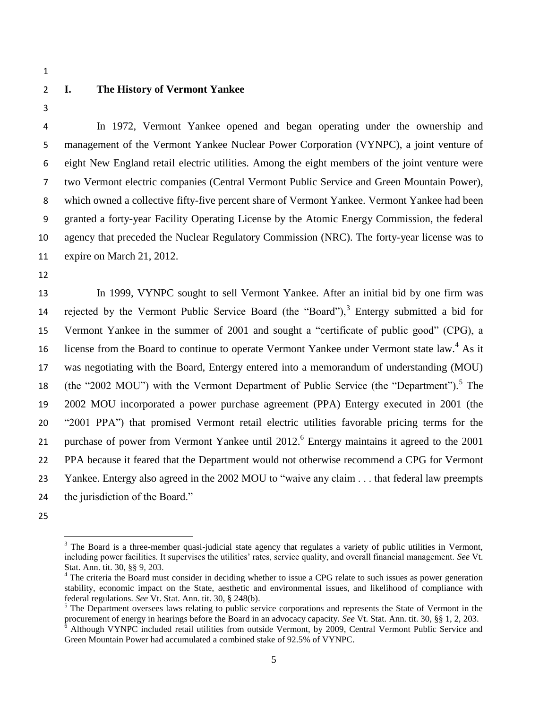- 
- 

# **I. The History of Vermont Yankee**

 In 1972, Vermont Yankee opened and began operating under the ownership and management of the Vermont Yankee Nuclear Power Corporation (VYNPC), a joint venture of eight New England retail electric utilities. Among the eight members of the joint venture were two Vermont electric companies (Central Vermont Public Service and Green Mountain Power), which owned a collective fifty-five percent share of Vermont Yankee. Vermont Yankee had been granted a forty-year Facility Operating License by the Atomic Energy Commission, the federal agency that preceded the Nuclear Regulatory Commission (NRC). The forty-year license was to expire on March 21, 2012.

 In 1999, VYNPC sought to sell Vermont Yankee. After an initial bid by one firm was 14 rejected by the Vermont Public Service Board (the "Board"), Entergy submitted a bid for Vermont Yankee in the summer of 2001 and sought a "certificate of public good" (CPG), a 16 license from the Board to continue to operate Vermont Yankee under Vermont state law.<sup>4</sup> As it was negotiating with the Board, Entergy entered into a memorandum of understanding (MOU) 18 (the "2002 MOU") with the Vermont Department of Public Service (the "Department").<sup>5</sup> The 2002 MOU incorporated a power purchase agreement (PPA) Entergy executed in 2001 (the "2001 PPA") that promised Vermont retail electric utilities favorable pricing terms for the 21 purchase of power from Vermont Yankee until 2012.<sup>6</sup> Entergy maintains it agreed to the 2001 PPA because it feared that the Department would not otherwise recommend a CPG for Vermont Yankee. Entergy also agreed in the 2002 MOU to "waive any claim . . . that federal law preempts the jurisdiction of the Board."

 $\overline{\phantom{a}}$ 

 The Board is a three-member quasi-judicial state agency that regulates a variety of public utilities in Vermont, including power facilities. It supervises the utilities' rates, service quality, and overall financial management. *See* Vt. Stat. Ann. tit. 30, §§ 9, 203.

<sup>&</sup>lt;sup>4</sup> The criteria the Board must consider in deciding whether to issue a CPG relate to such issues as power generation stability, economic impact on the State, aesthetic and environmental issues, and likelihood of compliance with federal regulations. *See* Vt. Stat. Ann. tit. 30, § 248(b).

<sup>&</sup>lt;sup>5</sup> The Department oversees laws relating to public service corporations and represents the State of Vermont in the procurement of energy in hearings before the Board in an advocacy capacity. *See* Vt. Stat. Ann. tit. 30, §§ 1, 2, 203.

 Although VYNPC included retail utilities from outside Vermont, by 2009, Central Vermont Public Service and Green Mountain Power had accumulated a combined stake of 92.5% of VYNPC.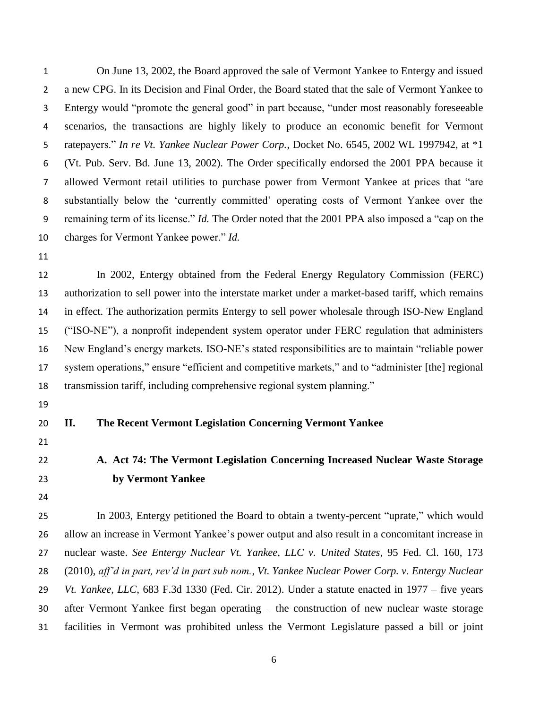On June 13, 2002, the Board approved the sale of Vermont Yankee to Entergy and issued a new CPG. In its Decision and Final Order, the Board stated that the sale of Vermont Yankee to Entergy would "promote the general good" in part because, "under most reasonably foreseeable scenarios, the transactions are highly likely to produce an economic benefit for Vermont ratepayers." *In re Vt. Yankee Nuclear Power Corp.*, Docket No. 6545, 2002 WL 1997942, at \*1 (Vt. Pub. Serv. Bd. June 13, 2002). The Order specifically endorsed the 2001 PPA because it allowed Vermont retail utilities to purchase power from Vermont Yankee at prices that "are substantially below the 'currently committed' operating costs of Vermont Yankee over the remaining term of its license." *Id.* The Order noted that the 2001 PPA also imposed a "cap on the charges for Vermont Yankee power." *Id.*

 In 2002, Entergy obtained from the Federal Energy Regulatory Commission (FERC) authorization to sell power into the interstate market under a market-based tariff, which remains in effect. The authorization permits Entergy to sell power wholesale through ISO-New England ("ISO-NE"), a nonprofit independent system operator under FERC regulation that administers New England's energy markets. ISO-NE's stated responsibilities are to maintain "reliable power system operations," ensure "efficient and competitive markets," and to "administer [the] regional transmission tariff, including comprehensive regional system planning."

#### **II. The Recent Vermont Legislation Concerning Vermont Yankee**

- 
- **A. Act 74: The Vermont Legislation Concerning Increased Nuclear Waste Storage by Vermont Yankee**
- 

 In 2003, Entergy petitioned the Board to obtain a twenty-percent "uprate," which would allow an increase in Vermont Yankee's power output and also result in a concomitant increase in nuclear waste. *See Entergy Nuclear Vt. Yankee, LLC v. United States*, 95 Fed. Cl. 160, 173 (2010), *aff'd in part, rev'd in part sub nom.*, *Vt. Yankee Nuclear Power Corp. v. Entergy Nuclear Vt. Yankee, LLC*, 683 F.3d 1330 (Fed. Cir. 2012). Under a statute enacted in 1977 – five years after Vermont Yankee first began operating – the construction of new nuclear waste storage facilities in Vermont was prohibited unless the Vermont Legislature passed a bill or joint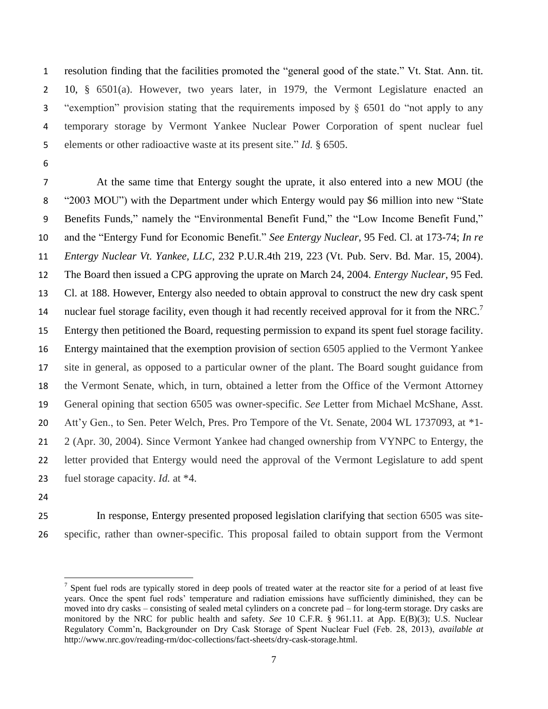resolution finding that the facilities promoted the "general good of the state." Vt. Stat. Ann. tit. 10, § 6501(a). However, two years later, in 1979, the Vermont Legislature enacted an "exemption" provision stating that the requirements imposed by § 6501 do "not apply to any temporary storage by Vermont Yankee Nuclear Power Corporation of spent nuclear fuel elements or other radioactive waste at its present site." *Id.* § 6505.

 At the same time that Entergy sought the uprate, it also entered into a new MOU (the "2003 MOU") with the Department under which Entergy would pay \$6 million into new "State Benefits Funds," namely the "Environmental Benefit Fund," the "Low Income Benefit Fund," and the "Entergy Fund for Economic Benefit." *See Entergy Nuclear*, 95 Fed. Cl. at 173-74; *In re Entergy Nuclear Vt. Yankee, LLC*, 232 P.U.R.4th 219, 223 (Vt. Pub. Serv. Bd. Mar. 15, 2004). The Board then issued a CPG approving the uprate on March 24, 2004. *Entergy Nuclear*, 95 Fed. Cl. at 188. However, Entergy also needed to obtain approval to construct the new dry cask spent nuclear fuel storage facility, even though it had recently received approval for it from the NRC.<sup>7</sup> Entergy then petitioned the Board, requesting permission to expand its spent fuel storage facility. Entergy maintained that the exemption provision of section 6505 applied to the Vermont Yankee site in general, as opposed to a particular owner of the plant. The Board sought guidance from the Vermont Senate, which, in turn, obtained a letter from the Office of the Vermont Attorney General opining that section 6505 was owner-specific. *See* Letter from Michael McShane, Asst. Att'y Gen., to Sen. Peter Welch, Pres. Pro Tempore of the Vt. Senate, 2004 WL 1737093, at \*1- 2 (Apr. 30, 2004). Since Vermont Yankee had changed ownership from VYNPC to Entergy, the letter provided that Entergy would need the approval of the Vermont Legislature to add spent fuel storage capacity. *Id.* at \*4.

- 
- 
- 

l

 In response, Entergy presented proposed legislation clarifying that section 6505 was site-specific, rather than owner-specific. This proposal failed to obtain support from the Vermont

 $<sup>7</sup>$  Spent fuel rods are typically stored in deep pools of treated water at the reactor site for a period of at least five</sup> years. Once the spent fuel rods' temperature and radiation emissions have sufficiently diminished, they can be moved into dry casks – consisting of sealed metal cylinders on a concrete pad – for long-term storage. Dry casks are monitored by the NRC for public health and safety. *See* 10 C.F.R. § 961.11. at App. E(B)(3); U.S. Nuclear Regulatory Comm'n, Backgrounder on Dry Cask Storage of Spent Nuclear Fuel (Feb. 28, 2013), *available at* http://www.nrc.gov/reading-rm/doc-collections/fact-sheets/dry-cask-storage.html.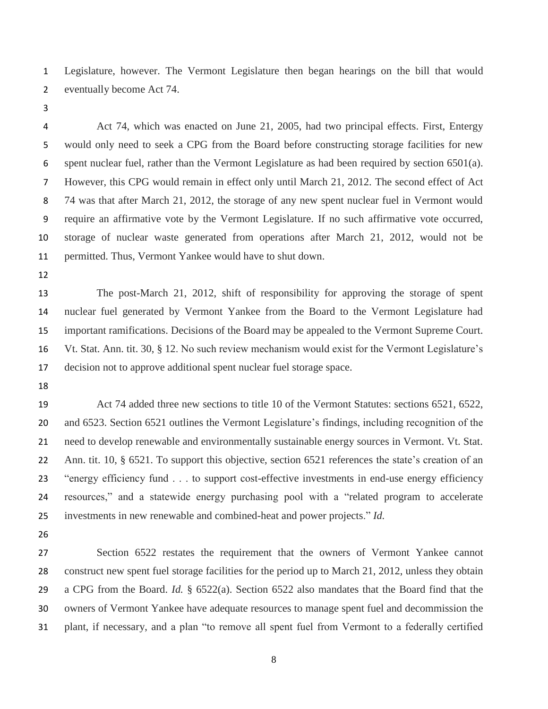Legislature, however. The Vermont Legislature then began hearings on the bill that would eventually become Act 74.

 Act 74, which was enacted on June 21, 2005, had two principal effects. First, Entergy would only need to seek a CPG from the Board before constructing storage facilities for new spent nuclear fuel, rather than the Vermont Legislature as had been required by section 6501(a). However, this CPG would remain in effect only until March 21, 2012. The second effect of Act 74 was that after March 21, 2012, the storage of any new spent nuclear fuel in Vermont would require an affirmative vote by the Vermont Legislature. If no such affirmative vote occurred, storage of nuclear waste generated from operations after March 21, 2012, would not be permitted. Thus, Vermont Yankee would have to shut down.

 The post-March 21, 2012, shift of responsibility for approving the storage of spent nuclear fuel generated by Vermont Yankee from the Board to the Vermont Legislature had important ramifications. Decisions of the Board may be appealed to the Vermont Supreme Court. Vt. Stat. Ann. tit. 30, § 12. No such review mechanism would exist for the Vermont Legislature's decision not to approve additional spent nuclear fuel storage space.

 Act 74 added three new sections to title 10 of the Vermont Statutes: sections 6521, 6522, and 6523. Section 6521 outlines the Vermont Legislature's findings, including recognition of the need to develop renewable and environmentally sustainable energy sources in Vermont. Vt. Stat. Ann. tit. 10, § 6521. To support this objective, section 6521 references the state's creation of an "energy efficiency fund . . . to support cost-effective investments in end-use energy efficiency resources," and a statewide energy purchasing pool with a "related program to accelerate investments in new renewable and combined-heat and power projects." *Id.*

 Section 6522 restates the requirement that the owners of Vermont Yankee cannot construct new spent fuel storage facilities for the period up to March 21, 2012, unless they obtain a CPG from the Board. *Id.* § 6522(a). Section 6522 also mandates that the Board find that the owners of Vermont Yankee have adequate resources to manage spent fuel and decommission the plant, if necessary, and a plan "to remove all spent fuel from Vermont to a federally certified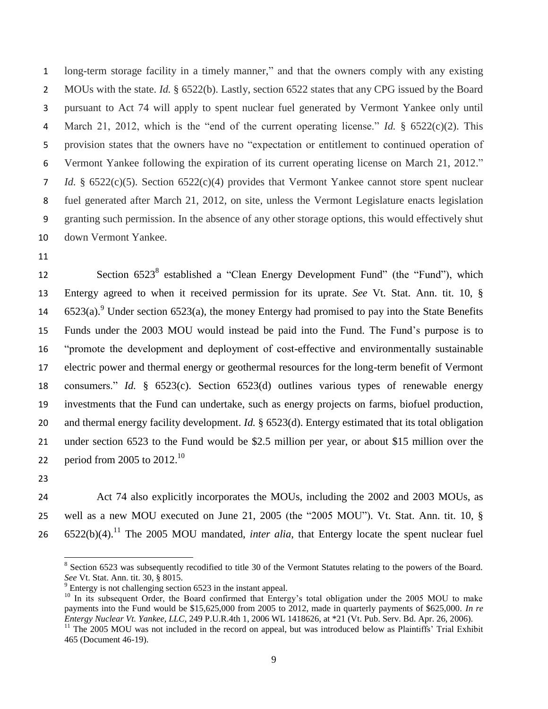long-term storage facility in a timely manner," and that the owners comply with any existing MOUs with the state. *Id.* § 6522(b). Lastly, section 6522 states that any CPG issued by the Board pursuant to Act 74 will apply to spent nuclear fuel generated by Vermont Yankee only until March 21, 2012, which is the "end of the current operating license." *Id.* § 6522(c)(2). This provision states that the owners have no "expectation or entitlement to continued operation of Vermont Yankee following the expiration of its current operating license on March 21, 2012." *Id.* § 6522(c)(5). Section 6522(c)(4) provides that Vermont Yankee cannot store spent nuclear fuel generated after March 21, 2012, on site, unless the Vermont Legislature enacts legislation granting such permission. In the absence of any other storage options, this would effectively shut down Vermont Yankee.

12 Section 6523<sup>8</sup> established a "Clean Energy Development Fund" (the "Fund"), which Entergy agreed to when it received permission for its uprate. *See* Vt. Stat. Ann. tit. 10, §  $6523(a)$ . Under section 6523(a), the money Entergy had promised to pay into the State Benefits Funds under the 2003 MOU would instead be paid into the Fund. The Fund's purpose is to "promote the development and deployment of cost-effective and environmentally sustainable electric power and thermal energy or geothermal resources for the long-term benefit of Vermont consumers." *Id.* § 6523(c). Section 6523(d) outlines various types of renewable energy investments that the Fund can undertake, such as energy projects on farms, biofuel production, and thermal energy facility development. *Id.* § 6523(d). Entergy estimated that its total obligation under section 6523 to the Fund would be \$2.5 million per year, or about \$15 million over the 22 period from 2005 to  $2012.^{10}$ 

 Act 74 also explicitly incorporates the MOUs, including the 2002 and 2003 MOUs, as well as a new MOU executed on June 21, 2005 (the "2005 MOU"). Vt. Stat. Ann. tit. 10, §  $6522(b)(4).$ <sup>11</sup> The 2005 MOU mandated, *inter alia*, that Entergy locate the spent nuclear fuel

<sup>&</sup>lt;sup>8</sup> Section 6523 was subsequently recodified to title 30 of the Vermont Statutes relating to the powers of the Board. *See* Vt. Stat. Ann. tit. 30, § 8015.

 $9^9$  Entergy is not challenging section 6523 in the instant appeal.

<sup>&</sup>lt;sup>10</sup> In its subsequent Order, the Board confirmed that Entergy's total obligation under the 2005 MOU to make payments into the Fund would be \$15,625,000 from 2005 to 2012, made in quarterly payments of \$625,000. *In re Entergy Nuclear Vt. Yankee, LLC*, 249 P.U.R.4th 1, 2006 WL 1418626, at \*21 (Vt. Pub. Serv. Bd. Apr. 26, 2006).

 The 2005 MOU was not included in the record on appeal, but was introduced below as Plaintiffs' Trial Exhibit 465 (Document 46-19).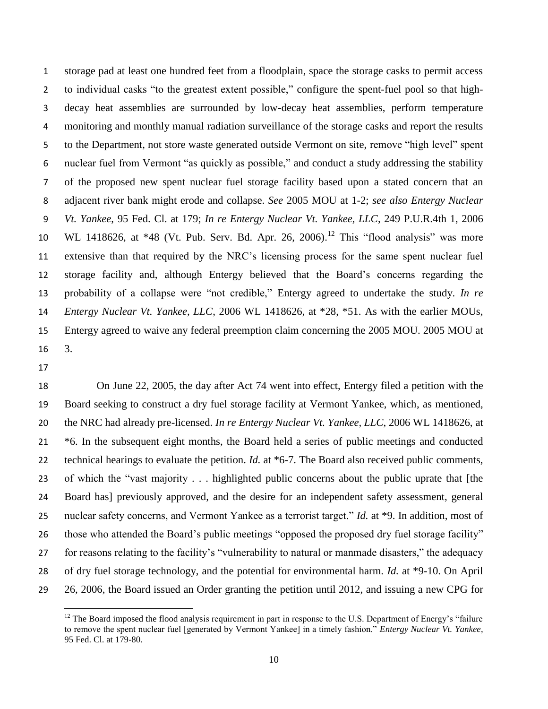storage pad at least one hundred feet from a floodplain, space the storage casks to permit access to individual casks "to the greatest extent possible," configure the spent-fuel pool so that high- decay heat assemblies are surrounded by low-decay heat assemblies, perform temperature monitoring and monthly manual radiation surveillance of the storage casks and report the results to the Department, not store waste generated outside Vermont on site, remove "high level" spent nuclear fuel from Vermont "as quickly as possible," and conduct a study addressing the stability of the proposed new spent nuclear fuel storage facility based upon a stated concern that an adjacent river bank might erode and collapse. *See* 2005 MOU at 1-2; *see also Entergy Nuclear Vt. Yankee*, 95 Fed. Cl. at 179; *In re Entergy Nuclear Vt. Yankee, LLC*, 249 P.U.R.4th 1, 2006 10 WL 1418626, at \*48 (Vt. Pub. Serv. Bd. Apr. 26, 2006).<sup>12</sup> This "flood analysis" was more extensive than that required by the NRC's licensing process for the same spent nuclear fuel storage facility and, although Entergy believed that the Board's concerns regarding the probability of a collapse were "not credible," Entergy agreed to undertake the study. *In re Entergy Nuclear Vt. Yankee, LLC*, 2006 WL 1418626, at \*28, \*51. As with the earlier MOUs, Entergy agreed to waive any federal preemption claim concerning the 2005 MOU. 2005 MOU at 3.

 On June 22, 2005, the day after Act 74 went into effect, Entergy filed a petition with the Board seeking to construct a dry fuel storage facility at Vermont Yankee, which, as mentioned, the NRC had already pre-licensed. *In re Entergy Nuclear Vt. Yankee, LLC*, 2006 WL 1418626, at \*6. In the subsequent eight months, the Board held a series of public meetings and conducted technical hearings to evaluate the petition. *Id.* at \*6-7. The Board also received public comments, of which the "vast majority . . . highlighted public concerns about the public uprate that [the Board has] previously approved, and the desire for an independent safety assessment, general nuclear safety concerns, and Vermont Yankee as a terrorist target." *Id.* at \*9. In addition, most of those who attended the Board's public meetings "opposed the proposed dry fuel storage facility" for reasons relating to the facility's "vulnerability to natural or manmade disasters," the adequacy of dry fuel storage technology, and the potential for environmental harm. *Id.* at \*9-10. On April 26, 2006, the Board issued an Order granting the petition until 2012, and issuing a new CPG for

 $\overline{\phantom{a}}$ <sup>12</sup> The Board imposed the flood analysis requirement in part in response to the U.S. Department of Energy's "failure" to remove the spent nuclear fuel [generated by Vermont Yankee] in a timely fashion." *Entergy Nuclear Vt. Yankee*, 95 Fed. Cl. at 179-80.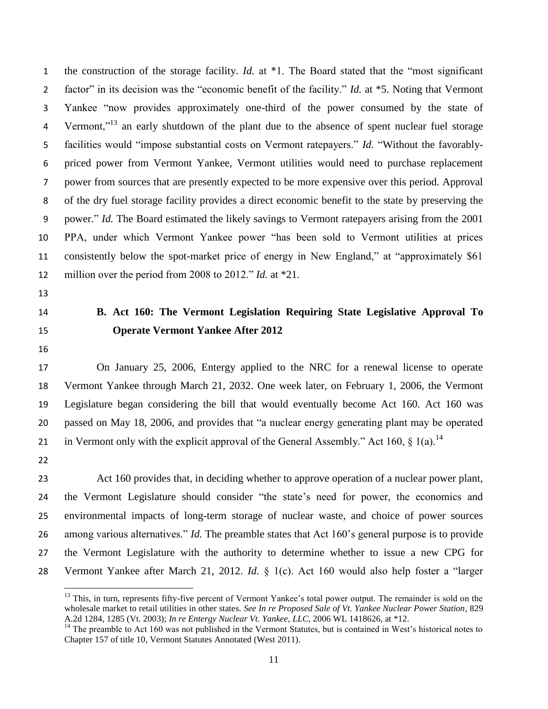the construction of the storage facility. *Id.* at \*1. The Board stated that the "most significant factor" in its decision was the "economic benefit of the facility." *Id.* at \*5. Noting that Vermont Yankee "now provides approximately one-third of the power consumed by the state of 4 Vermont,"<sup>13</sup> an early shutdown of the plant due to the absence of spent nuclear fuel storage facilities would "impose substantial costs on Vermont ratepayers." *Id.* "Without the favorably- priced power from Vermont Yankee, Vermont utilities would need to purchase replacement power from sources that are presently expected to be more expensive over this period. Approval of the dry fuel storage facility provides a direct economic benefit to the state by preserving the power." *Id.* The Board estimated the likely savings to Vermont ratepayers arising from the 2001 PPA, under which Vermont Yankee power "has been sold to Vermont utilities at prices consistently below the spot-market price of energy in New England," at "approximately \$61 million over the period from 2008 to 2012." *Id.* at \*21.

- 
- 
- 

# **B. Act 160: The Vermont Legislation Requiring State Legislative Approval To Operate Vermont Yankee After 2012**

 On January 25, 2006, Entergy applied to the NRC for a renewal license to operate Vermont Yankee through March 21, 2032. One week later, on February 1, 2006, the Vermont Legislature began considering the bill that would eventually become Act 160. Act 160 was passed on May 18, 2006, and provides that "a nuclear energy generating plant may be operated

21 in Vermont only with the explicit approval of the General Assembly." Act 160,  $\S$  1(a).<sup>14</sup>

 $\overline{a}$ 

 Act 160 provides that, in deciding whether to approve operation of a nuclear power plant, the Vermont Legislature should consider "the state's need for power, the economics and environmental impacts of long-term storage of nuclear waste, and choice of power sources among various alternatives." *Id.* The preamble states that Act 160's general purpose is to provide the Vermont Legislature with the authority to determine whether to issue a new CPG for Vermont Yankee after March 21, 2012. *Id.* § 1(c). Act 160 would also help foster a "larger

<sup>&</sup>lt;sup>13</sup> This, in turn, represents fifty-five percent of Vermont Yankee's total power output. The remainder is sold on the wholesale market to retail utilities in other states. *See In re Proposed Sale of Vt. Yankee Nuclear Power Station*, 829 A.2d 1284, 1285 (Vt. 2003); *In re Entergy Nuclear Vt. Yankee, LLC*, 2006 WL 1418626, at \*12.

<sup>&</sup>lt;sup>14</sup> The preamble to Act 160 was not published in the Vermont Statutes, but is contained in West's historical notes to Chapter 157 of title 10, Vermont Statutes Annotated (West 2011).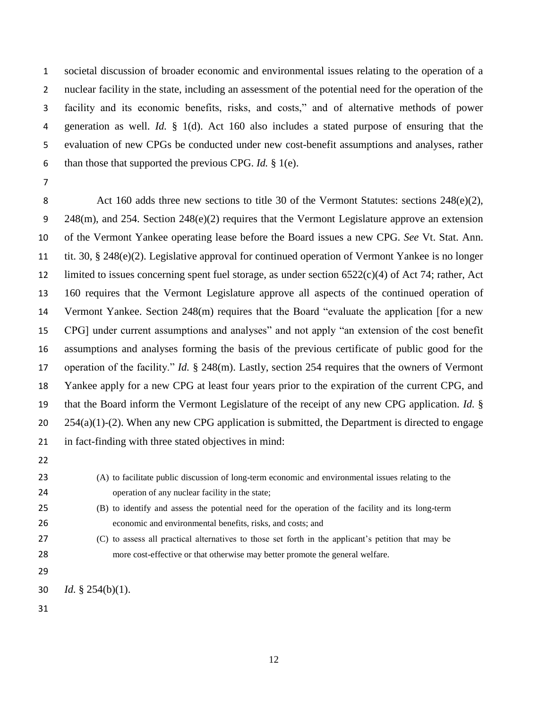societal discussion of broader economic and environmental issues relating to the operation of a nuclear facility in the state, including an assessment of the potential need for the operation of the facility and its economic benefits, risks, and costs," and of alternative methods of power generation as well. *Id.* § 1(d). Act 160 also includes a stated purpose of ensuring that the evaluation of new CPGs be conducted under new cost-benefit assumptions and analyses, rather than those that supported the previous CPG. *Id.* § 1(e).

8 Act 160 adds three new sections to title 30 of the Vermont Statutes: sections 248(e)(2), 248(m), and 254. Section 248(e)(2) requires that the Vermont Legislature approve an extension of the Vermont Yankee operating lease before the Board issues a new CPG. *See* Vt. Stat. Ann. tit. 30, § 248(e)(2). Legislative approval for continued operation of Vermont Yankee is no longer limited to issues concerning spent fuel storage, as under section 6522(c)(4) of Act 74; rather, Act 160 requires that the Vermont Legislature approve all aspects of the continued operation of Vermont Yankee. Section 248(m) requires that the Board "evaluate the application [for a new CPG] under current assumptions and analyses" and not apply "an extension of the cost benefit assumptions and analyses forming the basis of the previous certificate of public good for the operation of the facility." *Id.* § 248(m). Lastly, section 254 requires that the owners of Vermont Yankee apply for a new CPG at least four years prior to the expiration of the current CPG, and that the Board inform the Vermont Legislature of the receipt of any new CPG application. *Id.* §  $254(a)(1)-(2)$ . When any new CPG application is submitted, the Department is directed to engage in fact-finding with three stated objectives in mind:

- 
- 

 (A) to facilitate public discussion of long-term economic and environmental issues relating to the operation of any nuclear facility in the state;

 (B) to identify and assess the potential need for the operation of the facility and its long-term economic and environmental benefits, risks, and costs; and

 (C) to assess all practical alternatives to those set forth in the applicant's petition that may be more cost-effective or that otherwise may better promote the general welfare.

*Id.* § 254(b)(1).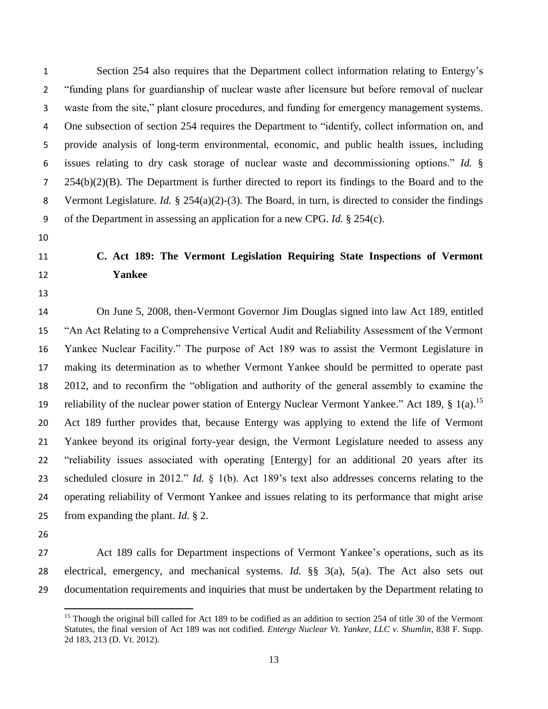"funding plans for guardianship of nuclear waste after licensure but before removal of nuclear waste from the site," plant closure procedures, and funding for emergency management systems. One subsection of section 254 requires the Department to "identify, collect information on, and provide analysis of long-term environmental, economic, and public health issues, including issues relating to dry cask storage of nuclear waste and decommissioning options." *Id.* § 254(b)(2)(B). The Department is further directed to report its findings to the Board and to the Vermont Legislature. *Id.* § 254(a)(2)-(3). The Board, in turn, is directed to consider the findings of the Department in assessing an application for a new CPG. *Id.* § 254(c).

# **C. Act 189: The Vermont Legislation Requiring State Inspections of Vermont Yankee**

Section 254 also requires that the Department collect information relating to Entergy's

 On June 5, 2008, then-Vermont Governor Jim Douglas signed into law Act 189, entitled "An Act Relating to a Comprehensive Vertical Audit and Reliability Assessment of the Vermont Yankee Nuclear Facility." The purpose of Act 189 was to assist the Vermont Legislature in making its determination as to whether Vermont Yankee should be permitted to operate past 2012, and to reconfirm the "obligation and authority of the general assembly to examine the 19 reliability of the nuclear power station of Entergy Nuclear Vermont Yankee." Act 189,  $\S$  1(a).<sup>15</sup> Act 189 further provides that, because Entergy was applying to extend the life of Vermont Yankee beyond its original forty-year design, the Vermont Legislature needed to assess any "reliability issues associated with operating [Entergy] for an additional 20 years after its scheduled closure in 2012." *Id.* § 1(b). Act 189's text also addresses concerns relating to the operating reliability of Vermont Yankee and issues relating to its performance that might arise from expanding the plant. *Id.* § 2.

- 
- Act 189 calls for Department inspections of Vermont Yankee's operations, such as its electrical, emergency, and mechanical systems. *Id.* §§ 3(a), 5(a). The Act also sets out documentation requirements and inquiries that must be undertaken by the Department relating to

 $\overline{\phantom{a}}$ <sup>15</sup> Though the original bill called for Act 189 to be codified as an addition to section 254 of title 30 of the Vermont Statutes, the final version of Act 189 was not codified. *Entergy Nuclear Vt. Yankee, LLC v. Shumlin*, 838 F. Supp. 2d 183, 213 (D. Vt. 2012).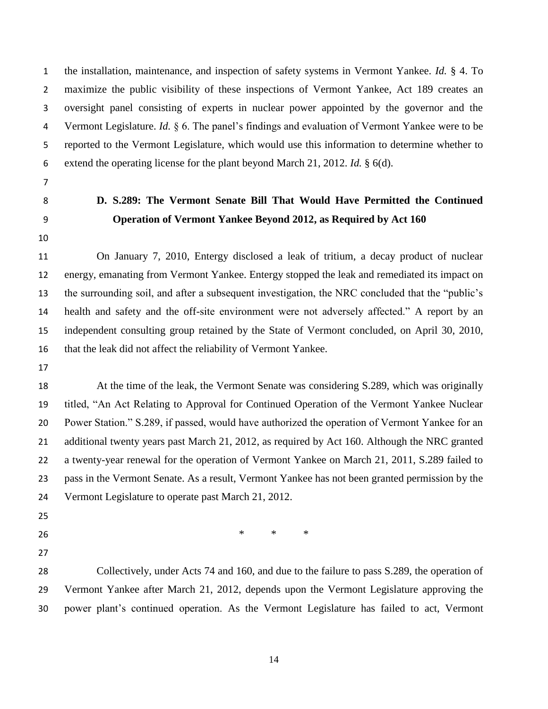the installation, maintenance, and inspection of safety systems in Vermont Yankee. *Id.* § 4. To maximize the public visibility of these inspections of Vermont Yankee, Act 189 creates an oversight panel consisting of experts in nuclear power appointed by the governor and the Vermont Legislature. *Id.* § 6. The panel's findings and evaluation of Vermont Yankee were to be reported to the Vermont Legislature, which would use this information to determine whether to extend the operating license for the plant beyond March 21, 2012. *Id.* § 6(d).

- 
- 

# **D. S.289: The Vermont Senate Bill That Would Have Permitted the Continued Operation of Vermont Yankee Beyond 2012, as Required by Act 160**

 On January 7, 2010, Entergy disclosed a leak of tritium, a decay product of nuclear energy, emanating from Vermont Yankee. Entergy stopped the leak and remediated its impact on the surrounding soil, and after a subsequent investigation, the NRC concluded that the "public's health and safety and the off-site environment were not adversely affected." A report by an independent consulting group retained by the State of Vermont concluded, on April 30, 2010, that the leak did not affect the reliability of Vermont Yankee.

 At the time of the leak, the Vermont Senate was considering S.289, which was originally titled, "An Act Relating to Approval for Continued Operation of the Vermont Yankee Nuclear Power Station." S.289, if passed, would have authorized the operation of Vermont Yankee for an additional twenty years past March 21, 2012, as required by Act 160. Although the NRC granted a twenty-year renewal for the operation of Vermont Yankee on March 21, 2011, S.289 failed to pass in the Vermont Senate. As a result, Vermont Yankee has not been granted permission by the 24 Vermont Legislature to operate past March 21, 2012.

- 
- \* \* \* \*
- 

 Collectively, under Acts 74 and 160, and due to the failure to pass S.289, the operation of Vermont Yankee after March 21, 2012, depends upon the Vermont Legislature approving the power plant's continued operation. As the Vermont Legislature has failed to act, Vermont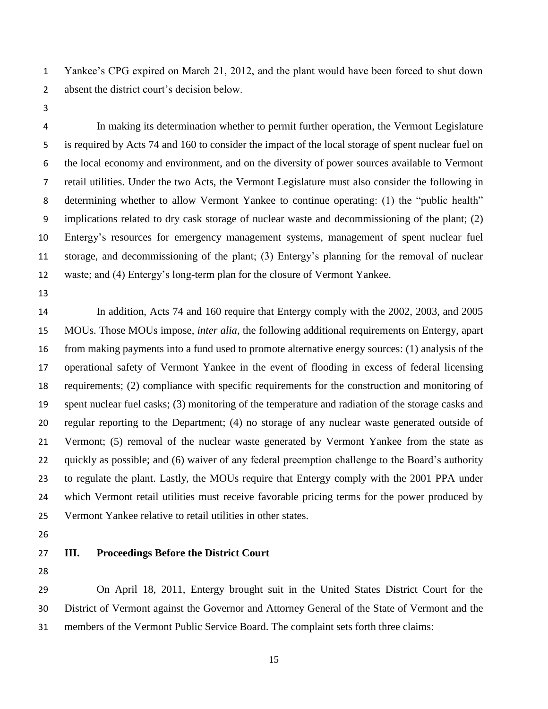Yankee's CPG expired on March 21, 2012, and the plant would have been forced to shut down absent the district court's decision below.

 In making its determination whether to permit further operation, the Vermont Legislature is required by Acts 74 and 160 to consider the impact of the local storage of spent nuclear fuel on the local economy and environment, and on the diversity of power sources available to Vermont retail utilities. Under the two Acts, the Vermont Legislature must also consider the following in determining whether to allow Vermont Yankee to continue operating: (1) the "public health" implications related to dry cask storage of nuclear waste and decommissioning of the plant; (2) Entergy's resources for emergency management systems, management of spent nuclear fuel storage, and decommissioning of the plant; (3) Entergy's planning for the removal of nuclear waste; and (4) Entergy's long-term plan for the closure of Vermont Yankee.

 In addition, Acts 74 and 160 require that Entergy comply with the 2002, 2003, and 2005 MOUs. Those MOUs impose, *inter alia*, the following additional requirements on Entergy, apart from making payments into a fund used to promote alternative energy sources: (1) analysis of the operational safety of Vermont Yankee in the event of flooding in excess of federal licensing requirements; (2) compliance with specific requirements for the construction and monitoring of spent nuclear fuel casks; (3) monitoring of the temperature and radiation of the storage casks and regular reporting to the Department; (4) no storage of any nuclear waste generated outside of Vermont; (5) removal of the nuclear waste generated by Vermont Yankee from the state as quickly as possible; and (6) waiver of any federal preemption challenge to the Board's authority to regulate the plant. Lastly, the MOUs require that Entergy comply with the 2001 PPA under which Vermont retail utilities must receive favorable pricing terms for the power produced by Vermont Yankee relative to retail utilities in other states.

- 
- 

## **III. Proceedings Before the District Court**

 On April 18, 2011, Entergy brought suit in the United States District Court for the District of Vermont against the Governor and Attorney General of the State of Vermont and the members of the Vermont Public Service Board. The complaint sets forth three claims: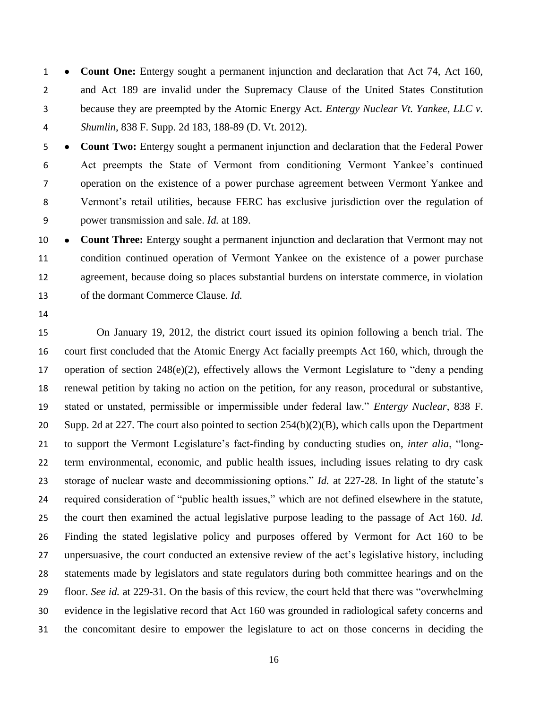**Count One:** Entergy sought a permanent injunction and declaration that Act 74, Act 160, and Act 189 are invalid under the Supremacy Clause of the United States Constitution because they are preempted by the Atomic Energy Act. *Entergy Nuclear Vt. Yankee, LLC v. Shumlin*, 838 F. Supp. 2d 183, 188-89 (D. Vt. 2012).

 **Count Two:** Entergy sought a permanent injunction and declaration that the Federal Power Act preempts the State of Vermont from conditioning Vermont Yankee's continued operation on the existence of a power purchase agreement between Vermont Yankee and Vermont's retail utilities, because FERC has exclusive jurisdiction over the regulation of power transmission and sale. *Id.* at 189.

 **Count Three:** Entergy sought a permanent injunction and declaration that Vermont may not condition continued operation of Vermont Yankee on the existence of a power purchase agreement, because doing so places substantial burdens on interstate commerce, in violation of the dormant Commerce Clause. *Id.*

 On January 19, 2012, the district court issued its opinion following a bench trial. The court first concluded that the Atomic Energy Act facially preempts Act 160, which, through the operation of section 248(e)(2), effectively allows the Vermont Legislature to "deny a pending renewal petition by taking no action on the petition, for any reason, procedural or substantive, stated or unstated, permissible or impermissible under federal law." *Entergy Nuclear*, 838 F. Supp. 2d at 227. The court also pointed to section 254(b)(2)(B), which calls upon the Department to support the Vermont Legislature's fact-finding by conducting studies on, *inter alia*, "long- term environmental, economic, and public health issues, including issues relating to dry cask storage of nuclear waste and decommissioning options." *Id.* at 227-28. In light of the statute's required consideration of "public health issues," which are not defined elsewhere in the statute, the court then examined the actual legislative purpose leading to the passage of Act 160. *Id.* Finding the stated legislative policy and purposes offered by Vermont for Act 160 to be unpersuasive, the court conducted an extensive review of the act's legislative history, including statements made by legislators and state regulators during both committee hearings and on the floor. *See id.* at 229-31. On the basis of this review, the court held that there was "overwhelming evidence in the legislative record that Act 160 was grounded in radiological safety concerns and the concomitant desire to empower the legislature to act on those concerns in deciding the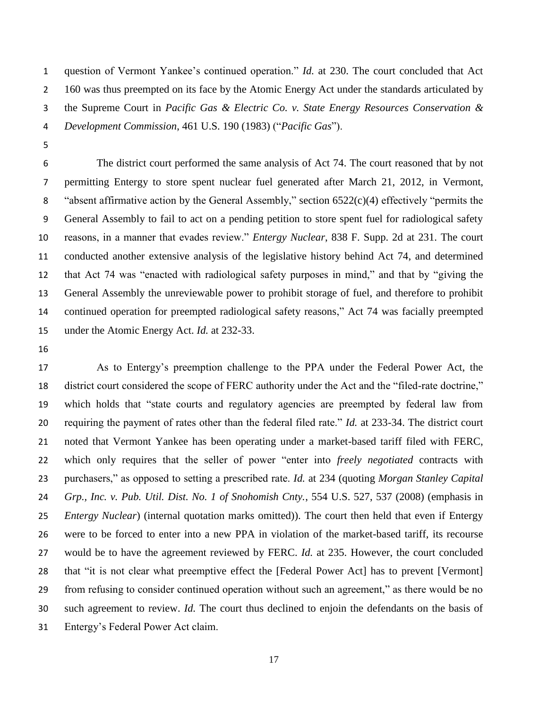question of Vermont Yankee's continued operation." *Id.* at 230. The court concluded that Act 2 160 was thus preempted on its face by the Atomic Energy Act under the standards articulated by the Supreme Court in *Pacific Gas & Electric Co. v. State Energy Resources Conservation & Development Commission*, 461 U.S. 190 (1983) ("*Pacific Gas*").

 The district court performed the same analysis of Act 74. The court reasoned that by not permitting Entergy to store spent nuclear fuel generated after March 21, 2012, in Vermont, "absent affirmative action by the General Assembly," section 6522(c)(4) effectively "permits the General Assembly to fail to act on a pending petition to store spent fuel for radiological safety reasons, in a manner that evades review." *Entergy Nuclear*, 838 F. Supp. 2d at 231. The court conducted another extensive analysis of the legislative history behind Act 74, and determined that Act 74 was "enacted with radiological safety purposes in mind," and that by "giving the General Assembly the unreviewable power to prohibit storage of fuel, and therefore to prohibit continued operation for preempted radiological safety reasons," Act 74 was facially preempted under the Atomic Energy Act. *Id.* at 232-33.

 As to Entergy's preemption challenge to the PPA under the Federal Power Act, the district court considered the scope of FERC authority under the Act and the "filed-rate doctrine," which holds that "state courts and regulatory agencies are preempted by federal law from requiring the payment of rates other than the federal filed rate." *Id.* at 233-34. The district court noted that Vermont Yankee has been operating under a market-based tariff filed with FERC, which only requires that the seller of power "enter into *freely negotiated* contracts with purchasers," as opposed to setting a prescribed rate. *Id.* at 234 (quoting *Morgan Stanley Capital Grp., Inc. v. Pub. Util. Dist. No. 1 of Snohomish Cnty.*, 554 U.S. 527, 537 (2008) (emphasis in *Entergy Nuclear*) (internal quotation marks omitted)). The court then held that even if Entergy were to be forced to enter into a new PPA in violation of the market-based tariff, its recourse would be to have the agreement reviewed by FERC. *Id.* at 235. However, the court concluded that "it is not clear what preemptive effect the [Federal Power Act] has to prevent [Vermont] from refusing to consider continued operation without such an agreement," as there would be no such agreement to review. *Id.* The court thus declined to enjoin the defendants on the basis of Entergy's Federal Power Act claim.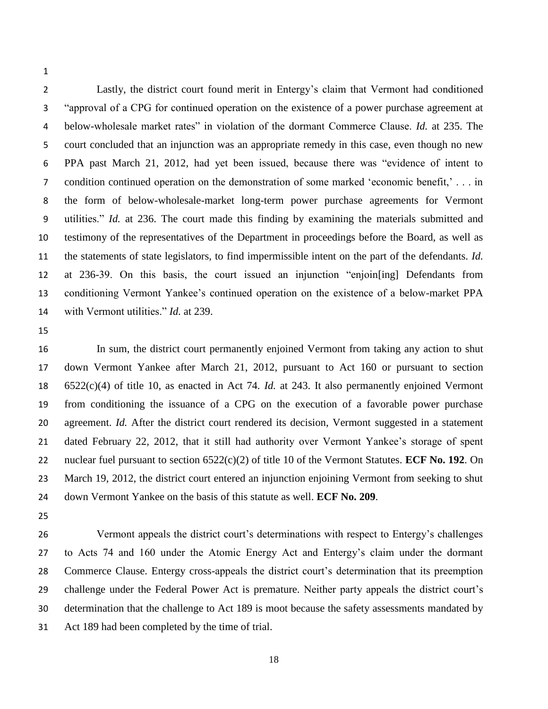Lastly, the district court found merit in Entergy's claim that Vermont had conditioned "approval of a CPG for continued operation on the existence of a power purchase agreement at below-wholesale market rates" in violation of the dormant Commerce Clause. *Id.* at 235. The court concluded that an injunction was an appropriate remedy in this case, even though no new PPA past March 21, 2012, had yet been issued, because there was "evidence of intent to condition continued operation on the demonstration of some marked 'economic benefit,' . . . in the form of below-wholesale-market long-term power purchase agreements for Vermont utilities." *Id.* at 236. The court made this finding by examining the materials submitted and testimony of the representatives of the Department in proceedings before the Board, as well as the statements of state legislators, to find impermissible intent on the part of the defendants. *Id.* at 236-39. On this basis, the court issued an injunction "enjoin[ing] Defendants from conditioning Vermont Yankee's continued operation on the existence of a below-market PPA with Vermont utilities." *Id.* at 239.

 In sum, the district court permanently enjoined Vermont from taking any action to shut down Vermont Yankee after March 21, 2012, pursuant to Act 160 or pursuant to section 6522(c)(4) of title 10, as enacted in Act 74. *Id.* at 243. It also permanently enjoined Vermont from conditioning the issuance of a CPG on the execution of a favorable power purchase agreement. *Id.* After the district court rendered its decision, Vermont suggested in a statement dated February 22, 2012, that it still had authority over Vermont Yankee's storage of spent nuclear fuel pursuant to section 6522(c)(2) of title 10 of the Vermont Statutes. **ECF No. 192**. On March 19, 2012, the district court entered an injunction enjoining Vermont from seeking to shut down Vermont Yankee on the basis of this statute as well. **ECF No. 209**.

 Vermont appeals the district court's determinations with respect to Entergy's challenges to Acts 74 and 160 under the Atomic Energy Act and Entergy's claim under the dormant Commerce Clause. Entergy cross-appeals the district court's determination that its preemption challenge under the Federal Power Act is premature. Neither party appeals the district court's determination that the challenge to Act 189 is moot because the safety assessments mandated by Act 189 had been completed by the time of trial.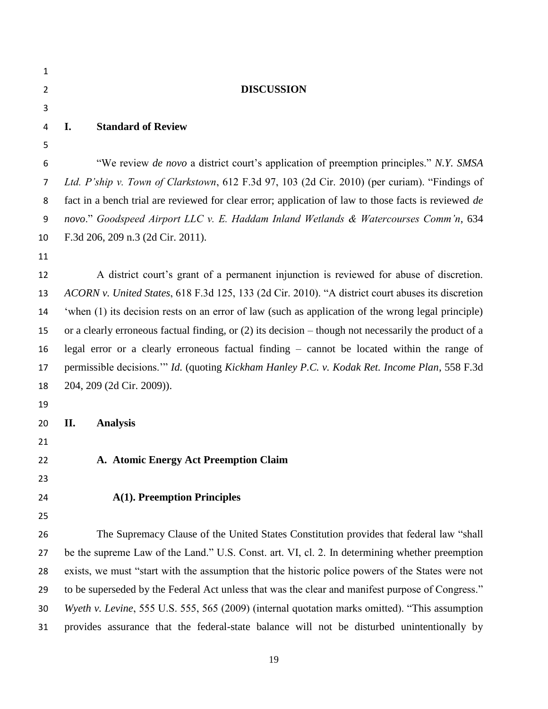| $\mathbf{1}$   |                                                                                                         |  |  |
|----------------|---------------------------------------------------------------------------------------------------------|--|--|
| $\overline{2}$ | <b>DISCUSSION</b>                                                                                       |  |  |
| 3              |                                                                                                         |  |  |
| 4              | <b>Standard of Review</b><br>I.                                                                         |  |  |
| 5              |                                                                                                         |  |  |
| 6              | "We review <i>de novo</i> a district court's application of preemption principles." N.Y. SMSA           |  |  |
| 7              | Ltd. P'ship v. Town of Clarkstown, 612 F.3d 97, 103 (2d Cir. 2010) (per curiam). "Findings of           |  |  |
| 8              | fact in a bench trial are reviewed for clear error; application of law to those facts is reviewed de    |  |  |
| 9              | novo." Goodspeed Airport LLC v. E. Haddam Inland Wetlands & Watercourses Comm'n, 634                    |  |  |
| 10             | F.3d 206, 209 n.3 (2d Cir. 2011).                                                                       |  |  |
| 11             |                                                                                                         |  |  |
| 12             | A district court's grant of a permanent injunction is reviewed for abuse of discretion.                 |  |  |
| 13             | ACORN v. United States, 618 F.3d 125, 133 (2d Cir. 2010). "A district court abuses its discretion       |  |  |
| 14             | 'when (1) its decision rests on an error of law (such as application of the wrong legal principle)      |  |  |
| 15             | or a clearly erroneous factual finding, or $(2)$ its decision – though not necessarily the product of a |  |  |
| 16             | legal error or a clearly erroneous factual finding – cannot be located within the range of              |  |  |
| 17             | permissible decisions." Id. (quoting Kickham Hanley P.C. v. Kodak Ret. Income Plan, 558 F.3d            |  |  |
| 18             | 204, 209 (2d Cir. 2009)).                                                                               |  |  |
| 19             |                                                                                                         |  |  |
| 20             | <b>Analysis</b><br>П.                                                                                   |  |  |
| 21             |                                                                                                         |  |  |
| 22             | A. Atomic Energy Act Preemption Claim                                                                   |  |  |
| 23             |                                                                                                         |  |  |
| 24             | <b>A(1). Preemption Principles</b>                                                                      |  |  |
| 25             |                                                                                                         |  |  |
| 26             | The Supremacy Clause of the United States Constitution provides that federal law "shall"                |  |  |
| 27             | be the supreme Law of the Land." U.S. Const. art. VI, cl. 2. In determining whether preemption          |  |  |
| 28             | exists, we must "start with the assumption that the historic police powers of the States were not       |  |  |
| 29             | to be superseded by the Federal Act unless that was the clear and manifest purpose of Congress."        |  |  |
| 30             | Wyeth v. Levine, 555 U.S. 555, 565 (2009) (internal quotation marks omitted). "This assumption          |  |  |

provides assurance that the federal-state balance will not be disturbed unintentionally by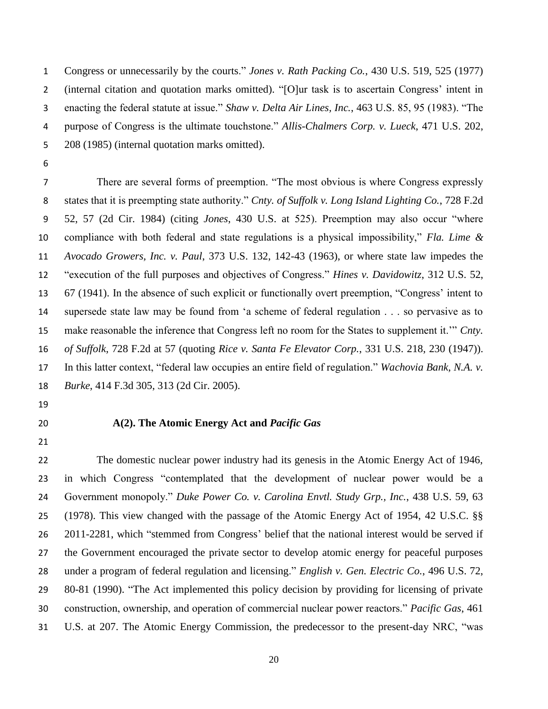Congress or unnecessarily by the courts." *Jones v. Rath Packing Co.*, 430 U.S. 519, 525 (1977) (internal citation and quotation marks omitted). "[O]ur task is to ascertain Congress' intent in enacting the federal statute at issue." *Shaw v. Delta Air Lines, Inc.*, 463 U.S. 85, 95 (1983). "The purpose of Congress is the ultimate touchstone." *Allis-Chalmers Corp. v. Lueck*, 471 U.S. 202, 208 (1985) (internal quotation marks omitted).

 There are several forms of preemption. "The most obvious is where Congress expressly states that it is preempting state authority." *Cnty. of Suffolk v. Long Island Lighting Co.*, 728 F.2d 52, 57 (2d Cir. 1984) (citing *Jones*, 430 U.S. at 525). Preemption may also occur "where compliance with both federal and state regulations is a physical impossibility," *Fla. Lime & Avocado Growers, Inc. v. Paul*, 373 U.S. 132, 142-43 (1963), or where state law impedes the "execution of the full purposes and objectives of Congress." *Hines v. Davidowitz*, 312 U.S. 52, 67 (1941). In the absence of such explicit or functionally overt preemption, "Congress' intent to supersede state law may be found from 'a scheme of federal regulation . . . so pervasive as to make reasonable the inference that Congress left no room for the States to supplement it.'" *Cnty. of Suffolk*, 728 F.2d at 57 (quoting *Rice v. Santa Fe Elevator Corp.*, 331 U.S. 218, 230 (1947)). In this latter context, "federal law occupies an entire field of regulation." *Wachovia Bank, N.A. v. Burke*, 414 F.3d 305, 313 (2d Cir. 2005).

- 
- 

### **A(2). The Atomic Energy Act and** *Pacific Gas*

 The domestic nuclear power industry had its genesis in the Atomic Energy Act of 1946, in which Congress "contemplated that the development of nuclear power would be a Government monopoly." *Duke Power Co. v. Carolina Envtl. Study Grp., Inc.*, 438 U.S. 59, 63 (1978). This view changed with the passage of the Atomic Energy Act of 1954, 42 U.S.C. §§ 2011-2281, which "stemmed from Congress' belief that the national interest would be served if the Government encouraged the private sector to develop atomic energy for peaceful purposes under a program of federal regulation and licensing." *English v. Gen. Electric Co.*, 496 U.S. 72, 80-81 (1990). "The Act implemented this policy decision by providing for licensing of private construction, ownership, and operation of commercial nuclear power reactors." *Pacific Gas*, 461 U.S. at 207. The Atomic Energy Commission, the predecessor to the present-day NRC, "was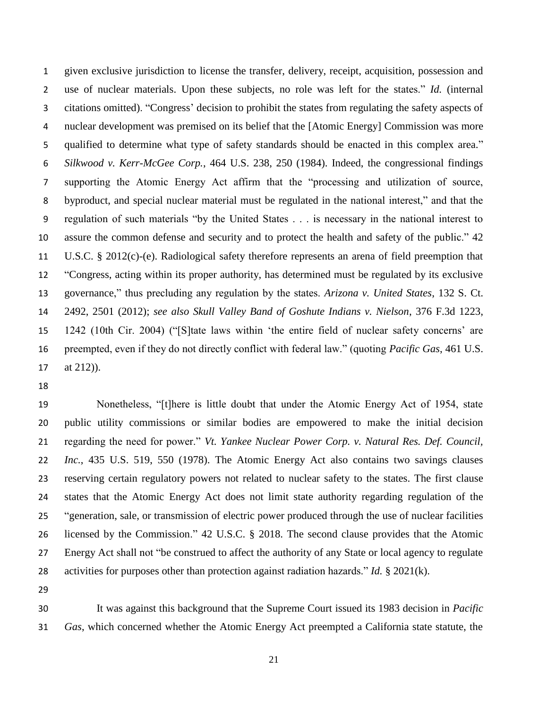given exclusive jurisdiction to license the transfer, delivery, receipt, acquisition, possession and use of nuclear materials. Upon these subjects, no role was left for the states." *Id.* (internal citations omitted). "Congress' decision to prohibit the states from regulating the safety aspects of nuclear development was premised on its belief that the [Atomic Energy] Commission was more qualified to determine what type of safety standards should be enacted in this complex area." *Silkwood v. Kerr-McGee Corp.*, 464 U.S. 238, 250 (1984). Indeed, the congressional findings supporting the Atomic Energy Act affirm that the "processing and utilization of source, byproduct, and special nuclear material must be regulated in the national interest," and that the regulation of such materials "by the United States . . . is necessary in the national interest to assure the common defense and security and to protect the health and safety of the public." 42 U.S.C. § 2012(c)-(e). Radiological safety therefore represents an arena of field preemption that "Congress, acting within its proper authority, has determined must be regulated by its exclusive governance," thus precluding any regulation by the states. *Arizona v. United States*, 132 S. Ct. 2492, 2501 (2012); *see also Skull Valley Band of Goshute Indians v. Nielson*, 376 F.3d 1223, 1242 (10th Cir. 2004) ("[S]tate laws within 'the entire field of nuclear safety concerns' are preempted, even if they do not directly conflict with federal law." (quoting *Pacific Gas*, 461 U.S. at 212)).

 Nonetheless, "[t]here is little doubt that under the Atomic Energy Act of 1954, state public utility commissions or similar bodies are empowered to make the initial decision regarding the need for power." *Vt. Yankee Nuclear Power Corp. v. Natural Res. Def. Council, Inc.*, 435 U.S. 519, 550 (1978). The Atomic Energy Act also contains two savings clauses reserving certain regulatory powers not related to nuclear safety to the states. The first clause states that the Atomic Energy Act does not limit state authority regarding regulation of the "generation, sale, or transmission of electric power produced through the use of nuclear facilities licensed by the Commission." 42 U.S.C. § 2018. The second clause provides that the Atomic Energy Act shall not "be construed to affect the authority of any State or local agency to regulate activities for purposes other than protection against radiation hazards." *Id.* § 2021(k).

 It was against this background that the Supreme Court issued its 1983 decision in *Pacific Gas*, which concerned whether the Atomic Energy Act preempted a California state statute, the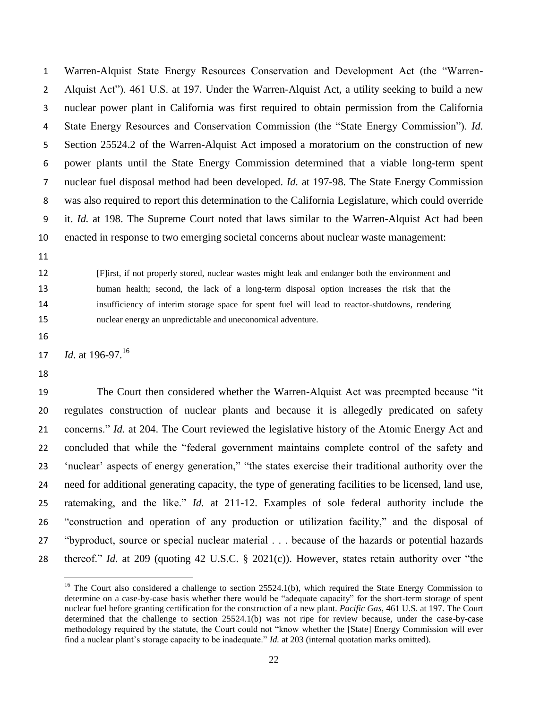Warren-Alquist State Energy Resources Conservation and Development Act (the "Warren- Alquist Act"). 461 U.S. at 197. Under the Warren-Alquist Act, a utility seeking to build a new nuclear power plant in California was first required to obtain permission from the California State Energy Resources and Conservation Commission (the "State Energy Commission"). *Id.* Section 25524.2 of the Warren-Alquist Act imposed a moratorium on the construction of new power plants until the State Energy Commission determined that a viable long-term spent nuclear fuel disposal method had been developed. *Id.* at 197-98. The State Energy Commission was also required to report this determination to the California Legislature, which could override it. *Id.* at 198. The Supreme Court noted that laws similar to the Warren-Alquist Act had been enacted in response to two emerging societal concerns about nuclear waste management:

 [F]irst, if not properly stored, nuclear wastes might leak and endanger both the environment and human health; second, the lack of a long-term disposal option increases the risk that the insufficiency of interim storage space for spent fuel will lead to reactor-shutdowns, rendering nuclear energy an unpredictable and uneconomical adventure.

17 *Id.* at 196-97.<sup>16</sup>

l

 The Court then considered whether the Warren-Alquist Act was preempted because "it regulates construction of nuclear plants and because it is allegedly predicated on safety concerns." *Id.* at 204. The Court reviewed the legislative history of the Atomic Energy Act and concluded that while the "federal government maintains complete control of the safety and 'nuclear' aspects of energy generation," "the states exercise their traditional authority over the need for additional generating capacity, the type of generating facilities to be licensed, land use, ratemaking, and the like." *Id.* at 211-12. Examples of sole federal authority include the "construction and operation of any production or utilization facility," and the disposal of "byproduct, source or special nuclear material . . . because of the hazards or potential hazards thereof." *Id.* at 209 (quoting 42 U.S.C. § 2021(c)). However, states retain authority over "the

<sup>&</sup>lt;sup>16</sup> The Court also considered a challenge to section 25524.1(b), which required the State Energy Commission to determine on a case-by-case basis whether there would be "adequate capacity" for the short-term storage of spent nuclear fuel before granting certification for the construction of a new plant. *Pacific Gas*, 461 U.S. at 197*.* The Court determined that the challenge to section 25524.1(b) was not ripe for review because, under the case-by-case methodology required by the statute, the Court could not "know whether the [State] Energy Commission will ever find a nuclear plant's storage capacity to be inadequate." *Id.* at 203 (internal quotation marks omitted).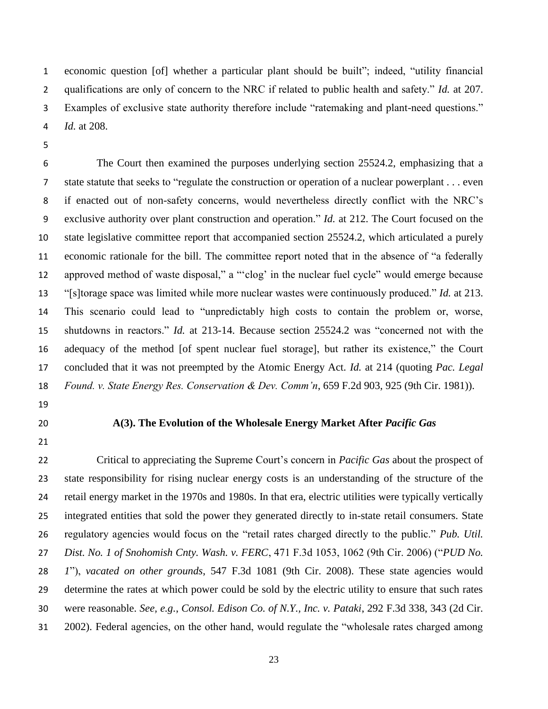economic question [of] whether a particular plant should be built"; indeed, "utility financial qualifications are only of concern to the NRC if related to public health and safety." *Id.* at 207. Examples of exclusive state authority therefore include "ratemaking and plant-need questions." *Id.* at 208.

 The Court then examined the purposes underlying section 25524.2, emphasizing that a state statute that seeks to "regulate the construction or operation of a nuclear powerplant . . . even if enacted out of non-safety concerns, would nevertheless directly conflict with the NRC's exclusive authority over plant construction and operation." *Id.* at 212. The Court focused on the state legislative committee report that accompanied section 25524.2, which articulated a purely economic rationale for the bill. The committee report noted that in the absence of "a federally approved method of waste disposal," a "'clog' in the nuclear fuel cycle" would emerge because "[s]torage space was limited while more nuclear wastes were continuously produced." *Id.* at 213. This scenario could lead to "unpredictably high costs to contain the problem or, worse, shutdowns in reactors." *Id.* at 213-14. Because section 25524.2 was "concerned not with the adequacy of the method [of spent nuclear fuel storage], but rather its existence," the Court concluded that it was not preempted by the Atomic Energy Act. *Id.* at 214 (quoting *Pac. Legal Found. v. State Energy Res. Conservation & Dev. Comm'n*, 659 F.2d 903, 925 (9th Cir. 1981)).

- 
- 

## **A(3). The Evolution of the Wholesale Energy Market After** *Pacific Gas*

 Critical to appreciating the Supreme Court's concern in *Pacific Gas* about the prospect of state responsibility for rising nuclear energy costs is an understanding of the structure of the retail energy market in the 1970s and 1980s. In that era, electric utilities were typically vertically integrated entities that sold the power they generated directly to in-state retail consumers. State regulatory agencies would focus on the "retail rates charged directly to the public." *Pub. Util. Dist. No. 1 of Snohomish Cnty. Wash. v. FERC*, 471 F.3d 1053, 1062 (9th Cir. 2006) ("*PUD No. 1*"), *vacated on other grounds*, 547 F.3d 1081 (9th Cir. 2008). These state agencies would determine the rates at which power could be sold by the electric utility to ensure that such rates were reasonable. *See, e.g.*, *Consol. Edison Co. of N.Y., Inc. v. Pataki*, 292 F.3d 338, 343 (2d Cir. 2002). Federal agencies, on the other hand, would regulate the "wholesale rates charged among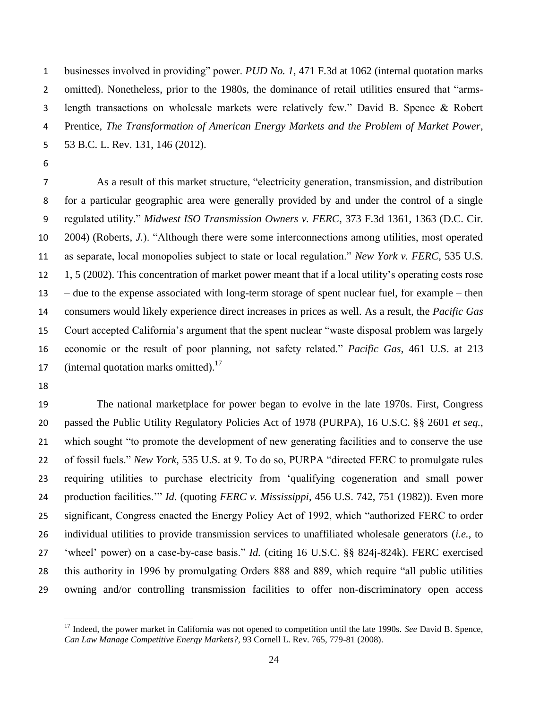businesses involved in providing" power. *PUD No. 1*, 471 F.3d at 1062 (internal quotation marks omitted). Nonetheless, prior to the 1980s, the dominance of retail utilities ensured that "arms- length transactions on wholesale markets were relatively few." David B. Spence & Robert Prentice, *The Transformation of American Energy Markets and the Problem of Market Power*, 53 B.C. L. Rev. 131, 146 (2012).

 As a result of this market structure, "electricity generation, transmission, and distribution for a particular geographic area were generally provided by and under the control of a single regulated utility." *Midwest ISO Transmission Owners v. FERC*, 373 F.3d 1361, 1363 (D.C. Cir. 2004) (Roberts, *J.*). "Although there were some interconnections among utilities, most operated as separate, local monopolies subject to state or local regulation." *New York v. FERC*, 535 U.S. 1, 5 (2002). This concentration of market power meant that if a local utility's operating costs rose – due to the expense associated with long-term storage of spent nuclear fuel, for example – then consumers would likely experience direct increases in prices as well. As a result, the *Pacific Gas*  Court accepted California's argument that the spent nuclear "waste disposal problem was largely economic or the result of poor planning, not safety related." *Pacific Gas*, 461 U.S. at 213 17 (internal quotation marks omitted).<sup>17</sup>

 The national marketplace for power began to evolve in the late 1970s. First, Congress passed the Public Utility Regulatory Policies Act of 1978 (PURPA), 16 U.S.C. §§ 2601 *et seq.*, which sought "to promote the development of new generating facilities and to conserve the use of fossil fuels." *New York*, 535 U.S. at 9. To do so, PURPA "directed FERC to promulgate rules requiring utilities to purchase electricity from 'qualifying cogeneration and small power production facilities.'" *Id.* (quoting *FERC v. Mississippi*, 456 U.S. 742, 751 (1982)). Even more significant, Congress enacted the Energy Policy Act of 1992, which "authorized FERC to order individual utilities to provide transmission services to unaffiliated wholesale generators (*i.e.*, to 'wheel' power) on a case-by-case basis." *Id.* (citing 16 U.S.C. §§ 824j-824k). FERC exercised this authority in 1996 by promulgating Orders 888 and 889, which require "all public utilities owning and/or controlling transmission facilities to offer non-discriminatory open access

 $\overline{\phantom{a}}$ <sup>17</sup> Indeed, the power market in California was not opened to competition until the late 1990s. *See* David B. Spence, *Can Law Manage Competitive Energy Markets?*, 93 Cornell L. Rev. 765, 779-81 (2008).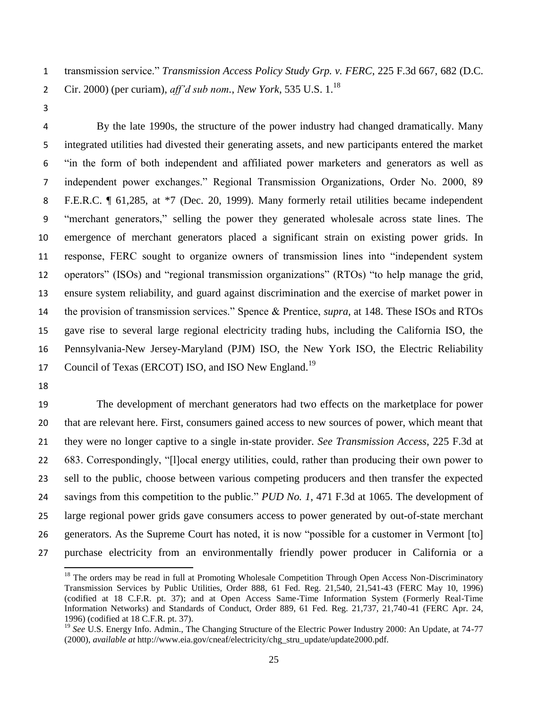transmission service." *Transmission Access Policy Study Grp. v. FERC*, 225 F.3d 667, 682 (D.C. 2 Cir. 2000) (per curiam),  $\frac{aff}{d}$  sub nom., *New York*, 535 U.S. 1.<sup>18</sup>

 By the late 1990s, the structure of the power industry had changed dramatically. Many integrated utilities had divested their generating assets, and new participants entered the market "in the form of both independent and affiliated power marketers and generators as well as independent power exchanges." Regional Transmission Organizations, Order No. 2000, 89 F.E.R.C. ¶ 61,285, at \*7 (Dec. 20, 1999). Many formerly retail utilities became independent "merchant generators," selling the power they generated wholesale across state lines. The emergence of merchant generators placed a significant strain on existing power grids. In response, FERC sought to organize owners of transmission lines into "independent system operators" (ISOs) and "regional transmission organizations" (RTOs) "to help manage the grid, ensure system reliability, and guard against discrimination and the exercise of market power in the provision of transmission services." Spence & Prentice, *supra*, at 148. These ISOs and RTOs gave rise to several large regional electricity trading hubs, including the California ISO, the Pennsylvania-New Jersey-Maryland (PJM) ISO, the New York ISO, the Electric Reliability 17 Council of Texas (ERCOT) ISO, and ISO New England.<sup>19</sup>

 $\overline{\phantom{a}}$ 

 The development of merchant generators had two effects on the marketplace for power that are relevant here. First, consumers gained access to new sources of power, which meant that they were no longer captive to a single in-state provider. *See Transmission Access*, 225 F.3d at 683. Correspondingly, "[l]ocal energy utilities, could, rather than producing their own power to sell to the public, choose between various competing producers and then transfer the expected savings from this competition to the public." *PUD No. 1*, 471 F.3d at 1065. The development of large regional power grids gave consumers access to power generated by out-of-state merchant generators. As the Supreme Court has noted, it is now "possible for a customer in Vermont [to] purchase electricity from an environmentally friendly power producer in California or a

<sup>&</sup>lt;sup>18</sup> The orders may be read in full at Promoting Wholesale Competition Through Open Access Non-Discriminatory Transmission Services by Public Utilities, Order 888, 61 Fed. Reg. 21,540, 21,541-43 (FERC May 10, 1996) (codified at 18 C.F.R. pt. 37); and at Open Access Same-Time Information System (Formerly Real-Time Information Networks) and Standards of Conduct, Order 889, 61 Fed. Reg. 21,737, 21,740-41 (FERC Apr. 24, 1996) (codified at 18 C.F.R. pt. 37).

<sup>&</sup>lt;sup>19</sup> See U.S. Energy Info. Admin., The Changing Structure of the Electric Power Industry 2000: An Update, at 74-77 (2000), *available at* http://www.eia.gov/cneaf/electricity/chg\_stru\_update/update2000.pdf.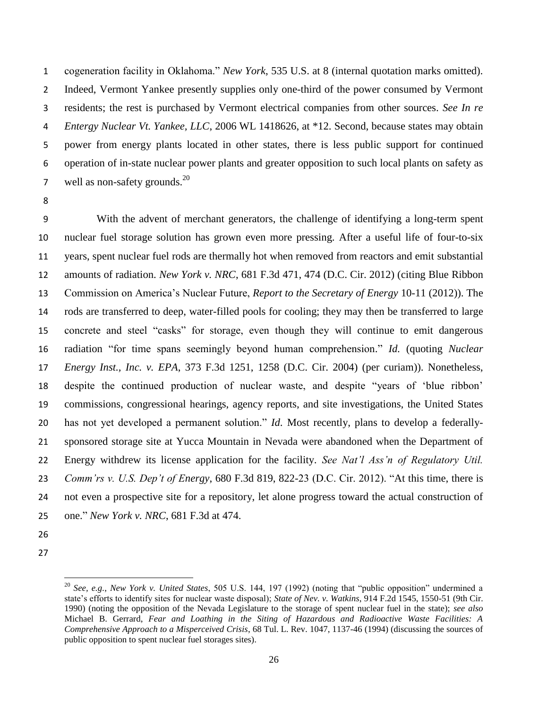cogeneration facility in Oklahoma." *New York*, 535 U.S. at 8 (internal quotation marks omitted). Indeed, Vermont Yankee presently supplies only one-third of the power consumed by Vermont residents; the rest is purchased by Vermont electrical companies from other sources. *See In re Entergy Nuclear Vt. Yankee, LLC*, 2006 WL 1418626, at \*12. Second, because states may obtain power from energy plants located in other states, there is less public support for continued operation of in-state nuclear power plants and greater opposition to such local plants on safety as 7 well as non-safety grounds. $^{20}$ 

 With the advent of merchant generators, the challenge of identifying a long-term spent nuclear fuel storage solution has grown even more pressing. After a useful life of four-to-six years, spent nuclear fuel rods are thermally hot when removed from reactors and emit substantial amounts of radiation. *New York v. NRC*, 681 F.3d 471, 474 (D.C. Cir. 2012) (citing Blue Ribbon Commission on America's Nuclear Future, *Report to the Secretary of Energy* 10-11 (2012)). The rods are transferred to deep, water-filled pools for cooling; they may then be transferred to large concrete and steel "casks" for storage, even though they will continue to emit dangerous radiation "for time spans seemingly beyond human comprehension." *Id.* (quoting *Nuclear Energy Inst., Inc. v. EPA*, 373 F.3d 1251, 1258 (D.C. Cir. 2004) (per curiam)). Nonetheless, despite the continued production of nuclear waste, and despite "years of 'blue ribbon' commissions, congressional hearings, agency reports, and site investigations, the United States has not yet developed a permanent solution." *Id.* Most recently, plans to develop a federally- sponsored storage site at Yucca Mountain in Nevada were abandoned when the Department of Energy withdrew its license application for the facility. *See Nat'l Ass'n of Regulatory Util. Comm'rs v. U.S. Dep't of Energy*, 680 F.3d 819, 822-23 (D.C. Cir. 2012). "At this time, there is not even a prospective site for a repository, let alone progress toward the actual construction of one." *New York v. NRC*, 681 F.3d at 474.

- 
- 

l

 *See, e.g.*, *New York v. United States*, 505 U.S. 144, 197 (1992) (noting that "public opposition" undermined a state's efforts to identify sites for nuclear waste disposal); *State of Nev. v. Watkins*, 914 F.2d 1545, 1550-51 (9th Cir. 1990) (noting the opposition of the Nevada Legislature to the storage of spent nuclear fuel in the state); *see also*  Michael B. Gerrard, *Fear and Loathing in the Siting of Hazardous and Radioactive Waste Facilities: A Comprehensive Approach to a Misperceived Crisis*, 68 Tul. L. Rev. 1047, 1137-46 (1994) (discussing the sources of public opposition to spent nuclear fuel storages sites).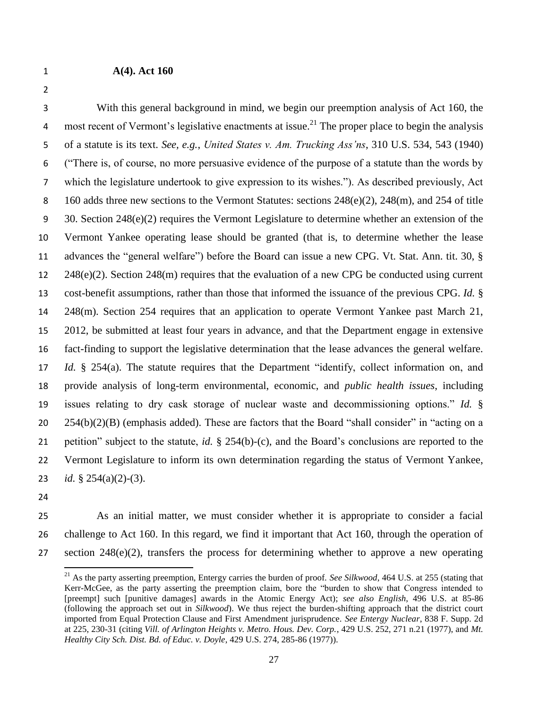# **A(4). Act 160**

 With this general background in mind, we begin our preemption analysis of Act 160, the 4 most recent of Vermont's legislative enactments at issue.<sup>21</sup> The proper place to begin the analysis of a statute is its text. *See, e.g.*, *United States v. Am. Trucking Ass'ns*, 310 U.S. 534, 543 (1940) ("There is, of course, no more persuasive evidence of the purpose of a statute than the words by which the legislature undertook to give expression to its wishes."). As described previously, Act 8 160 adds three new sections to the Vermont Statutes: sections  $248(e)(2)$ ,  $248(m)$ , and  $254$  of title 30. Section 248(e)(2) requires the Vermont Legislature to determine whether an extension of the Vermont Yankee operating lease should be granted (that is, to determine whether the lease advances the "general welfare") before the Board can issue a new CPG. Vt. Stat. Ann. tit. 30, § 248(e)(2). Section 248(m) requires that the evaluation of a new CPG be conducted using current cost-benefit assumptions, rather than those that informed the issuance of the previous CPG. *Id.* § 248(m). Section 254 requires that an application to operate Vermont Yankee past March 21, 2012, be submitted at least four years in advance, and that the Department engage in extensive fact-finding to support the legislative determination that the lease advances the general welfare. *Id.* § 254(a). The statute requires that the Department "identify, collect information on, and provide analysis of long-term environmental, economic, and *public health issues*, including issues relating to dry cask storage of nuclear waste and decommissioning options." *Id.* § 254(b)(2)(B) (emphasis added). These are factors that the Board "shall consider" in "acting on a petition" subject to the statute, *id.* § 254(b)-(c), and the Board's conclusions are reported to the Vermont Legislature to inform its own determination regarding the status of Vermont Yankee, *id.* § 254(a)(2)-(3).

- 
- 
- 

 $\overline{\phantom{a}}$ 

 As an initial matter, we must consider whether it is appropriate to consider a facial challenge to Act 160. In this regard, we find it important that Act 160, through the operation of 27 section  $248(e)(2)$ , transfers the process for determining whether to approve a new operating

<sup>&</sup>lt;sup>21</sup> As the party asserting preemption, Entergy carries the burden of proof. *See Silkwood*, 464 U.S. at 255 (stating that Kerr-McGee, as the party asserting the preemption claim, bore the "burden to show that Congress intended to [preempt] such [punitive damages] awards in the Atomic Energy Act); *see also English*, 496 U.S. at 85-86 (following the approach set out in *Silkwood*). We thus reject the burden-shifting approach that the district court imported from Equal Protection Clause and First Amendment jurisprudence. *See Entergy Nuclear*, 838 F. Supp. 2d at 225, 230-31 (citing *Vill. of Arlington Heights v. Metro. Hous. Dev. Corp.*, 429 U.S. 252, 271 n.21 (1977), and *Mt. Healthy City Sch. Dist. Bd. of Educ. v. Doyle*, 429 U.S. 274, 285-86 (1977)).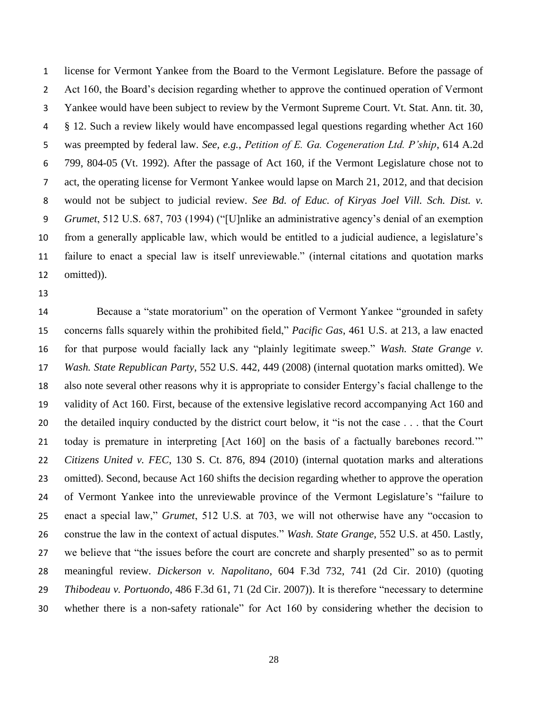license for Vermont Yankee from the Board to the Vermont Legislature. Before the passage of 2 Act 160, the Board's decision regarding whether to approve the continued operation of Vermont Yankee would have been subject to review by the Vermont Supreme Court. Vt. Stat. Ann. tit. 30, § 12. Such a review likely would have encompassed legal questions regarding whether Act 160 was preempted by federal law. *See, e.g.*, *Petition of E. Ga. Cogeneration Ltd. P'ship*, 614 A.2d 799, 804-05 (Vt. 1992). After the passage of Act 160, if the Vermont Legislature chose not to act, the operating license for Vermont Yankee would lapse on March 21, 2012, and that decision would not be subject to judicial review. *See Bd. of Educ. of Kiryas Joel Vill. Sch. Dist. v. Grumet*, 512 U.S. 687, 703 (1994) ("[U]nlike an administrative agency's denial of an exemption from a generally applicable law, which would be entitled to a judicial audience, a legislature's failure to enact a special law is itself unreviewable." (internal citations and quotation marks omitted)).

 Because a "state moratorium" on the operation of Vermont Yankee "grounded in safety concerns falls squarely within the prohibited field," *Pacific Gas*, 461 U.S. at 213, a law enacted for that purpose would facially lack any "plainly legitimate sweep." *Wash. State Grange v. Wash. State Republican Party*, 552 U.S. 442, 449 (2008) (internal quotation marks omitted). We also note several other reasons why it is appropriate to consider Entergy's facial challenge to the validity of Act 160. First, because of the extensive legislative record accompanying Act 160 and the detailed inquiry conducted by the district court below, it "is not the case . . . that the Court today is premature in interpreting [Act 160] on the basis of a factually barebones record.'" *Citizens United v. FEC*, 130 S. Ct. 876, 894 (2010) (internal quotation marks and alterations omitted). Second, because Act 160 shifts the decision regarding whether to approve the operation of Vermont Yankee into the unreviewable province of the Vermont Legislature's "failure to enact a special law," *Grumet*, 512 U.S. at 703, we will not otherwise have any "occasion to construe the law in the context of actual disputes." *Wash. State Grange*, 552 U.S. at 450. Lastly, we believe that "the issues before the court are concrete and sharply presented" so as to permit meaningful review. *Dickerson v. Napolitano*, 604 F.3d 732, 741 (2d Cir. 2010) (quoting *Thibodeau v. Portuondo*, 486 F.3d 61, 71 (2d Cir. 2007)). It is therefore "necessary to determine whether there is a non-safety rationale" for Act 160 by considering whether the decision to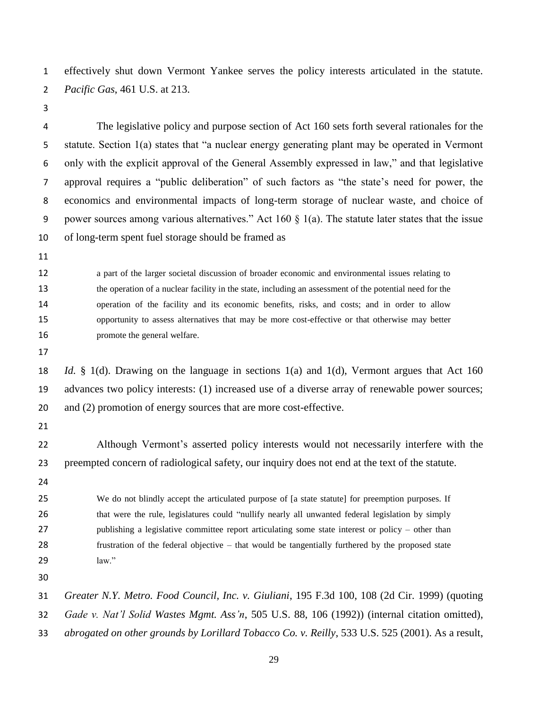effectively shut down Vermont Yankee serves the policy interests articulated in the statute. *Pacific Gas*, 461 U.S. at 213.

 The legislative policy and purpose section of Act 160 sets forth several rationales for the statute. Section 1(a) states that "a nuclear energy generating plant may be operated in Vermont only with the explicit approval of the General Assembly expressed in law," and that legislative approval requires a "public deliberation" of such factors as "the state's need for power, the economics and environmental impacts of long-term storage of nuclear waste, and choice of 9 power sources among various alternatives." Act  $160 \& 1(a)$ . The statute later states that the issue of long-term spent fuel storage should be framed as

 a part of the larger societal discussion of broader economic and environmental issues relating to the operation of a nuclear facility in the state, including an assessment of the potential need for the operation of the facility and its economic benefits, risks, and costs; and in order to allow opportunity to assess alternatives that may be more cost-effective or that otherwise may better **promote** the general welfare.

 *Id.* § 1(d). Drawing on the language in sections 1(a) and 1(d), Vermont argues that Act 160 advances two policy interests: (1) increased use of a diverse array of renewable power sources; 20 and (2) promotion of energy sources that are more cost-effective.

 Although Vermont's asserted policy interests would not necessarily interfere with the preempted concern of radiological safety, our inquiry does not end at the text of the statute.

 We do not blindly accept the articulated purpose of [a state statute] for preemption purposes. If 26 that were the rule, legislatures could "nullify nearly all unwanted federal legislation by simply 27 publishing a legislative committee report articulating some state interest or policy – other than frustration of the federal objective – that would be tangentially furthered by the proposed state law."

*Greater N.Y. Metro. Food Council, Inc. v. Giuliani*, 195 F.3d 100, 108 (2d Cir. 1999) (quoting

*Gade v. Nat'l Solid Wastes Mgmt. Ass'n*, 505 U.S. 88, 106 (1992)) (internal citation omitted),

*abrogated on other grounds by Lorillard Tobacco Co. v. Reilly*, 533 U.S. 525 (2001). As a result,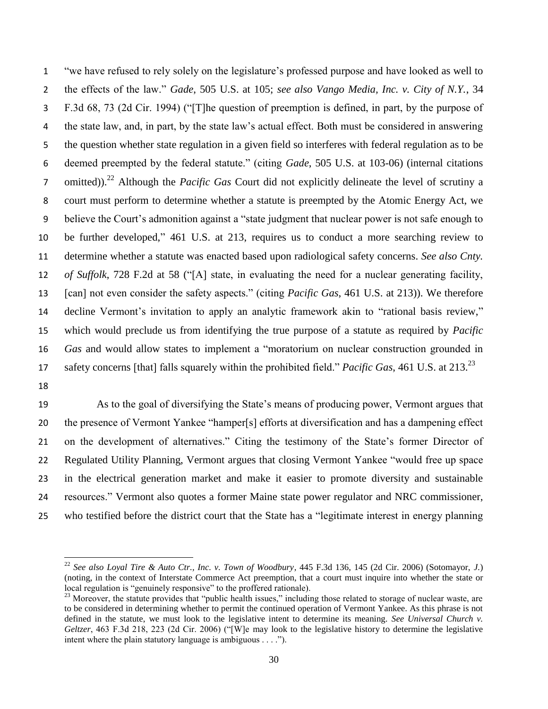"we have refused to rely solely on the legislature's professed purpose and have looked as well to the effects of the law." *Gade*, 505 U.S. at 105; *see also Vango Media, Inc. v. City of N.Y.*, 34 F.3d 68, 73 (2d Cir. 1994) ("[T]he question of preemption is defined, in part, by the purpose of the state law, and, in part, by the state law's actual effect. Both must be considered in answering the question whether state regulation in a given field so interferes with federal regulation as to be deemed preempted by the federal statute." (citing *Gade*, 505 U.S. at 103-06) (internal citations 7 omitted)).<sup>22</sup> Although the *Pacific Gas* Court did not explicitly delineate the level of scrutiny a court must perform to determine whether a statute is preempted by the Atomic Energy Act, we believe the Court's admonition against a "state judgment that nuclear power is not safe enough to be further developed," 461 U.S. at 213, requires us to conduct a more searching review to determine whether a statute was enacted based upon radiological safety concerns. *See also Cnty. of Suffolk*, 728 F.2d at 58 ("[A] state, in evaluating the need for a nuclear generating facility, [can] not even consider the safety aspects." (citing *Pacific Gas*, 461 U.S. at 213)). We therefore decline Vermont's invitation to apply an analytic framework akin to "rational basis review," which would preclude us from identifying the true purpose of a statute as required by *Pacific Gas* and would allow states to implement a "moratorium on nuclear construction grounded in safety concerns [that] falls squarely within the prohibited field." *Pacific Gas*, 461 U.S. at 213.<sup>23</sup>

 $\overline{a}$ 

 As to the goal of diversifying the State's means of producing power, Vermont argues that the presence of Vermont Yankee "hamper[s] efforts at diversification and has a dampening effect on the development of alternatives." Citing the testimony of the State's former Director of Regulated Utility Planning, Vermont argues that closing Vermont Yankee "would free up space in the electrical generation market and make it easier to promote diversity and sustainable resources." Vermont also quotes a former Maine state power regulator and NRC commissioner, who testified before the district court that the State has a "legitimate interest in energy planning

 *See also Loyal Tire & Auto Ctr., Inc. v. Town of Woodbury*, 445 F.3d 136, 145 (2d Cir. 2006) (Sotomayor, *J.*) (noting, in the context of Interstate Commerce Act preemption, that a court must inquire into whether the state or local regulation is "genuinely responsive" to the proffered rationale).

<sup>&</sup>lt;sup>23</sup> Moreover, the statute provides that "public health issues," including those related to storage of nuclear waste, are to be considered in determining whether to permit the continued operation of Vermont Yankee. As this phrase is not defined in the statute, we must look to the legislative intent to determine its meaning. *See Universal Church v. Geltzer*, 463 F.3d 218, 223 (2d Cir. 2006) ("[W]e may look to the legislative history to determine the legislative intent where the plain statutory language is ambiguous . . . .").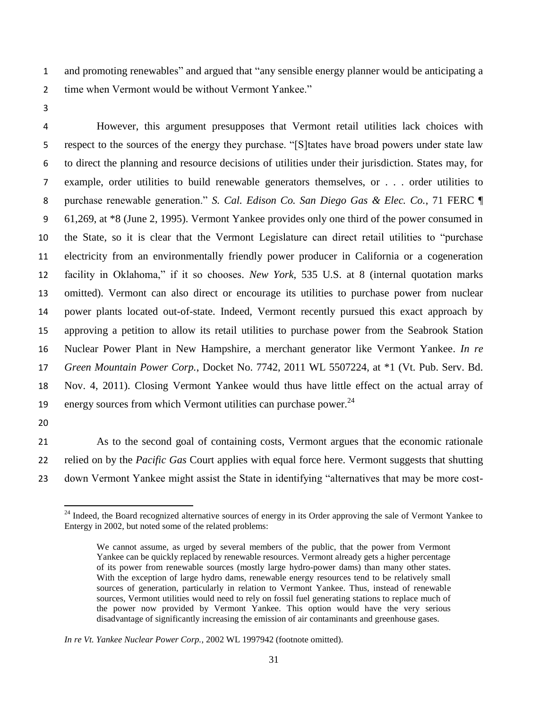and promoting renewables" and argued that "any sensible energy planner would be anticipating a time when Vermont would be without Vermont Yankee."

 However, this argument presupposes that Vermont retail utilities lack choices with respect to the sources of the energy they purchase. "[S]tates have broad powers under state law to direct the planning and resource decisions of utilities under their jurisdiction. States may, for example, order utilities to build renewable generators themselves, or . . . order utilities to purchase renewable generation." *S. Cal. Edison Co. San Diego Gas & Elec. Co.*, 71 FERC ¶ 61,269, at \*8 (June 2, 1995). Vermont Yankee provides only one third of the power consumed in the State, so it is clear that the Vermont Legislature can direct retail utilities to "purchase electricity from an environmentally friendly power producer in California or a cogeneration facility in Oklahoma," if it so chooses. *New York*, 535 U.S. at 8 (internal quotation marks omitted). Vermont can also direct or encourage its utilities to purchase power from nuclear power plants located out-of-state. Indeed, Vermont recently pursued this exact approach by approving a petition to allow its retail utilities to purchase power from the Seabrook Station Nuclear Power Plant in New Hampshire, a merchant generator like Vermont Yankee. *In re Green Mountain Power Corp.*, Docket No. 7742, 2011 WL 5507224, at \*1 (Vt. Pub. Serv. Bd. Nov. 4, 2011). Closing Vermont Yankee would thus have little effect on the actual array of 19 energy sources from which Vermont utilities can purchase power.

 $\overline{\phantom{a}}$ 

 As to the second goal of containing costs, Vermont argues that the economic rationale relied on by the *Pacific Gas* Court applies with equal force here. Vermont suggests that shutting down Vermont Yankee might assist the State in identifying "alternatives that may be more cost-

<sup>&</sup>lt;sup>24</sup> Indeed, the Board recognized alternative sources of energy in its Order approving the sale of Vermont Yankee to Entergy in 2002, but noted some of the related problems:

We cannot assume, as urged by several members of the public, that the power from Vermont Yankee can be quickly replaced by renewable resources. Vermont already gets a higher percentage of its power from renewable sources (mostly large hydro-power dams) than many other states. With the exception of large hydro dams, renewable energy resources tend to be relatively small sources of generation, particularly in relation to Vermont Yankee. Thus, instead of renewable sources, Vermont utilities would need to rely on fossil fuel generating stations to replace much of the power now provided by Vermont Yankee. This option would have the very serious disadvantage of significantly increasing the emission of air contaminants and greenhouse gases.

*In re Vt. Yankee Nuclear Power Corp.*, 2002 WL 1997942 (footnote omitted).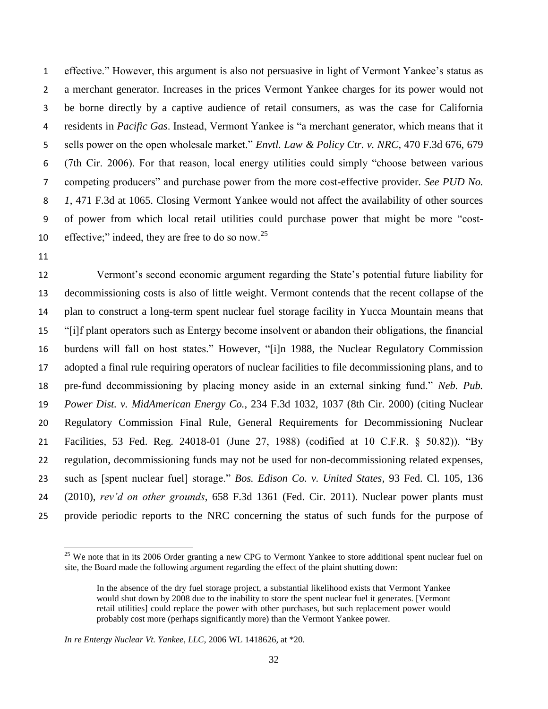effective." However, this argument is also not persuasive in light of Vermont Yankee's status as a merchant generator. Increases in the prices Vermont Yankee charges for its power would not be borne directly by a captive audience of retail consumers, as was the case for California residents in *Pacific Gas*. Instead, Vermont Yankee is "a merchant generator, which means that it sells power on the open wholesale market." *Envtl. Law & Policy Ctr. v. NRC*, 470 F.3d 676, 679 (7th Cir. 2006). For that reason, local energy utilities could simply "choose between various competing producers" and purchase power from the more cost-effective provider. *See PUD No. 1*, 471 F.3d at 1065. Closing Vermont Yankee would not affect the availability of other sources of power from which local retail utilities could purchase power that might be more "cost-10 effective;" indeed, they are free to do so now.<sup>25</sup>

 $\overline{\phantom{a}}$ 

 Vermont's second economic argument regarding the State's potential future liability for decommissioning costs is also of little weight. Vermont contends that the recent collapse of the plan to construct a long-term spent nuclear fuel storage facility in Yucca Mountain means that "[i]f plant operators such as Entergy become insolvent or abandon their obligations, the financial burdens will fall on host states." However, "[i]n 1988, the Nuclear Regulatory Commission adopted a final rule requiring operators of nuclear facilities to file decommissioning plans, and to pre-fund decommissioning by placing money aside in an external sinking fund." *Neb. Pub. Power Dist. v. MidAmerican Energy Co.*, 234 F.3d 1032, 1037 (8th Cir. 2000) (citing Nuclear Regulatory Commission Final Rule, General Requirements for Decommissioning Nuclear Facilities, 53 Fed. Reg. 24018-01 (June 27, 1988) (codified at 10 C.F.R. § 50.82)). "By regulation, decommissioning funds may not be used for non-decommissioning related expenses, such as [spent nuclear fuel] storage." *Bos. Edison Co. v. United States*, 93 Fed. Cl. 105, 136 (2010), *rev'd on other grounds*, 658 F.3d 1361 (Fed. Cir. 2011). Nuclear power plants must provide periodic reports to the NRC concerning the status of such funds for the purpose of

<sup>&</sup>lt;sup>25</sup> We note that in its 2006 Order granting a new CPG to Vermont Yankee to store additional spent nuclear fuel on site, the Board made the following argument regarding the effect of the plaint shutting down:

In the absence of the dry fuel storage project, a substantial likelihood exists that Vermont Yankee would shut down by 2008 due to the inability to store the spent nuclear fuel it generates. [Vermont retail utilities] could replace the power with other purchases, but such replacement power would probably cost more (perhaps significantly more) than the Vermont Yankee power.

*In re Entergy Nuclear Vt. Yankee, LLC*, 2006 WL 1418626, at \*20.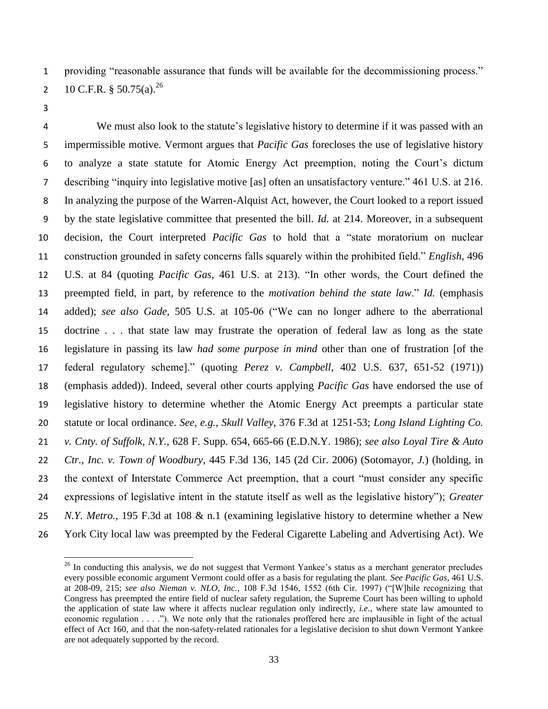providing "reasonable assurance that funds will be available for the decommissioning process."

2 10 C.F.R. § 50.75(a).<sup>26</sup>

 We must also look to the statute's legislative history to determine if it was passed with an impermissible motive. Vermont argues that *Pacific Gas* forecloses the use of legislative history to analyze a state statute for Atomic Energy Act preemption, noting the Court's dictum describing "inquiry into legislative motive [as] often an unsatisfactory venture." 461 U.S. at 216. In analyzing the purpose of the Warren-Alquist Act, however, the Court looked to a report issued by the state legislative committee that presented the bill. *Id.* at 214. Moreover, in a subsequent decision, the Court interpreted *Pacific Gas* to hold that a "state moratorium on nuclear construction grounded in safety concerns falls squarely within the prohibited field." *English*, 496 U.S. at 84 (quoting *Pacific Gas*, 461 U.S. at 213). "In other words, the Court defined the preempted field, in part, by reference to the *motivation behind the state law*." *Id.* (emphasis added); *see also Gade*, 505 U.S. at 105-06 ("We can no longer adhere to the aberrational doctrine . . . that state law may frustrate the operation of federal law as long as the state legislature in passing its law *had some purpose in mind* other than one of frustration [of the federal regulatory scheme]." (quoting *Perez v. Campbell*, 402 U.S. 637, 651-52 (1971)) (emphasis added)). Indeed, several other courts applying *Pacific Gas* have endorsed the use of legislative history to determine whether the Atomic Energy Act preempts a particular state statute or local ordinance. *See, e.g.*, *Skull Valley*, 376 F.3d at 1251-53; *Long Island Lighting Co. v. Cnty. of Suffolk, N.Y.*, 628 F. Supp. 654, 665-66 (E.D.N.Y. 1986); *see also Loyal Tire & Auto Ctr., Inc. v. Town of Woodbury*, 445 F.3d 136, 145 (2d Cir. 2006) (Sotomayor, *J.*) (holding, in the context of Interstate Commerce Act preemption, that a court "must consider any specific expressions of legislative intent in the statute itself as well as the legislative history"); *Greater N.Y. Metro.*, 195 F.3d at 108 & n.1 (examining legislative history to determine whether a New York City local law was preempted by the Federal Cigarette Labeling and Advertising Act). We

 $\overline{a}$ <sup>26</sup> In conducting this analysis, we do not suggest that Vermont Yankee's status as a merchant generator precludes every possible economic argument Vermont could offer as a basis for regulating the plant. *See Pacific Gas*, 461 U.S. at 208-09, 215; *see also Nieman v. NLO, Inc.*, 108 F.3d 1546, 1552 (6th Cir. 1997) ("[W]hile recognizing that Congress has preempted the entire field of nuclear safety regulation, the Supreme Court has been willing to uphold the application of state law where it affects nuclear regulation only indirectly, *i.e.*, where state law amounted to economic regulation . . . ."). We note only that the rationales proffered here are implausible in light of the actual effect of Act 160, and that the non-safety-related rationales for a legislative decision to shut down Vermont Yankee are not adequately supported by the record.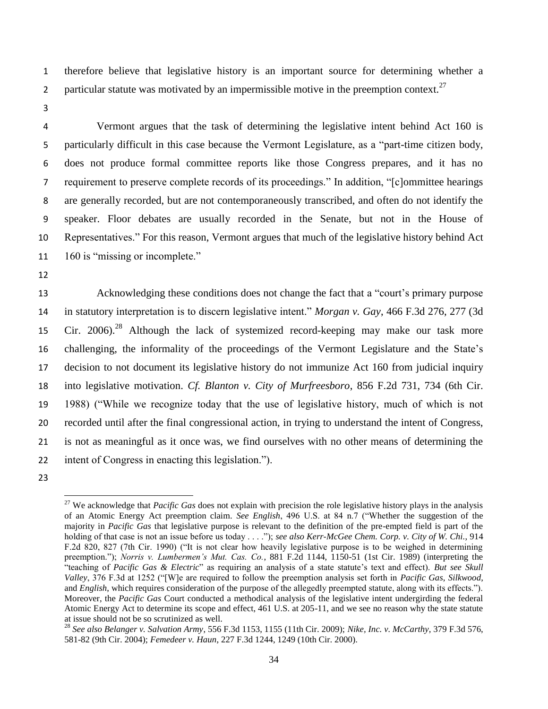1 therefore believe that legislative history is an important source for determining whether a 2 particular statute was motivated by an impermissible motive in the preemption context.<sup>27</sup>

3

 Vermont argues that the task of determining the legislative intent behind Act 160 is particularly difficult in this case because the Vermont Legislature, as a "part-time citizen body, does not produce formal committee reports like those Congress prepares, and it has no requirement to preserve complete records of its proceedings." In addition, "[c]ommittee hearings are generally recorded, but are not contemporaneously transcribed, and often do not identify the speaker. Floor debates are usually recorded in the Senate, but not in the House of Representatives." For this reason, Vermont argues that much of the legislative history behind Act 11 160 is "missing or incomplete."

12

 Acknowledging these conditions does not change the fact that a "court's primary purpose in statutory interpretation is to discern legislative intent." *Morgan v. Gay*, 466 F.3d 276, 277 (3d 15 Cir. 2006).<sup>28</sup> Although the lack of systemized record-keeping may make our task more challenging, the informality of the proceedings of the Vermont Legislature and the State's decision to not document its legislative history do not immunize Act 160 from judicial inquiry into legislative motivation. *Cf. Blanton v. City of Murfreesboro*, 856 F.2d 731, 734 (6th Cir. 1988) ("While we recognize today that the use of legislative history, much of which is not recorded until after the final congressional action, in trying to understand the intent of Congress, is not as meaningful as it once was, we find ourselves with no other means of determining the intent of Congress in enacting this legislation.").

 $\overline{a}$ <sup>27</sup> We acknowledge that *Pacific Gas* does not explain with precision the role legislative history plays in the analysis of an Atomic Energy Act preemption claim. *See English*, 496 U.S. at 84 n.7 ("Whether the suggestion of the majority in *Pacific Gas* that legislative purpose is relevant to the definition of the pre-empted field is part of the holding of that case is not an issue before us today . . . ."); *see also Kerr-McGee Chem. Corp. v. City of W. Chi.*, 914 F.2d 820, 827 (7th Cir. 1990) ("It is not clear how heavily legislative purpose is to be weighed in determining preemption."); *Norris v. Lumbermen's Mut. Cas. Co.*, 881 F.2d 1144, 1150-51 (1st Cir. 1989) (interpreting the "teaching of *Pacific Gas & Electric*" as requiring an analysis of a state statute's text and effect). *But see Skull Valley*, 376 F.3d at 1252 ("[W]e are required to follow the preemption analysis set forth in *Pacific Gas*, *Silkwood*, and *English*, which requires consideration of the purpose of the allegedly preempted statute, along with its effects."). Moreover, the *Pacific Gas* Court conducted a methodical analysis of the legislative intent undergirding the federal Atomic Energy Act to determine its scope and effect, 461 U.S. at 205-11, and we see no reason why the state statute at issue should not be so scrutinized as well.

<sup>28</sup> *See also Belanger v. Salvation Army*, 556 F.3d 1153, 1155 (11th Cir. 2009); *Nike, Inc. v. McCarthy*, 379 F.3d 576, 581-82 (9th Cir. 2004); *Femedeer v. Haun*, 227 F.3d 1244, 1249 (10th Cir. 2000).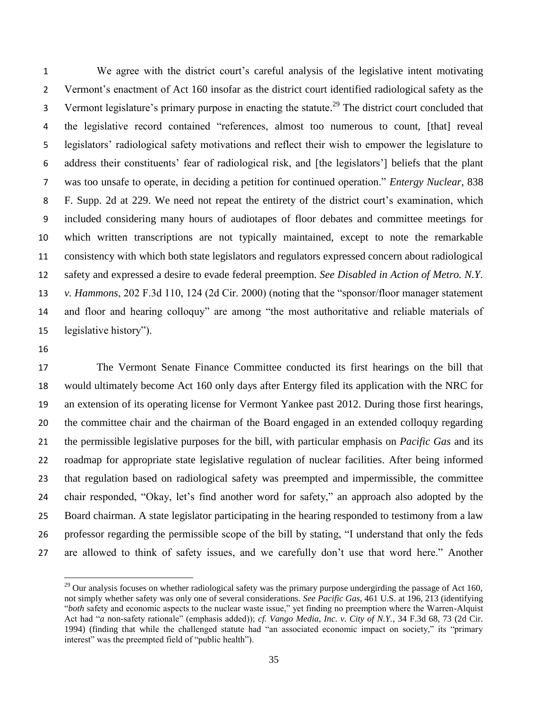We agree with the district court's careful analysis of the legislative intent motivating Vermont's enactment of Act 160 insofar as the district court identified radiological safety as the 3 Vermont legislature's primary purpose in enacting the statute.<sup>29</sup> The district court concluded that the legislative record contained "references, almost too numerous to count, [that] reveal legislators' radiological safety motivations and reflect their wish to empower the legislature to address their constituents' fear of radiological risk, and [the legislators'] beliefs that the plant was too unsafe to operate, in deciding a petition for continued operation." *Entergy Nuclear*, 838 F. Supp. 2d at 229. We need not repeat the entirety of the district court's examination, which included considering many hours of audiotapes of floor debates and committee meetings for which written transcriptions are not typically maintained, except to note the remarkable consistency with which both state legislators and regulators expressed concern about radiological safety and expressed a desire to evade federal preemption. *See Disabled in Action of Metro. N.Y. v. Hammons*, 202 F.3d 110, 124 (2d Cir. 2000) (noting that the "sponsor/floor manager statement and floor and hearing colloquy" are among "the most authoritative and reliable materials of legislative history").

l

 The Vermont Senate Finance Committee conducted its first hearings on the bill that would ultimately become Act 160 only days after Entergy filed its application with the NRC for an extension of its operating license for Vermont Yankee past 2012. During those first hearings, the committee chair and the chairman of the Board engaged in an extended colloquy regarding the permissible legislative purposes for the bill, with particular emphasis on *Pacific Gas* and its roadmap for appropriate state legislative regulation of nuclear facilities. After being informed that regulation based on radiological safety was preempted and impermissible, the committee chair responded, "Okay, let's find another word for safety," an approach also adopted by the Board chairman. A state legislator participating in the hearing responded to testimony from a law professor regarding the permissible scope of the bill by stating, "I understand that only the feds are allowed to think of safety issues, and we carefully don't use that word here." Another

 $^{29}$  Our analysis focuses on whether radiological safety was the primary purpose undergirding the passage of Act 160, not simply whether safety was only one of several considerations. *See Pacific Gas*, 461 U.S. at 196, 213 (identifying "*both* safety and economic aspects to the nuclear waste issue," yet finding no preemption where the Warren-Alquist Act had "*a* non-safety rationale" (emphasis added)); *cf. Vango Media, Inc. v. City of N.Y.*, 34 F.3d 68, 73 (2d Cir. 1994) (finding that while the challenged statute had "an associated economic impact on society," its "primary interest" was the preempted field of "public health").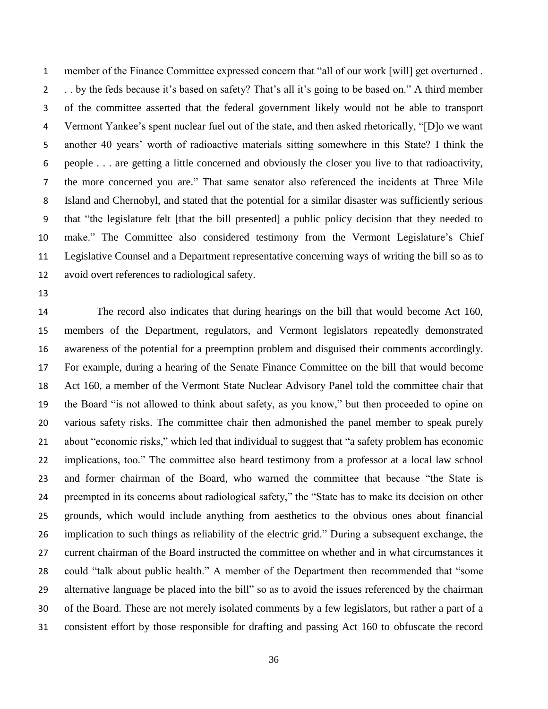member of the Finance Committee expressed concern that "all of our work [will] get overturned . . . by the feds because it's based on safety? That's all it's going to be based on." A third member of the committee asserted that the federal government likely would not be able to transport Vermont Yankee's spent nuclear fuel out of the state, and then asked rhetorically, "[D]o we want another 40 years' worth of radioactive materials sitting somewhere in this State? I think the people . . . are getting a little concerned and obviously the closer you live to that radioactivity, the more concerned you are." That same senator also referenced the incidents at Three Mile Island and Chernobyl, and stated that the potential for a similar disaster was sufficiently serious that "the legislature felt [that the bill presented] a public policy decision that they needed to make." The Committee also considered testimony from the Vermont Legislature's Chief Legislative Counsel and a Department representative concerning ways of writing the bill so as to avoid overt references to radiological safety.

 The record also indicates that during hearings on the bill that would become Act 160, members of the Department, regulators, and Vermont legislators repeatedly demonstrated awareness of the potential for a preemption problem and disguised their comments accordingly. For example, during a hearing of the Senate Finance Committee on the bill that would become Act 160, a member of the Vermont State Nuclear Advisory Panel told the committee chair that the Board "is not allowed to think about safety, as you know," but then proceeded to opine on various safety risks. The committee chair then admonished the panel member to speak purely about "economic risks," which led that individual to suggest that "a safety problem has economic implications, too." The committee also heard testimony from a professor at a local law school and former chairman of the Board, who warned the committee that because "the State is preempted in its concerns about radiological safety," the "State has to make its decision on other grounds, which would include anything from aesthetics to the obvious ones about financial implication to such things as reliability of the electric grid." During a subsequent exchange, the current chairman of the Board instructed the committee on whether and in what circumstances it could "talk about public health." A member of the Department then recommended that "some alternative language be placed into the bill" so as to avoid the issues referenced by the chairman of the Board. These are not merely isolated comments by a few legislators, but rather a part of a consistent effort by those responsible for drafting and passing Act 160 to obfuscate the record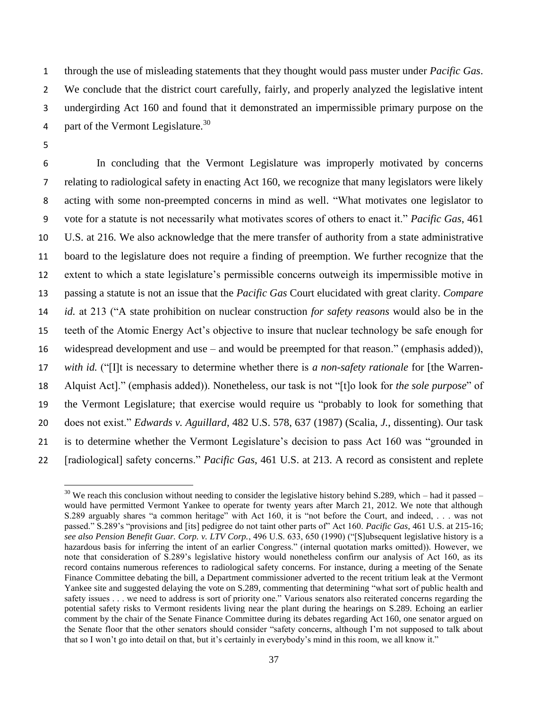through the use of misleading statements that they thought would pass muster under *Pacific Gas*. We conclude that the district court carefully, fairly, and properly analyzed the legislative intent undergirding Act 160 and found that it demonstrated an impermissible primary purpose on the 4 part of the Vermont Legislature. $30$ 

5

l

 In concluding that the Vermont Legislature was improperly motivated by concerns relating to radiological safety in enacting Act 160, we recognize that many legislators were likely acting with some non-preempted concerns in mind as well. "What motivates one legislator to vote for a statute is not necessarily what motivates scores of others to enact it." *Pacific Gas*, 461 U.S. at 216. We also acknowledge that the mere transfer of authority from a state administrative board to the legislature does not require a finding of preemption. We further recognize that the extent to which a state legislature's permissible concerns outweigh its impermissible motive in passing a statute is not an issue that the *Pacific Gas* Court elucidated with great clarity. *Compare id.* at 213 ("A state prohibition on nuclear construction *for safety reasons* would also be in the teeth of the Atomic Energy Act's objective to insure that nuclear technology be safe enough for widespread development and use – and would be preempted for that reason." (emphasis added)), *with id.* ("[I]t is necessary to determine whether there is *a non-safety rationale* for [the Warren- Alquist Act]." (emphasis added)). Nonetheless, our task is not "[t]o look for *the sole purpose*" of the Vermont Legislature; that exercise would require us "probably to look for something that does not exist." *Edwards v. Aguillard*, 482 U.S. 578, 637 (1987) (Scalia, *J.*, dissenting). Our task is to determine whether the Vermont Legislature's decision to pass Act 160 was "grounded in [radiological] safety concerns." *Pacific Gas*, 461 U.S. at 213. A record as consistent and replete

<sup>&</sup>lt;sup>30</sup> We reach this conclusion without needing to consider the legislative history behind S.289, which – had it passed – would have permitted Vermont Yankee to operate for twenty years after March 21, 2012. We note that although S.289 arguably shares "a common heritage" with Act 160, it is "not before the Court, and indeed, . . . was not passed." S.289's "provisions and [its] pedigree do not taint other parts of" Act 160. *Pacific Gas*, 461 U.S. at 215-16; *see also Pension Benefit Guar. Corp. v. LTV Corp.*, 496 U.S. 633, 650 (1990) ("[S]ubsequent legislative history is a hazardous basis for inferring the intent of an earlier Congress." (internal quotation marks omitted)). However, we note that consideration of S.289's legislative history would nonetheless confirm our analysis of Act 160, as its record contains numerous references to radiological safety concerns. For instance, during a meeting of the Senate Finance Committee debating the bill, a Department commissioner adverted to the recent tritium leak at the Vermont Yankee site and suggested delaying the vote on S.289, commenting that determining "what sort of public health and safety issues . . . we need to address is sort of priority one." Various senators also reiterated concerns regarding the potential safety risks to Vermont residents living near the plant during the hearings on S.289. Echoing an earlier comment by the chair of the Senate Finance Committee during its debates regarding Act 160, one senator argued on the Senate floor that the other senators should consider "safety concerns, although I'm not supposed to talk about that so I won't go into detail on that, but it's certainly in everybody's mind in this room, we all know it."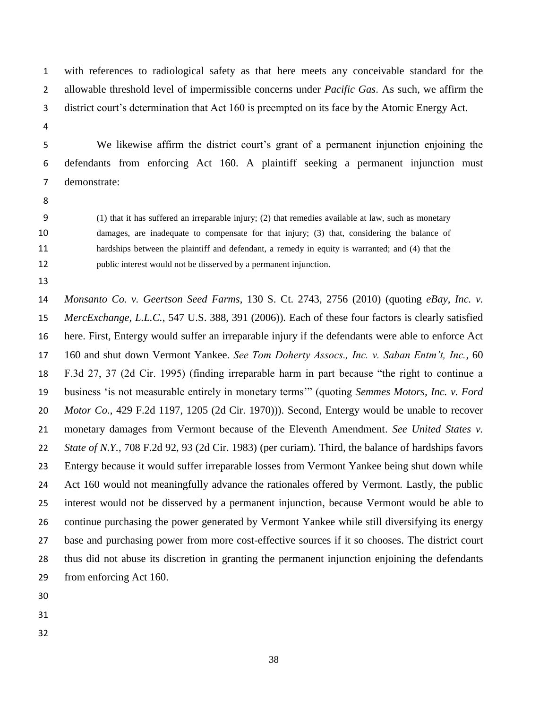with references to radiological safety as that here meets any conceivable standard for the allowable threshold level of impermissible concerns under *Pacific Gas*. As such, we affirm the district court's determination that Act 160 is preempted on its face by the Atomic Energy Act.

 We likewise affirm the district court's grant of a permanent injunction enjoining the defendants from enforcing Act 160. A plaintiff seeking a permanent injunction must demonstrate:

- 
- 

 (1) that it has suffered an irreparable injury; (2) that remedies available at law, such as monetary damages, are inadequate to compensate for that injury; (3) that, considering the balance of hardships between the plaintiff and defendant, a remedy in equity is warranted; and (4) that the public interest would not be disserved by a permanent injunction.

 *Monsanto Co. v. Geertson Seed Farms*, 130 S. Ct. 2743, 2756 (2010) (quoting *eBay, Inc. v. MercExchange, L.L.C.*, 547 U.S. 388, 391 (2006)). Each of these four factors is clearly satisfied here. First, Entergy would suffer an irreparable injury if the defendants were able to enforce Act 160 and shut down Vermont Yankee. *See Tom Doherty Assocs., Inc. v. Saban Entm't, Inc.*, 60 F.3d 27, 37 (2d Cir. 1995) (finding irreparable harm in part because "the right to continue a business 'is not measurable entirely in monetary terms'" (quoting *Semmes Motors, Inc. v. Ford Motor Co.*, 429 F.2d 1197, 1205 (2d Cir. 1970))). Second, Entergy would be unable to recover monetary damages from Vermont because of the Eleventh Amendment. *See United States v. State of N.Y.*, 708 F.2d 92, 93 (2d Cir. 1983) (per curiam). Third, the balance of hardships favors Entergy because it would suffer irreparable losses from Vermont Yankee being shut down while Act 160 would not meaningfully advance the rationales offered by Vermont. Lastly, the public interest would not be disserved by a permanent injunction, because Vermont would be able to continue purchasing the power generated by Vermont Yankee while still diversifying its energy base and purchasing power from more cost-effective sources if it so chooses. The district court thus did not abuse its discretion in granting the permanent injunction enjoining the defendants from enforcing Act 160.

- 
- 
-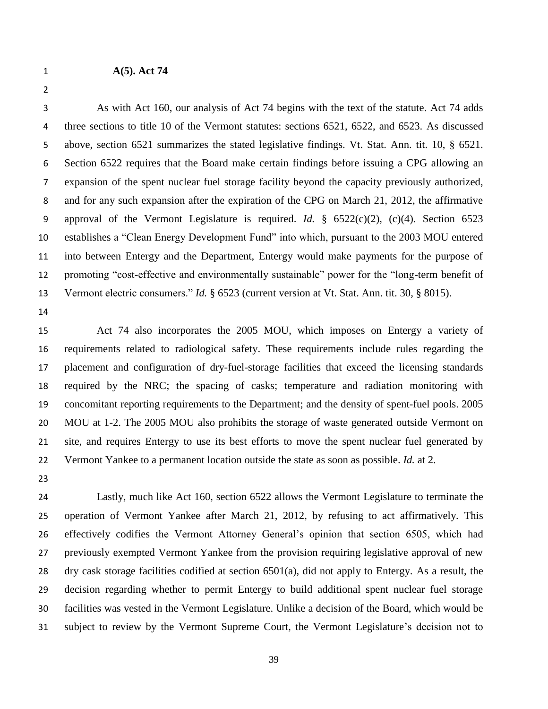#### **A(5). Act 74**

 As with Act 160, our analysis of Act 74 begins with the text of the statute. Act 74 adds 4 three sections to title 10 of the Vermont statutes: sections 6521, 6522, and 6523. As discussed above, section 6521 summarizes the stated legislative findings. Vt. Stat. Ann. tit. 10, § 6521. Section 6522 requires that the Board make certain findings before issuing a CPG allowing an expansion of the spent nuclear fuel storage facility beyond the capacity previously authorized, and for any such expansion after the expiration of the CPG on March 21, 2012, the affirmative approval of the Vermont Legislature is required. *Id.* § 6522(c)(2), (c)(4). Section 6523 establishes a "Clean Energy Development Fund" into which, pursuant to the 2003 MOU entered into between Entergy and the Department, Entergy would make payments for the purpose of promoting "cost-effective and environmentally sustainable" power for the "long-term benefit of Vermont electric consumers." *Id.* § 6523 (current version at Vt. Stat. Ann. tit. 30, § 8015).

 Act 74 also incorporates the 2005 MOU, which imposes on Entergy a variety of requirements related to radiological safety. These requirements include rules regarding the placement and configuration of dry-fuel-storage facilities that exceed the licensing standards required by the NRC; the spacing of casks; temperature and radiation monitoring with concomitant reporting requirements to the Department; and the density of spent-fuel pools. 2005 MOU at 1-2. The 2005 MOU also prohibits the storage of waste generated outside Vermont on site, and requires Entergy to use its best efforts to move the spent nuclear fuel generated by Vermont Yankee to a permanent location outside the state as soon as possible. *Id.* at 2.

 Lastly, much like Act 160, section 6522 allows the Vermont Legislature to terminate the operation of Vermont Yankee after March 21, 2012, by refusing to act affirmatively. This effectively codifies the Vermont Attorney General's opinion that section 6505, which had previously exempted Vermont Yankee from the provision requiring legislative approval of new dry cask storage facilities codified at section 6501(a), did not apply to Entergy. As a result, the decision regarding whether to permit Entergy to build additional spent nuclear fuel storage facilities was vested in the Vermont Legislature. Unlike a decision of the Board, which would be subject to review by the Vermont Supreme Court, the Vermont Legislature's decision not to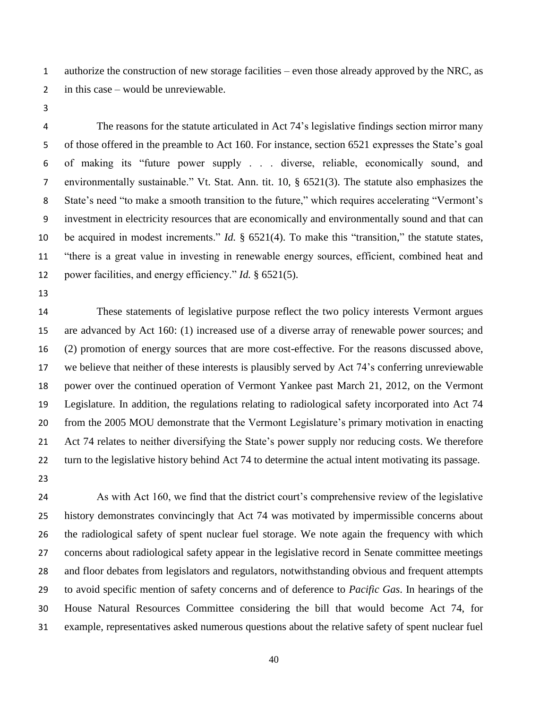authorize the construction of new storage facilities – even those already approved by the NRC, as in this case – would be unreviewable.

 The reasons for the statute articulated in Act 74's legislative findings section mirror many of those offered in the preamble to Act 160. For instance, section 6521 expresses the State's goal of making its "future power supply . . . diverse, reliable, economically sound, and environmentally sustainable." Vt. Stat. Ann. tit. 10, § 6521(3). The statute also emphasizes the State's need "to make a smooth transition to the future," which requires accelerating "Vermont's investment in electricity resources that are economically and environmentally sound and that can be acquired in modest increments." *Id.* § 6521(4). To make this "transition," the statute states, "there is a great value in investing in renewable energy sources, efficient, combined heat and power facilities, and energy efficiency." *Id.* § 6521(5).

 These statements of legislative purpose reflect the two policy interests Vermont argues are advanced by Act 160: (1) increased use of a diverse array of renewable power sources; and (2) promotion of energy sources that are more cost-effective. For the reasons discussed above, we believe that neither of these interests is plausibly served by Act 74's conferring unreviewable power over the continued operation of Vermont Yankee past March 21, 2012, on the Vermont Legislature. In addition, the regulations relating to radiological safety incorporated into Act 74 from the 2005 MOU demonstrate that the Vermont Legislature's primary motivation in enacting Act 74 relates to neither diversifying the State's power supply nor reducing costs. We therefore turn to the legislative history behind Act 74 to determine the actual intent motivating its passage.

 As with Act 160, we find that the district court's comprehensive review of the legislative history demonstrates convincingly that Act 74 was motivated by impermissible concerns about the radiological safety of spent nuclear fuel storage. We note again the frequency with which concerns about radiological safety appear in the legislative record in Senate committee meetings and floor debates from legislators and regulators, notwithstanding obvious and frequent attempts to avoid specific mention of safety concerns and of deference to *Pacific Gas*. In hearings of the House Natural Resources Committee considering the bill that would become Act 74, for example, representatives asked numerous questions about the relative safety of spent nuclear fuel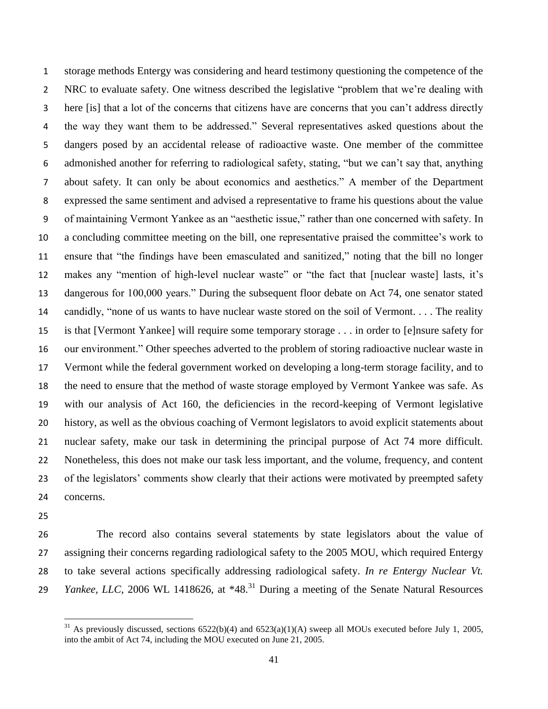storage methods Entergy was considering and heard testimony questioning the competence of the NRC to evaluate safety. One witness described the legislative "problem that we're dealing with here [is] that a lot of the concerns that citizens have are concerns that you can't address directly the way they want them to be addressed." Several representatives asked questions about the dangers posed by an accidental release of radioactive waste. One member of the committee admonished another for referring to radiological safety, stating, "but we can't say that, anything about safety. It can only be about economics and aesthetics." A member of the Department expressed the same sentiment and advised a representative to frame his questions about the value of maintaining Vermont Yankee as an "aesthetic issue," rather than one concerned with safety. In a concluding committee meeting on the bill, one representative praised the committee's work to ensure that "the findings have been emasculated and sanitized," noting that the bill no longer makes any "mention of high-level nuclear waste" or "the fact that [nuclear waste] lasts, it's dangerous for 100,000 years." During the subsequent floor debate on Act 74, one senator stated candidly, "none of us wants to have nuclear waste stored on the soil of Vermont. . . . The reality is that [Vermont Yankee] will require some temporary storage . . . in order to [e]nsure safety for our environment." Other speeches adverted to the problem of storing radioactive nuclear waste in Vermont while the federal government worked on developing a long-term storage facility, and to the need to ensure that the method of waste storage employed by Vermont Yankee was safe. As with our analysis of Act 160, the deficiencies in the record-keeping of Vermont legislative history, as well as the obvious coaching of Vermont legislators to avoid explicit statements about nuclear safety, make our task in determining the principal purpose of Act 74 more difficult. Nonetheless, this does not make our task less important, and the volume, frequency, and content 23 of the legislators' comments show clearly that their actions were motivated by preempted safety concerns.

 $\overline{\phantom{a}}$ 

 The record also contains several statements by state legislators about the value of assigning their concerns regarding radiological safety to the 2005 MOU, which required Entergy to take several actions specifically addressing radiological safety. *In re Entergy Nuclear Vt. Yankee, LLC*, 2006 WL 1418626, at \*48.<sup>31</sup> During a meeting of the Senate Natural Resources

<sup>&</sup>lt;sup>31</sup> As previously discussed, sections  $6522(b)(4)$  and  $6523(a)(1)(A)$  sweep all MOUs executed before July 1, 2005, into the ambit of Act 74, including the MOU executed on June 21, 2005.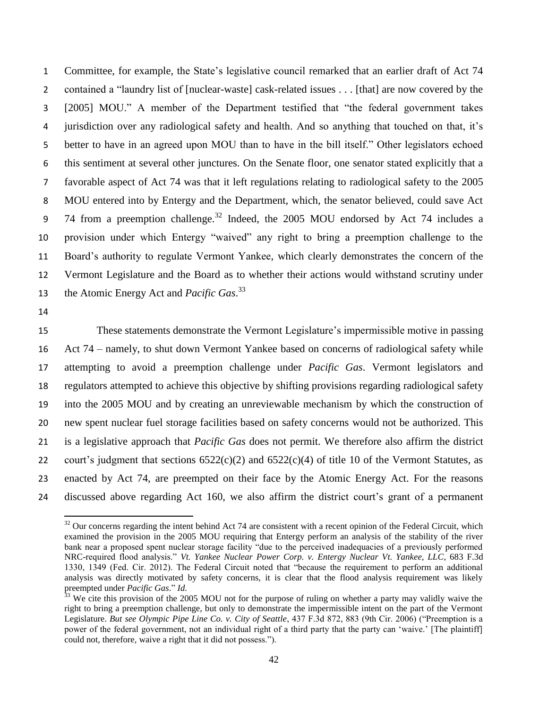Committee, for example, the State's legislative council remarked that an earlier draft of Act 74 contained a "laundry list of [nuclear-waste] cask-related issues . . . [that] are now covered by the [2005] MOU." A member of the Department testified that "the federal government takes jurisdiction over any radiological safety and health. And so anything that touched on that, it's better to have in an agreed upon MOU than to have in the bill itself." Other legislators echoed this sentiment at several other junctures. On the Senate floor, one senator stated explicitly that a favorable aspect of Act 74 was that it left regulations relating to radiological safety to the 2005 MOU entered into by Entergy and the Department, which, the senator believed, could save Act 9 74 from a preemption challenge.<sup>32</sup> Indeed, the 2005 MOU endorsed by Act 74 includes a provision under which Entergy "waived" any right to bring a preemption challenge to the Board's authority to regulate Vermont Yankee, which clearly demonstrates the concern of the Vermont Legislature and the Board as to whether their actions would withstand scrutiny under 13 the Atomic Energy Act and *Pacific Gas*.<sup>33</sup>

 $\overline{a}$ 

 These statements demonstrate the Vermont Legislature's impermissible motive in passing Act 74 – namely, to shut down Vermont Yankee based on concerns of radiological safety while attempting to avoid a preemption challenge under *Pacific Gas*. Vermont legislators and regulators attempted to achieve this objective by shifting provisions regarding radiological safety into the 2005 MOU and by creating an unreviewable mechanism by which the construction of new spent nuclear fuel storage facilities based on safety concerns would not be authorized. This is a legislative approach that *Pacific Gas* does not permit. We therefore also affirm the district 22 court's judgment that sections  $6522(c)(2)$  and  $6522(c)(4)$  of title 10 of the Vermont Statutes, as enacted by Act 74, are preempted on their face by the Atomic Energy Act. For the reasons discussed above regarding Act 160, we also affirm the district court's grant of a permanent

 Our concerns regarding the intent behind Act 74 are consistent with a recent opinion of the Federal Circuit, which examined the provision in the 2005 MOU requiring that Entergy perform an analysis of the stability of the river bank near a proposed spent nuclear storage facility "due to the perceived inadequacies of a previously performed NRC-required flood analysis." *Vt. Yankee Nuclear Power Corp. v. Entergy Nuclear Vt. Yankee, LLC*, 683 F.3d 1330, 1349 (Fed. Cir. 2012). The Federal Circuit noted that "because the requirement to perform an additional analysis was directly motivated by safety concerns, it is clear that the flood analysis requirement was likely preempted under *Pacific Gas*." *Id.*

 We cite this provision of the 2005 MOU not for the purpose of ruling on whether a party may validly waive the right to bring a preemption challenge, but only to demonstrate the impermissible intent on the part of the Vermont Legislature. *But see Olympic Pipe Line Co. v. City of Seattle*, 437 F.3d 872, 883 (9th Cir. 2006) ("Preemption is a power of the federal government, not an individual right of a third party that the party can 'waive.' [The plaintiff] could not, therefore, waive a right that it did not possess.").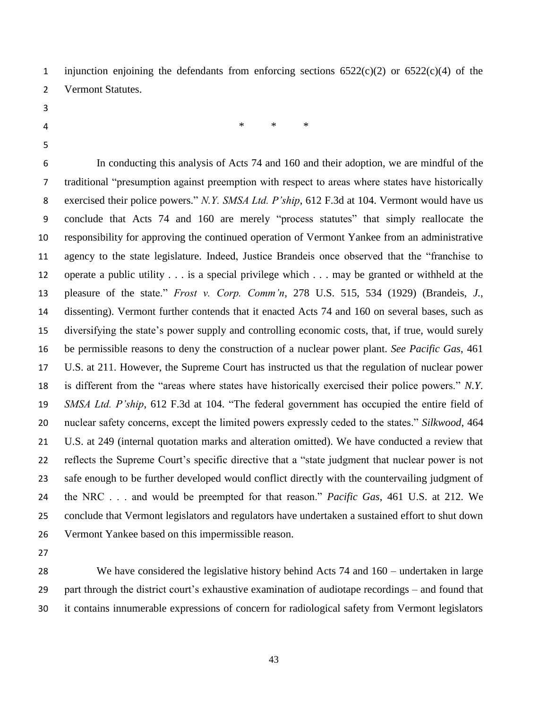1 injunction enjoining the defendants from enforcing sections  $6522(c)(2)$  or  $6522(c)(4)$  of the Vermont Statutes.

- 
- 

\* \* \*

 In conducting this analysis of Acts 74 and 160 and their adoption, we are mindful of the traditional "presumption against preemption with respect to areas where states have historically exercised their police powers." *N.Y. SMSA Ltd. P'ship*, 612 F.3d at 104. Vermont would have us conclude that Acts 74 and 160 are merely "process statutes" that simply reallocate the responsibility for approving the continued operation of Vermont Yankee from an administrative agency to the state legislature. Indeed, Justice Brandeis once observed that the "franchise to operate a public utility . . . is a special privilege which . . . may be granted or withheld at the pleasure of the state." *Frost v. Corp. Comm'n*, 278 U.S. 515, 534 (1929) (Brandeis, *J.*, dissenting). Vermont further contends that it enacted Acts 74 and 160 on several bases, such as diversifying the state's power supply and controlling economic costs, that, if true, would surely be permissible reasons to deny the construction of a nuclear power plant. *See Pacific Gas*, 461 U.S. at 211. However, the Supreme Court has instructed us that the regulation of nuclear power is different from the "areas where states have historically exercised their police powers." *N.Y. SMSA Ltd. P'ship*, 612 F.3d at 104. "The federal government has occupied the entire field of nuclear safety concerns, except the limited powers expressly ceded to the states." *Silkwood*, 464 U.S. at 249 (internal quotation marks and alteration omitted). We have conducted a review that reflects the Supreme Court's specific directive that a "state judgment that nuclear power is not safe enough to be further developed would conflict directly with the countervailing judgment of the NRC . . . and would be preempted for that reason." *Pacific Gas*, 461 U.S. at 212. We conclude that Vermont legislators and regulators have undertaken a sustained effort to shut down Vermont Yankee based on this impermissible reason.

 We have considered the legislative history behind Acts 74 and 160 – undertaken in large part through the district court's exhaustive examination of audiotape recordings – and found that it contains innumerable expressions of concern for radiological safety from Vermont legislators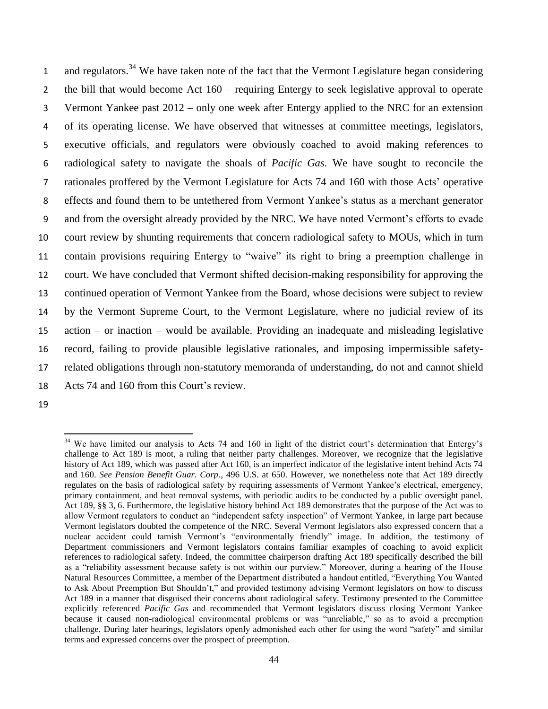1 and regulators.<sup>34</sup> We have taken note of the fact that the Vermont Legislature began considering the bill that would become Act 160 – requiring Entergy to seek legislative approval to operate Vermont Yankee past 2012 – only one week after Entergy applied to the NRC for an extension of its operating license. We have observed that witnesses at committee meetings, legislators, executive officials, and regulators were obviously coached to avoid making references to radiological safety to navigate the shoals of *Pacific Gas*. We have sought to reconcile the rationales proffered by the Vermont Legislature for Acts 74 and 160 with those Acts' operative effects and found them to be untethered from Vermont Yankee's status as a merchant generator and from the oversight already provided by the NRC. We have noted Vermont's efforts to evade court review by shunting requirements that concern radiological safety to MOUs, which in turn contain provisions requiring Entergy to "waive" its right to bring a preemption challenge in court. We have concluded that Vermont shifted decision-making responsibility for approving the continued operation of Vermont Yankee from the Board, whose decisions were subject to review by the Vermont Supreme Court, to the Vermont Legislature, where no judicial review of its action – or inaction – would be available. Providing an inadequate and misleading legislative record, failing to provide plausible legislative rationales, and imposing impermissible safety- related obligations through non-statutory memoranda of understanding, do not and cannot shield Acts 74 and 160 from this Court's review.

 $\overline{a}$  $34$  We have limited our analysis to Acts 74 and 160 in light of the district court's determination that Entergy's challenge to Act 189 is moot, a ruling that neither party challenges. Moreover, we recognize that the legislative history of Act 189, which was passed after Act 160, is an imperfect indicator of the legislative intent behind Acts 74 and 160. *See Pension Benefit Guar. Corp.*, 496 U.S. at 650. However, we nonetheless note that Act 189 directly regulates on the basis of radiological safety by requiring assessments of Vermont Yankee's electrical, emergency, primary containment, and heat removal systems, with periodic audits to be conducted by a public oversight panel. Act 189, §§ 3, 6. Furthermore, the legislative history behind Act 189 demonstrates that the purpose of the Act was to allow Vermont regulators to conduct an "independent safety inspection" of Vermont Yankee, in large part because Vermont legislators doubted the competence of the NRC. Several Vermont legislators also expressed concern that a nuclear accident could tarnish Vermont's "environmentally friendly" image. In addition, the testimony of Department commissioners and Vermont legislators contains familiar examples of coaching to avoid explicit references to radiological safety. Indeed, the committee chairperson drafting Act 189 specifically described the bill as a "reliability assessment because safety is not within our purview." Moreover, during a hearing of the House Natural Resources Committee, a member of the Department distributed a handout entitled, "Everything You Wanted to Ask About Preemption But Shouldn't," and provided testimony advising Vermont legislators on how to discuss Act 189 in a manner that disguised their concerns about radiological safety. Testimony presented to the Committee explicitly referenced *Pacific Gas* and recommended that Vermont legislators discuss closing Vermont Yankee because it caused non-radiological environmental problems or was "unreliable," so as to avoid a preemption challenge. During later hearings, legislators openly admonished each other for using the word "safety" and similar terms and expressed concerns over the prospect of preemption.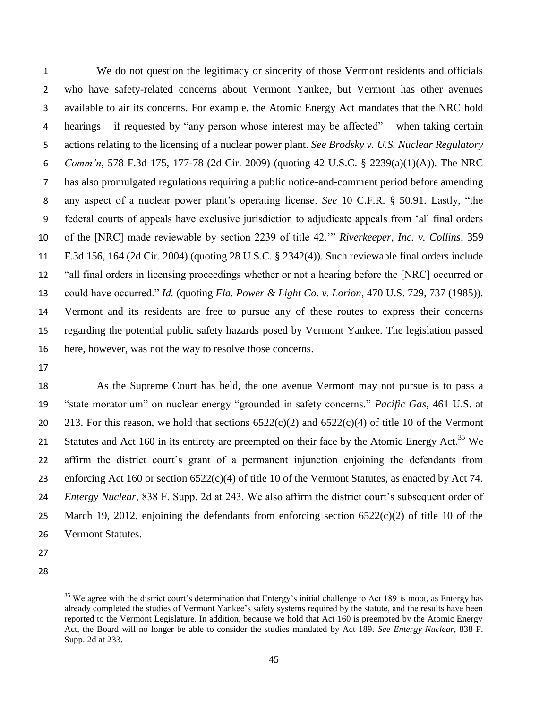We do not question the legitimacy or sincerity of those Vermont residents and officials who have safety-related concerns about Vermont Yankee, but Vermont has other avenues available to air its concerns. For example, the Atomic Energy Act mandates that the NRC hold hearings – if requested by "any person whose interest may be affected" – when taking certain actions relating to the licensing of a nuclear power plant. *See Brodsky v. U.S. Nuclear Regulatory Comm'n*, 578 F.3d 175, 177-78 (2d Cir. 2009) (quoting 42 U.S.C. § 2239(a)(1)(A)). The NRC has also promulgated regulations requiring a public notice-and-comment period before amending any aspect of a nuclear power plant's operating license. *See* 10 C.F.R. § 50.91. Lastly, "the federal courts of appeals have exclusive jurisdiction to adjudicate appeals from 'all final orders of the [NRC] made reviewable by section 2239 of title 42.'" *Riverkeeper, Inc. v. Collins*, 359 F.3d 156, 164 (2d Cir. 2004) (quoting 28 U.S.C. § 2342(4)). Such reviewable final orders include "all final orders in licensing proceedings whether or not a hearing before the [NRC] occurred or could have occurred." *Id.* (quoting *Fla. Power & Light Co. v. Lorion*, 470 U.S. 729, 737 (1985)). Vermont and its residents are free to pursue any of these routes to express their concerns regarding the potential public safety hazards posed by Vermont Yankee. The legislation passed here, however, was not the way to resolve those concerns.

 As the Supreme Court has held, the one avenue Vermont may not pursue is to pass a "state moratorium" on nuclear energy "grounded in safety concerns." *Pacific Gas*, 461 U.S. at 20 213. For this reason, we hold that sections  $6522(c)(2)$  and  $6522(c)(4)$  of title 10 of the Vermont 21 Statutes and Act 160 in its entirety are preempted on their face by the Atomic Energy Act.<sup>35</sup> We affirm the district court's grant of a permanent injunction enjoining the defendants from enforcing Act 160 or section 6522(c)(4) of title 10 of the Vermont Statutes, as enacted by Act 74. *Entergy Nuclear*, 838 F. Supp. 2d at 243. We also affirm the district court's subsequent order of March 19, 2012, enjoining the defendants from enforcing section 6522(c)(2) of title 10 of the Vermont Statutes.

- 
- 

 $\overline{a}$  We agree with the district court's determination that Entergy's initial challenge to Act 189 is moot, as Entergy has already completed the studies of Vermont Yankee's safety systems required by the statute, and the results have been reported to the Vermont Legislature. In addition, because we hold that Act 160 is preempted by the Atomic Energy Act, the Board will no longer be able to consider the studies mandated by Act 189. *See Entergy Nuclear*, 838 F. Supp. 2d at 233.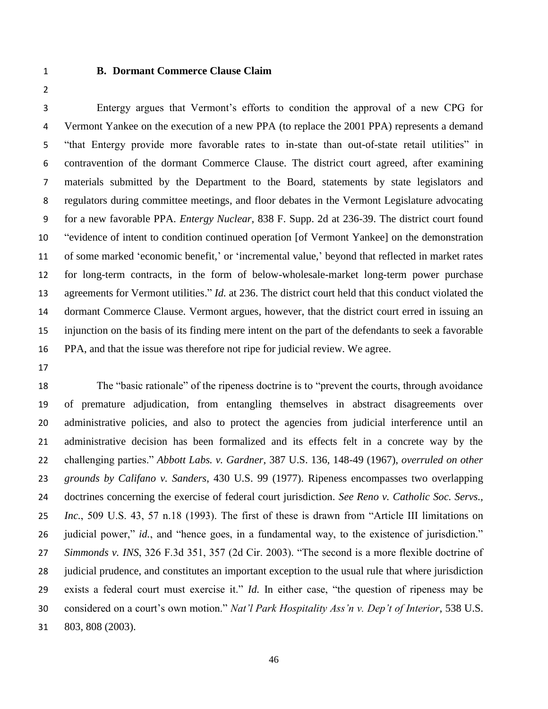#### **B. Dormant Commerce Clause Claim**

 Entergy argues that Vermont's efforts to condition the approval of a new CPG for Vermont Yankee on the execution of a new PPA (to replace the 2001 PPA) represents a demand "that Entergy provide more favorable rates to in-state than out-of-state retail utilities" in contravention of the dormant Commerce Clause. The district court agreed, after examining materials submitted by the Department to the Board, statements by state legislators and regulators during committee meetings, and floor debates in the Vermont Legislature advocating for a new favorable PPA. *Entergy Nuclear*, 838 F. Supp. 2d at 236-39. The district court found "evidence of intent to condition continued operation [of Vermont Yankee] on the demonstration of some marked 'economic benefit,' or 'incremental value,' beyond that reflected in market rates for long-term contracts, in the form of below-wholesale-market long-term power purchase agreements for Vermont utilities." *Id.* at 236. The district court held that this conduct violated the dormant Commerce Clause. Vermont argues, however, that the district court erred in issuing an injunction on the basis of its finding mere intent on the part of the defendants to seek a favorable PPA, and that the issue was therefore not ripe for judicial review. We agree.

 The "basic rationale" of the ripeness doctrine is to "prevent the courts, through avoidance of premature adjudication, from entangling themselves in abstract disagreements over administrative policies, and also to protect the agencies from judicial interference until an administrative decision has been formalized and its effects felt in a concrete way by the challenging parties." *Abbott Labs. v. Gardner*, 387 U.S. 136, 148-49 (1967), *overruled on other grounds by Califano v. Sanders*, 430 U.S. 99 (1977). Ripeness encompasses two overlapping doctrines concerning the exercise of federal court jurisdiction. *See Reno v. Catholic Soc. Servs., Inc.*, 509 U.S. 43, 57 n.18 (1993). The first of these is drawn from "Article III limitations on judicial power," *id.*, and "hence goes, in a fundamental way, to the existence of jurisdiction." *Simmonds v. INS*, 326 F.3d 351, 357 (2d Cir. 2003). "The second is a more flexible doctrine of judicial prudence, and constitutes an important exception to the usual rule that where jurisdiction exists a federal court must exercise it." *Id.* In either case, "the question of ripeness may be considered on a court's own motion." *Nat'l Park Hospitality Ass'n v. Dep't of Interior*, 538 U.S. 803, 808 (2003).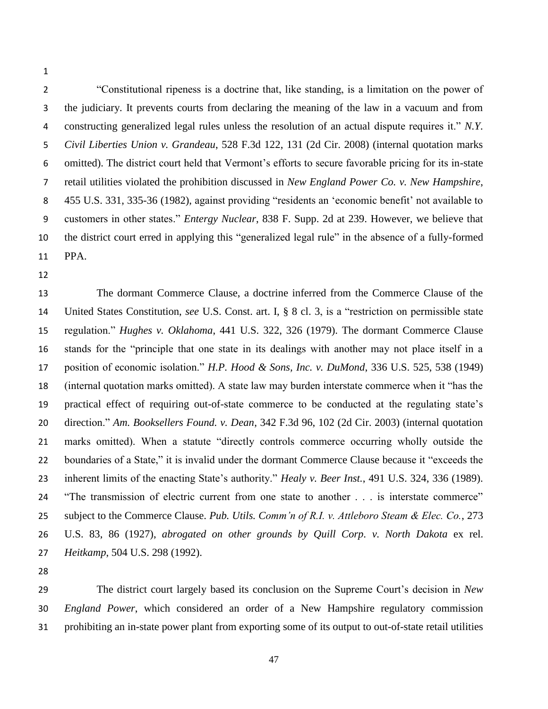"Constitutional ripeness is a doctrine that, like standing, is a limitation on the power of the judiciary. It prevents courts from declaring the meaning of the law in a vacuum and from constructing generalized legal rules unless the resolution of an actual dispute requires it." *N.Y. Civil Liberties Union v. Grandeau*, 528 F.3d 122, 131 (2d Cir. 2008) (internal quotation marks omitted). The district court held that Vermont's efforts to secure favorable pricing for its in-state retail utilities violated the prohibition discussed in *New England Power Co. v. New Hampshire*, 455 U.S. 331, 335-36 (1982), against providing "residents an 'economic benefit' not available to customers in other states." *Entergy Nuclear*, 838 F. Supp. 2d at 239. However, we believe that the district court erred in applying this "generalized legal rule" in the absence of a fully-formed PPA.

 The dormant Commerce Clause, a doctrine inferred from the Commerce Clause of the United States Constitution, *see* U.S. Const. art. I, § 8 cl. 3, is a "restriction on permissible state regulation." *Hughes v. Oklahoma*, 441 U.S. 322, 326 (1979). The dormant Commerce Clause stands for the "principle that one state in its dealings with another may not place itself in a position of economic isolation." *H.P. Hood & Sons, Inc. v. DuMond*, 336 U.S. 525, 538 (1949) (internal quotation marks omitted). A state law may burden interstate commerce when it "has the practical effect of requiring out-of-state commerce to be conducted at the regulating state's direction." *Am. Booksellers Found. v. Dean*, 342 F.3d 96, 102 (2d Cir. 2003) (internal quotation marks omitted). When a statute "directly controls commerce occurring wholly outside the boundaries of a State," it is invalid under the dormant Commerce Clause because it "exceeds the inherent limits of the enacting State's authority." *Healy v. Beer Inst.*, 491 U.S. 324, 336 (1989). "The transmission of electric current from one state to another . . . is interstate commerce" subject to the Commerce Clause. *Pub. Utils. Comm'n of R.I. v. Attleboro Steam & Elec. Co.*, 273 U.S. 83, 86 (1927), *abrogated on other grounds by Quill Corp. v. North Dakota* ex rel. *Heitkamp*, 504 U.S. 298 (1992).

 The district court largely based its conclusion on the Supreme Court's decision in *New England Power*, which considered an order of a New Hampshire regulatory commission prohibiting an in-state power plant from exporting some of its output to out-of-state retail utilities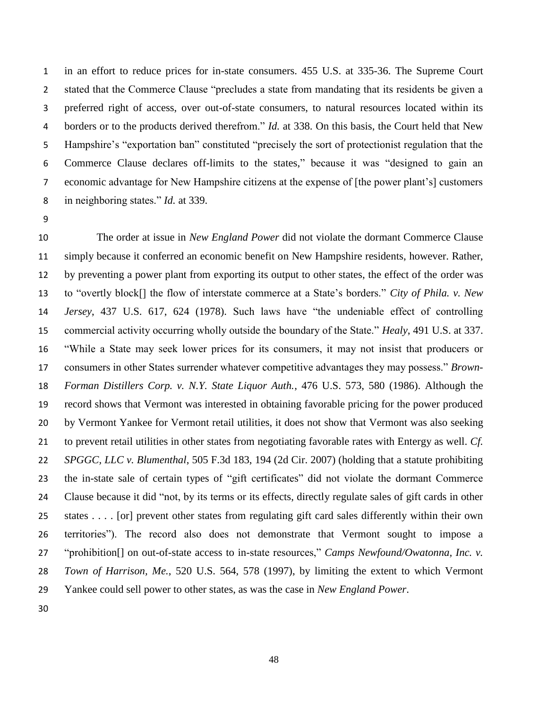in an effort to reduce prices for in-state consumers. 455 U.S. at 335-36. The Supreme Court stated that the Commerce Clause "precludes a state from mandating that its residents be given a preferred right of access, over out-of-state consumers, to natural resources located within its borders or to the products derived therefrom." *Id.* at 338. On this basis, the Court held that New Hampshire's "exportation ban" constituted "precisely the sort of protectionist regulation that the Commerce Clause declares off-limits to the states," because it was "designed to gain an economic advantage for New Hampshire citizens at the expense of [the power plant's] customers in neighboring states." *Id.* at 339.

 The order at issue in *New England Power* did not violate the dormant Commerce Clause simply because it conferred an economic benefit on New Hampshire residents, however. Rather, by preventing a power plant from exporting its output to other states, the effect of the order was to "overtly block[] the flow of interstate commerce at a State's borders." *City of Phila. v. New Jersey*, 437 U.S. 617, 624 (1978). Such laws have "the undeniable effect of controlling commercial activity occurring wholly outside the boundary of the State." *Healy*, 491 U.S. at 337. "While a State may seek lower prices for its consumers, it may not insist that producers or consumers in other States surrender whatever competitive advantages they may possess." *Brown- Forman Distillers Corp. v. N.Y. State Liquor Auth.*, 476 U.S. 573, 580 (1986). Although the record shows that Vermont was interested in obtaining favorable pricing for the power produced by Vermont Yankee for Vermont retail utilities, it does not show that Vermont was also seeking to prevent retail utilities in other states from negotiating favorable rates with Entergy as well. *Cf. SPGGC, LLC v. Blumenthal*, 505 F.3d 183, 194 (2d Cir. 2007) (holding that a statute prohibiting the in-state sale of certain types of "gift certificates" did not violate the dormant Commerce Clause because it did "not, by its terms or its effects, directly regulate sales of gift cards in other states . . . . [or] prevent other states from regulating gift card sales differently within their own territories"). The record also does not demonstrate that Vermont sought to impose a "prohibition[] on out-of-state access to in-state resources," *Camps Newfound/Owatonna, Inc. v. Town of Harrison, Me.*, 520 U.S. 564, 578 (1997), by limiting the extent to which Vermont Yankee could sell power to other states, as was the case in *New England Power*.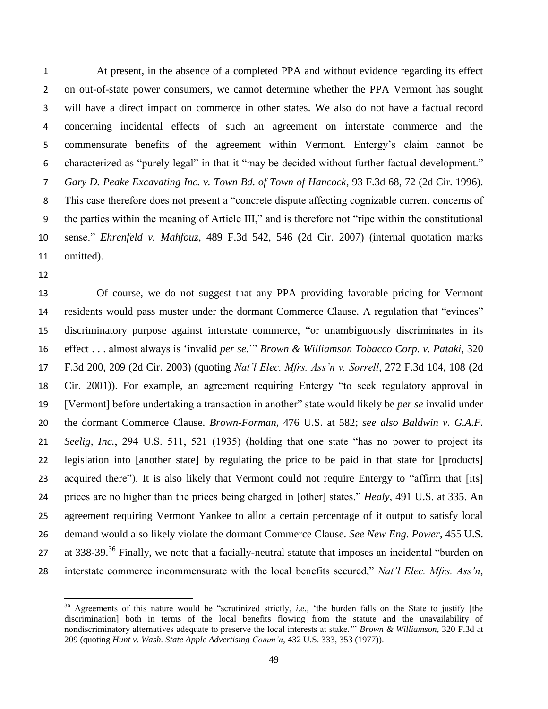At present, in the absence of a completed PPA and without evidence regarding its effect on out-of-state power consumers, we cannot determine whether the PPA Vermont has sought will have a direct impact on commerce in other states. We also do not have a factual record concerning incidental effects of such an agreement on interstate commerce and the commensurate benefits of the agreement within Vermont. Entergy's claim cannot be characterized as "purely legal" in that it "may be decided without further factual development." *Gary D. Peake Excavating Inc. v. Town Bd. of Town of Hancock*, 93 F.3d 68, 72 (2d Cir. 1996). This case therefore does not present a "concrete dispute affecting cognizable current concerns of the parties within the meaning of Article III," and is therefore not "ripe within the constitutional sense." *Ehrenfeld v. Mahfouz*, 489 F.3d 542, 546 (2d Cir. 2007) (internal quotation marks omitted).

 $\overline{\phantom{a}}$ 

 Of course, we do not suggest that any PPA providing favorable pricing for Vermont residents would pass muster under the dormant Commerce Clause. A regulation that "evinces" discriminatory purpose against interstate commerce, "or unambiguously discriminates in its effect . . . almost always is 'invalid *per se*.'" *Brown & Williamson Tobacco Corp. v. Pataki*, 320 F.3d 200, 209 (2d Cir. 2003) (quoting *Nat'l Elec. Mfrs. Ass'n v. Sorrell*, 272 F.3d 104, 108 (2d Cir. 2001)). For example, an agreement requiring Entergy "to seek regulatory approval in [Vermont] before undertaking a transaction in another" state would likely be *per se* invalid under the dormant Commerce Clause. *Brown-Forman*, 476 U.S. at 582; *see also Baldwin v. G.A.F. Seelig, Inc.*, 294 U.S. 511, 521 (1935) (holding that one state "has no power to project its legislation into [another state] by regulating the price to be paid in that state for [products] 23 acquired there"). It is also likely that Vermont could not require Entergy to "affirm that [its] prices are no higher than the prices being charged in [other] states." *Healy*, 491 U.S. at 335. An agreement requiring Vermont Yankee to allot a certain percentage of it output to satisfy local demand would also likely violate the dormant Commerce Clause. *See New Eng. Power*, 455 U.S. 27 at 338-39.<sup>36</sup> Finally, we note that a facially-neutral statute that imposes an incidental "burden on interstate commerce incommensurate with the local benefits secured," *Nat'l Elec. Mfrs. Ass'n*,

 Agreements of this nature would be "scrutinized strictly, *i.e.*, 'the burden falls on the State to justify [the discrimination] both in terms of the local benefits flowing from the statute and the unavailability of nondiscriminatory alternatives adequate to preserve the local interests at stake.'" *Brown & Williamson*, 320 F.3d at 209 (quoting *Hunt v. Wash. State Apple Advertising Comm'n*, 432 U.S. 333, 353 (1977)).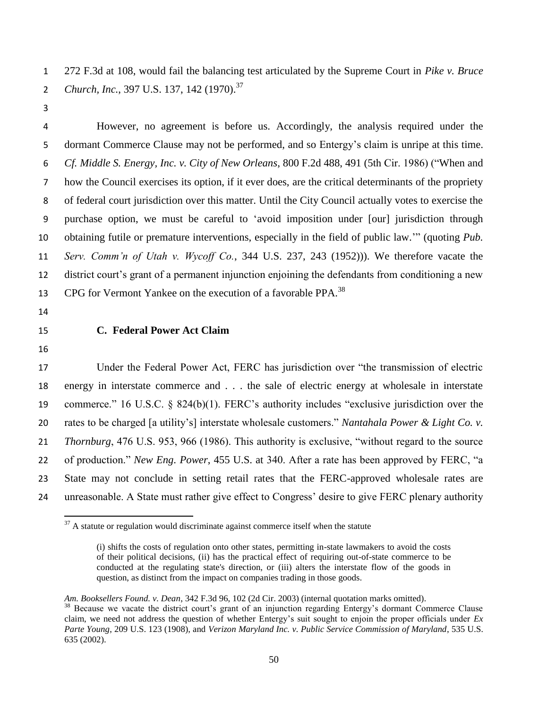272 F.3d at 108, would fail the balancing test articulated by the Supreme Court in *Pike v. Bruce*  2 *Church, Inc.*, 397 U.S. 137, 142 (1970).<sup>37</sup>

 However, no agreement is before us. Accordingly, the analysis required under the dormant Commerce Clause may not be performed, and so Entergy's claim is unripe at this time. *Cf. Middle S. Energy, Inc. v. City of New Orleans*, 800 F.2d 488, 491 (5th Cir. 1986) ("When and how the Council exercises its option, if it ever does, are the critical determinants of the propriety of federal court jurisdiction over this matter. Until the City Council actually votes to exercise the purchase option, we must be careful to 'avoid imposition under [our] jurisdiction through obtaining futile or premature interventions, especially in the field of public law.'" (quoting *Pub. Serv. Comm'n of Utah v. Wycoff Co.*, 344 U.S. 237, 243 (1952))). We therefore vacate the district court's grant of a permanent injunction enjoining the defendants from conditioning a new 13 CPG for Vermont Yankee on the execution of a favorable PPA.<sup>38</sup>

- 
- 

# **C. Federal Power Act Claim**

 $\overline{a}$ 

 Under the Federal Power Act, FERC has jurisdiction over "the transmission of electric energy in interstate commerce and . . . the sale of electric energy at wholesale in interstate commerce." 16 U.S.C. § 824(b)(1). FERC's authority includes "exclusive jurisdiction over the rates to be charged [a utility's] interstate wholesale customers." *Nantahala Power & Light Co. v. Thornburg*, 476 U.S. 953, 966 (1986). This authority is exclusive, "without regard to the source of production." *New Eng. Power*, 455 U.S. at 340. After a rate has been approved by FERC, "a State may not conclude in setting retail rates that the FERC-approved wholesale rates are unreasonable. A State must rather give effect to Congress' desire to give FERC plenary authority

A statute or regulation would discriminate against commerce itself when the statute

<sup>(</sup>i) shifts the costs of regulation onto other states, permitting in-state lawmakers to avoid the costs of their political decisions, (ii) has the practical effect of requiring out-of-state commerce to be conducted at the regulating state's direction, or (iii) alters the interstate flow of the goods in question, as distinct from the impact on companies trading in those goods.

*Am. Booksellers Found. v. Dean*, 342 F.3d 96, 102 (2d Cir. 2003) (internal quotation marks omitted).

<sup>&</sup>lt;sup>38</sup> Because we vacate the district court's grant of an injunction regarding Entergy's dormant Commerce Clause claim, we need not address the question of whether Entergy's suit sought to enjoin the proper officials under *Ex Parte Young*, 209 U.S. 123 (1908), and *Verizon Maryland Inc. v. Public Service Commission of Maryland*, 535 U.S. 635 (2002).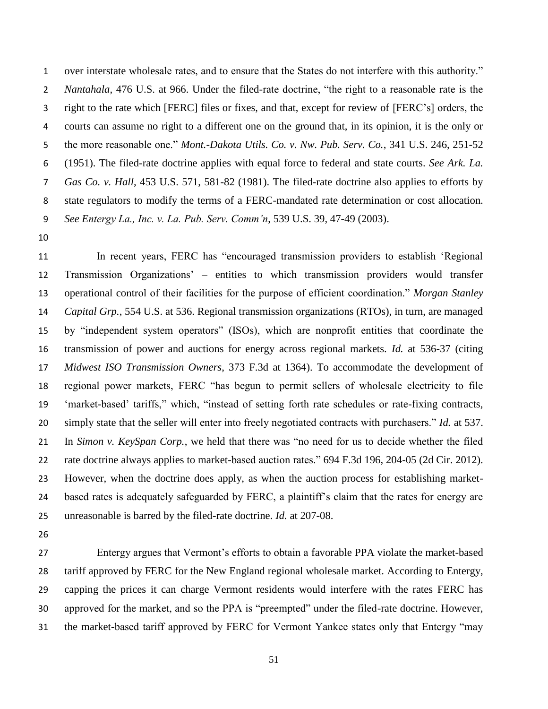over interstate wholesale rates, and to ensure that the States do not interfere with this authority." *Nantahala*, 476 U.S. at 966. Under the filed-rate doctrine, "the right to a reasonable rate is the right to the rate which [FERC] files or fixes, and that, except for review of [FERC's] orders, the courts can assume no right to a different one on the ground that, in its opinion, it is the only or the more reasonable one." *Mont.-Dakota Utils. Co. v. Nw. Pub. Serv. Co.*, 341 U.S. 246, 251-52 (1951). The filed-rate doctrine applies with equal force to federal and state courts. *See Ark. La. Gas Co. v. Hall*, 453 U.S. 571, 581-82 (1981). The filed-rate doctrine also applies to efforts by state regulators to modify the terms of a FERC-mandated rate determination or cost allocation. *See Entergy La., Inc. v. La. Pub. Serv. Comm'n*, 539 U.S. 39, 47-49 (2003).

 In recent years, FERC has "encouraged transmission providers to establish 'Regional Transmission Organizations' – entities to which transmission providers would transfer operational control of their facilities for the purpose of efficient coordination." *Morgan Stanley Capital Grp.*, 554 U.S. at 536. Regional transmission organizations (RTOs), in turn, are managed by "independent system operators" (ISOs), which are nonprofit entities that coordinate the transmission of power and auctions for energy across regional markets. *Id.* at 536-37 (citing *Midwest ISO Transmission Owners*, 373 F.3d at 1364). To accommodate the development of regional power markets, FERC "has begun to permit sellers of wholesale electricity to file 'market-based' tariffs," which, "instead of setting forth rate schedules or rate-fixing contracts, simply state that the seller will enter into freely negotiated contracts with purchasers." *Id.* at 537. In *Simon v. KeySpan Corp.*, we held that there was "no need for us to decide whether the filed rate doctrine always applies to market-based auction rates." 694 F.3d 196, 204-05 (2d Cir. 2012). However, when the doctrine does apply, as when the auction process for establishing market- based rates is adequately safeguarded by FERC, a plaintiff's claim that the rates for energy are unreasonable is barred by the filed-rate doctrine. *Id.* at 207-08.

 Entergy argues that Vermont's efforts to obtain a favorable PPA violate the market-based tariff approved by FERC for the New England regional wholesale market. According to Entergy, capping the prices it can charge Vermont residents would interfere with the rates FERC has approved for the market, and so the PPA is "preempted" under the filed-rate doctrine. However, the market-based tariff approved by FERC for Vermont Yankee states only that Entergy "may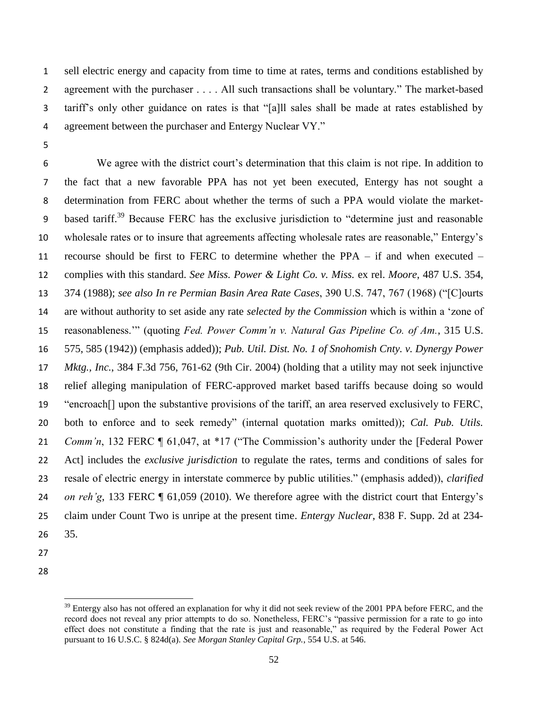sell electric energy and capacity from time to time at rates, terms and conditions established by agreement with the purchaser . . . . All such transactions shall be voluntary." The market-based tariff's only other guidance on rates is that "[a]ll sales shall be made at rates established by agreement between the purchaser and Entergy Nuclear VY."

 We agree with the district court's determination that this claim is not ripe. In addition to the fact that a new favorable PPA has not yet been executed, Entergy has not sought a determination from FERC about whether the terms of such a PPA would violate the market-9 based tariff.<sup>39</sup> Because FERC has the exclusive jurisdiction to "determine just and reasonable wholesale rates or to insure that agreements affecting wholesale rates are reasonable," Entergy's recourse should be first to FERC to determine whether the PPA – if and when executed – complies with this standard. *See Miss. Power & Light Co. v. Miss.* ex rel. *Moore*, 487 U.S. 354, 374 (1988); *see also In re Permian Basin Area Rate Cases*, 390 U.S. 747, 767 (1968) ("[C]ourts are without authority to set aside any rate *selected by the Commission* which is within a 'zone of reasonableness.'" (quoting *Fed. Power Comm'n v. Natural Gas Pipeline Co. of Am.*, 315 U.S. 575, 585 (1942)) (emphasis added)); *Pub. Util. Dist. No. 1 of Snohomish Cnty. v. Dynergy Power Mktg., Inc.*, 384 F.3d 756, 761-62 (9th Cir. 2004) (holding that a utility may not seek injunctive relief alleging manipulation of FERC-approved market based tariffs because doing so would "encroach[] upon the substantive provisions of the tariff, an area reserved exclusively to FERC, both to enforce and to seek remedy" (internal quotation marks omitted)); *Cal. Pub. Utils. Comm'n*, 132 FERC ¶ 61,047, at \*17 ("The Commission's authority under the [Federal Power Act] includes the *exclusive jurisdiction* to regulate the rates, terms and conditions of sales for resale of electric energy in interstate commerce by public utilities." (emphasis added)), *clarified on reh'g*, 133 FERC ¶ 61,059 (2010). We therefore agree with the district court that Entergy's claim under Count Two is unripe at the present time. *Entergy Nuclear*, 838 F. Supp. 2d at 234- 35.

- 
- 

 $\overline{\phantom{a}}$ 

<sup>&</sup>lt;sup>39</sup> Entergy also has not offered an explanation for why it did not seek review of the 2001 PPA before FERC, and the record does not reveal any prior attempts to do so. Nonetheless, FERC's "passive permission for a rate to go into effect does not constitute a finding that the rate is just and reasonable," as required by the Federal Power Act pursuant to 16 U.S.C. § 824d(a). *See Morgan Stanley Capital Grp.*, 554 U.S. at 546.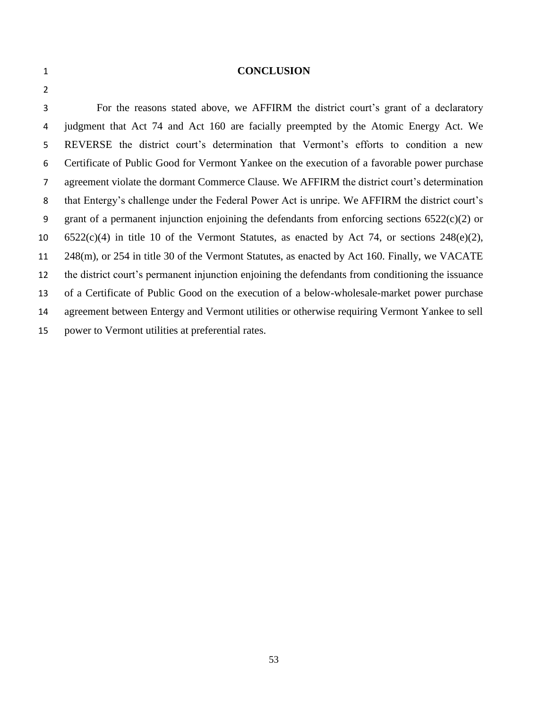#### **CONCLUSION**

 For the reasons stated above, we AFFIRM the district court's grant of a declaratory judgment that Act 74 and Act 160 are facially preempted by the Atomic Energy Act. We REVERSE the district court's determination that Vermont's efforts to condition a new Certificate of Public Good for Vermont Yankee on the execution of a favorable power purchase agreement violate the dormant Commerce Clause. We AFFIRM the district court's determination that Entergy's challenge under the Federal Power Act is unripe. We AFFIRM the district court's 9 grant of a permanent injunction enjoining the defendants from enforcing sections  $6522(c)(2)$  or 6522(c)(4) in title 10 of the Vermont Statutes, as enacted by Act 74, or sections 248(e)(2), 248(m), or 254 in title 30 of the Vermont Statutes, as enacted by Act 160. Finally, we VACATE the district court's permanent injunction enjoining the defendants from conditioning the issuance of a Certificate of Public Good on the execution of a below-wholesale-market power purchase agreement between Entergy and Vermont utilities or otherwise requiring Vermont Yankee to sell power to Vermont utilities at preferential rates.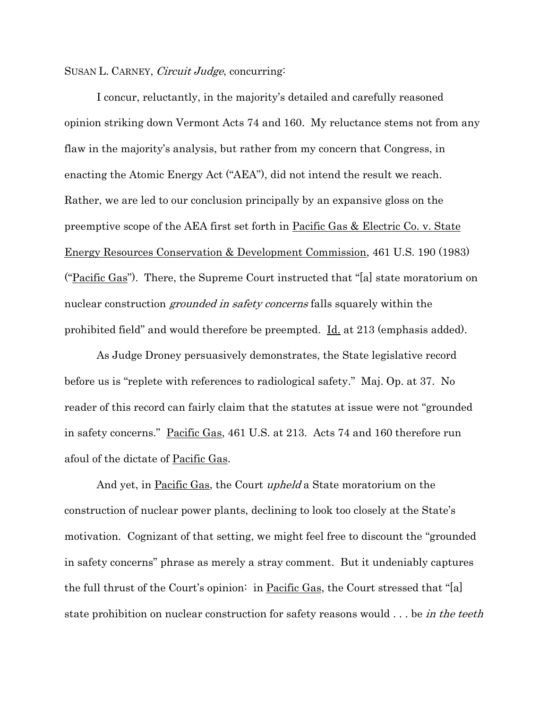## SUSAN L. CARNEY, *Circuit Judge*, concurring:

I concur, reluctantly, in the majority's detailed and carefully reasoned opinion striking down Vermont Acts 74 and 160. My reluctance stems not from any flaw in the majority's analysis, but rather from my concern that Congress, in enacting the Atomic Energy Act ("AEA"), did not intend the result we reach. Rather, we are led to our conclusion principally by an expansive gloss on the preemptive scope of the AEA first set forth in Pacific Gas & Electric Co. v. State Energy Resources Conservation & Development Commission, 461 U.S. 190 (1983) ("Pacific Gas"). There, the Supreme Court instructed that "[a] state moratorium on nuclear construction *grounded in safety concerns* falls squarely within the prohibited field" and would therefore be preempted. Id. at 213 (emphasis added).

As Judge Droney persuasively demonstrates, the State legislative record before us is "replete with references to radiological safety." Maj. Op. at 37. No reader of this record can fairly claim that the statutes at issue were not "grounded in safety concerns." Pacific Gas, 461 U.S. at 213. Acts 74 and 160 therefore run afoul of the dictate of Pacific Gas.

And yet, in Pacific Gas, the Court *upheld* a State moratorium on the construction of nuclear power plants, declining to look too closely at the State's motivation. Cognizant of that setting, we might feel free to discount the "grounded in safety concerns" phrase as merely a stray comment. But it undeniably captures the full thrust of the Court's opinion: in Pacific Gas, the Court stressed that "[a] state prohibition on nuclear construction for safety reasons would ... be in the teeth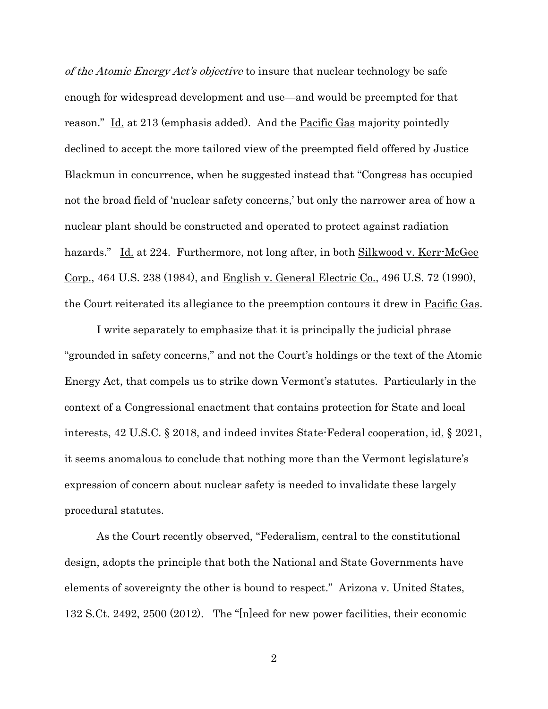of the Atomic Energy Act's objective to insure that nuclear technology be safe enough for widespread development and use—and would be preempted for that reason." Id. at 213 (emphasis added). And the Pacific Gas majority pointedly declined to accept the more tailored view of the preempted field offered by Justice Blackmun in concurrence, when he suggested instead that "Congress has occupied not the broad field of 'nuclear safety concerns,' but only the narrower area of how a nuclear plant should be constructed and operated to protect against radiation hazards." Id. at 224. Furthermore, not long after, in both Silkwood v. Kerr-McGee Corp., 464 U.S. 238 (1984), and English v. General Electric Co., 496 U.S. 72 (1990), the Court reiterated its allegiance to the preemption contours it drew in Pacific Gas.

I write separately to emphasize that it is principally the judicial phrase "grounded in safety concerns," and not the Court's holdings or the text of the Atomic Energy Act, that compels us to strike down Vermont's statutes. Particularly in the context of a Congressional enactment that contains protection for State and local interests, 42 U.S.C. § 2018, and indeed invites State-Federal cooperation, id. § 2021, it seems anomalous to conclude that nothing more than the Vermont legislature's expression of concern about nuclear safety is needed to invalidate these largely procedural statutes.

As the Court recently observed, "Federalism, central to the constitutional design, adopts the principle that both the National and State Governments have elements of sovereignty the other is bound to respect." Arizona v. United States, 132 S.Ct. 2492, 2500 (2012). The "[n]eed for new power facilities, their economic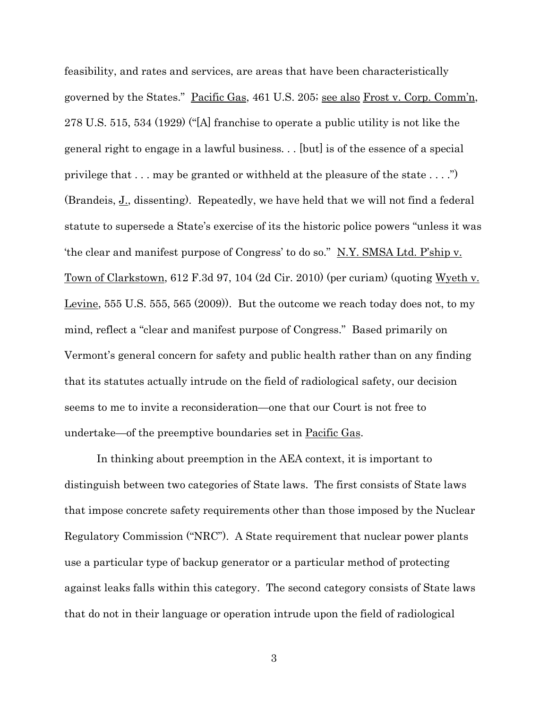feasibility, and rates and services, are areas that have been characteristically governed by the States." <u>Pacific Gas</u>, 461 U.S. 205; <u>see also Frost v. Corp. Comm'n</u>, 278 U.S. 515, 534 (1929) ("[A] franchise to operate a public utility is not like the general right to engage in a lawful business. . . [but] is of the essence of a special privilege that . . . may be granted or withheld at the pleasure of the state . . . .") (Brandeis, J., dissenting). Repeatedly, we have held that we will not find a federal statute to supersede a State's exercise of its the historic police powers "unless it was 'the clear and manifest purpose of Congress' to do so." N.Y. SMSA Ltd. P'ship v. Town of Clarkstown, 612 F.3d 97, 104 (2d Cir. 2010) (per curiam) (quoting Wyeth v. Levine, 555 U.S. 555, 565 (2009)). But the outcome we reach today does not, to my mind, reflect a "clear and manifest purpose of Congress." Based primarily on Vermont's general concern for safety and public health rather than on any finding that its statutes actually intrude on the field of radiological safety, our decision seems to me to invite a reconsideration—one that our Court is not free to undertake—of the preemptive boundaries set in Pacific Gas.

In thinking about preemption in the AEA context, it is important to distinguish between two categories of State laws. The first consists of State laws that impose concrete safety requirements other than those imposed by the Nuclear Regulatory Commission ("NRC"). A State requirement that nuclear power plants use a particular type of backup generator or a particular method of protecting against leaks falls within this category. The second category consists of State laws that do not in their language or operation intrude upon the field of radiological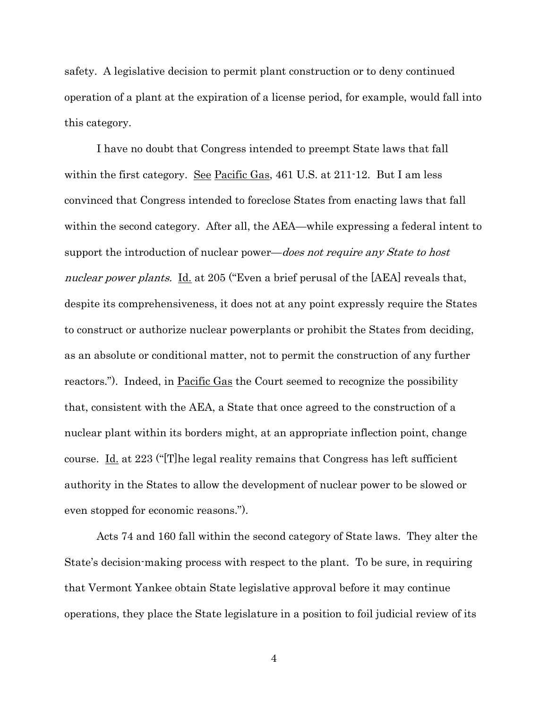safety. A legislative decision to permit plant construction or to deny continued operation of a plant at the expiration of a license period, for example, would fall into this category.

I have no doubt that Congress intended to preempt State laws that fall within the first category. See Pacific Gas, 461 U.S. at 211-12. But I am less convinced that Congress intended to foreclose States from enacting laws that fall within the second category. After all, the AEA—while expressing a federal intent to support the introduction of nuclear power—*does not require any State to host* nuclear power plants. Id. at 205 ("Even a brief perusal of the [AEA] reveals that, despite its comprehensiveness, it does not at any point expressly require the States to construct or authorize nuclear powerplants or prohibit the States from deciding, as an absolute or conditional matter, not to permit the construction of any further reactors."). Indeed, in Pacific Gas the Court seemed to recognize the possibility that, consistent with the AEA, a State that once agreed to the construction of a nuclear plant within its borders might, at an appropriate inflection point, change course. Id. at 223 ("[T]he legal reality remains that Congress has left sufficient authority in the States to allow the development of nuclear power to be slowed or even stopped for economic reasons.").

Acts 74 and 160 fall within the second category of State laws. They alter the State's decision-making process with respect to the plant. To be sure, in requiring that Vermont Yankee obtain State legislative approval before it may continue operations, they place the State legislature in a position to foil judicial review of its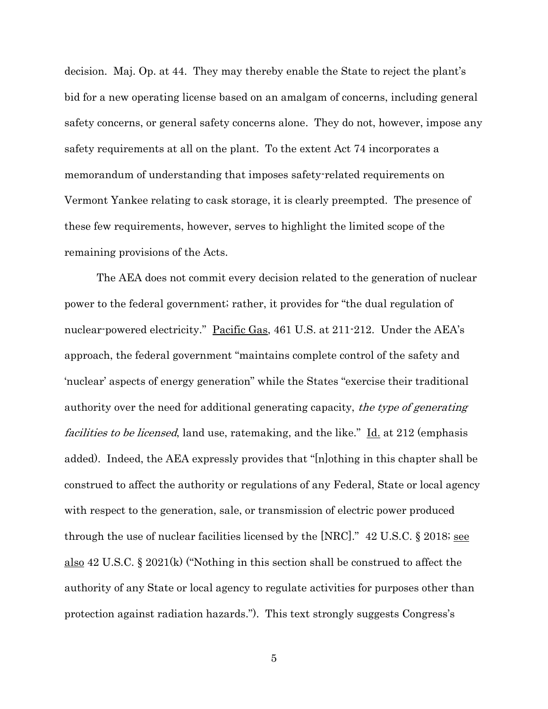decision. Maj. Op. at 44. They may thereby enable the State to reject the plant's bid for a new operating license based on an amalgam of concerns, including general safety concerns, or general safety concerns alone. They do not, however, impose any safety requirements at all on the plant. To the extent Act 74 incorporates a memorandum of understanding that imposes safety-related requirements on Vermont Yankee relating to cask storage, it is clearly preempted. The presence of these few requirements, however, serves to highlight the limited scope of the remaining provisions of the Acts.

The AEA does not commit every decision related to the generation of nuclear power to the federal government; rather, it provides for "the dual regulation of nuclear-powered electricity." Pacific Gas, 461 U.S. at 211-212. Under the AEA's approach, the federal government "maintains complete control of the safety and 'nuclear' aspects of energy generation" while the States "exercise their traditional authority over the need for additional generating capacity, the type of generating facilities to be licensed, land use, ratemaking, and the like." Id. at 212 (emphasis added). Indeed, the AEA expressly provides that "[n]othing in this chapter shall be construed to affect the authority or regulations of any Federal, State or local agency with respect to the generation, sale, or transmission of electric power produced through the use of nuclear facilities licensed by the [NRC]." 42 U.S.C. § 2018; see also 42 U.S.C. § 2021(k) ("Nothing in this section shall be construed to affect the authority of any State or local agency to regulate activities for purposes other than protection against radiation hazards."). This text strongly suggests Congress's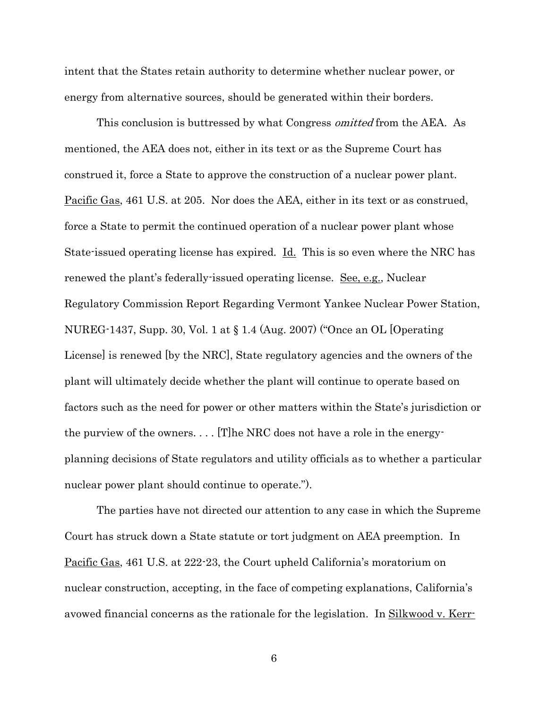intent that the States retain authority to determine whether nuclear power, or energy from alternative sources, should be generated within their borders.

This conclusion is buttressed by what Congress *omitted* from the AEA. As mentioned, the AEA does not, either in its text or as the Supreme Court has construed it, force a State to approve the construction of a nuclear power plant. Pacific Gas, 461 U.S. at 205. Nor does the AEA, either in its text or as construed, force a State to permit the continued operation of a nuclear power plant whose State-issued operating license has expired. Id. This is so even where the NRC has renewed the plant's federally-issued operating license. See, e.g., Nuclear Regulatory Commission Report Regarding Vermont Yankee Nuclear Power Station, NUREG-1437, Supp. 30, Vol. 1 at § 1.4 (Aug. 2007) ("Once an OL [Operating License] is renewed [by the NRC], State regulatory agencies and the owners of the plant will ultimately decide whether the plant will continue to operate based on factors such as the need for power or other matters within the State's jurisdiction or the purview of the owners. . . . [T]he NRC does not have a role in the energyplanning decisions of State regulators and utility officials as to whether a particular nuclear power plant should continue to operate.").

The parties have not directed our attention to any case in which the Supreme Court has struck down a State statute or tort judgment on AEA preemption. In Pacific Gas, 461 U.S. at 222-23, the Court upheld California's moratorium on nuclear construction, accepting, in the face of competing explanations, California's avowed financial concerns as the rationale for the legislation. In <u>Silkwood v. Kerr-</u>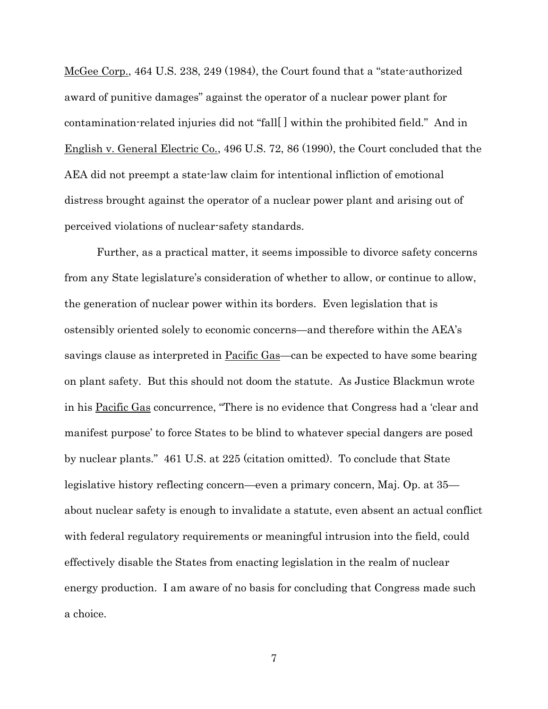McGee Corp., 464 U.S. 238, 249 (1984), the Court found that a "state-authorized award of punitive damages" against the operator of a nuclear power plant for contamination-related injuries did not "fall[ ] within the prohibited field." And in English v. General Electric Co., 496 U.S. 72, 86 (1990), the Court concluded that the AEA did not preempt a state-law claim for intentional infliction of emotional distress brought against the operator of a nuclear power plant and arising out of perceived violations of nuclear-safety standards.

Further, as a practical matter, it seems impossible to divorce safety concerns from any State legislature's consideration of whether to allow, or continue to allow, the generation of nuclear power within its borders. Even legislation that is ostensibly oriented solely to economic concerns—and therefore within the AEA's savings clause as interpreted in Pacific Gas—can be expected to have some bearing on plant safety. But this should not doom the statute. As Justice Blackmun wrote in his Pacific Gas concurrence, "There is no evidence that Congress had a 'clear and manifest purpose' to force States to be blind to whatever special dangers are posed by nuclear plants." 461 U.S. at 225 (citation omitted). To conclude that State legislative history reflecting concern—even a primary concern, Maj. Op. at 35 about nuclear safety is enough to invalidate a statute, even absent an actual conflict with federal regulatory requirements or meaningful intrusion into the field, could effectively disable the States from enacting legislation in the realm of nuclear energy production. I am aware of no basis for concluding that Congress made such a choice.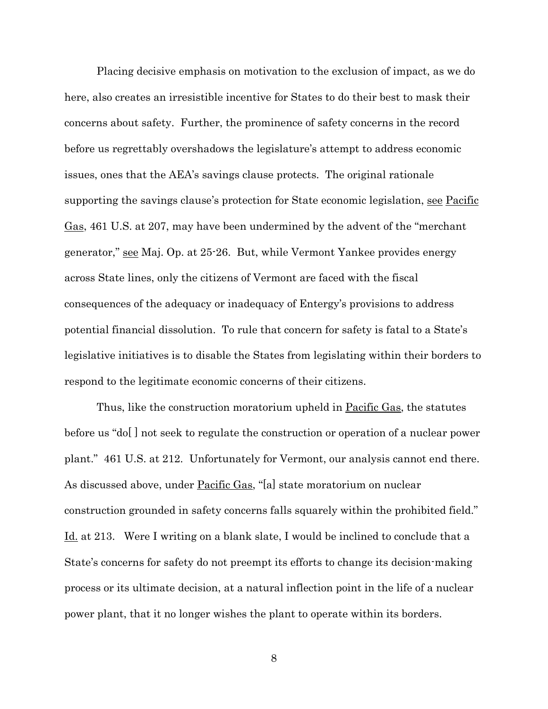Placing decisive emphasis on motivation to the exclusion of impact, as we do here, also creates an irresistible incentive for States to do their best to mask their concerns about safety. Further, the prominence of safety concerns in the record before us regrettably overshadows the legislature's attempt to address economic issues, ones that the AEA's savings clause protects. The original rationale supporting the savings clause's protection for State economic legislation, see Pacific Gas, 461 U.S. at 207, may have been undermined by the advent of the "merchant generator," see Maj. Op. at 25-26. But, while Vermont Yankee provides energy across State lines, only the citizens of Vermont are faced with the fiscal consequences of the adequacy or inadequacy of Entergy's provisions to address potential financial dissolution. To rule that concern for safety is fatal to a State's legislative initiatives is to disable the States from legislating within their borders to respond to the legitimate economic concerns of their citizens.

Thus, like the construction moratorium upheld in <u>Pacific Gas</u>, the statutes before us "do[ ] not seek to regulate the construction or operation of a nuclear power plant." 461 U.S. at 212. Unfortunately for Vermont, our analysis cannot end there. As discussed above, under Pacific Gas, "[a] state moratorium on nuclear construction grounded in safety concerns falls squarely within the prohibited field." Id. at 213. Were I writing on a blank slate, I would be inclined to conclude that a State's concerns for safety do not preempt its efforts to change its decision-making process or its ultimate decision, at a natural inflection point in the life of a nuclear power plant, that it no longer wishes the plant to operate within its borders.